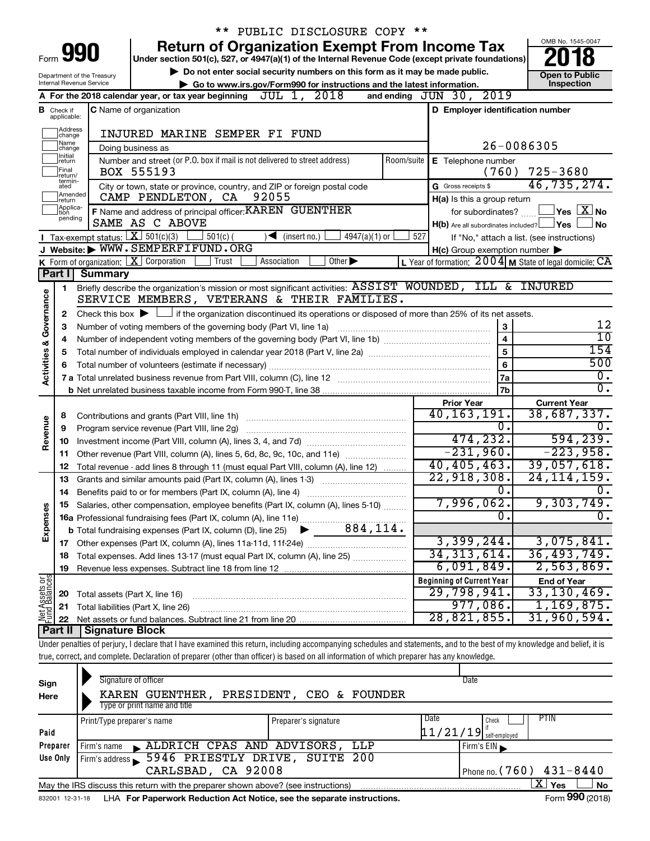|                                |                                        |                                                        | ** PUBLIC DISCLOSURE COPY **                                                                                                                                               |                                                                     |                                                         |
|--------------------------------|----------------------------------------|--------------------------------------------------------|----------------------------------------------------------------------------------------------------------------------------------------------------------------------------|---------------------------------------------------------------------|---------------------------------------------------------|
|                                |                                        |                                                        | <b>Return of Organization Exempt From Income Tax</b>                                                                                                                       |                                                                     | OMB No. 1545-0047                                       |
|                                |                                        | 990                                                    | Under section 501(c), 527, or 4947(a)(1) of the Internal Revenue Code (except private foundations)                                                                         |                                                                     |                                                         |
|                                |                                        | Department of the Treasury<br>Internal Revenue Service | Do not enter social security numbers on this form as it may be made public.                                                                                                |                                                                     | <b>Open to Public</b><br>Inspection                     |
|                                |                                        |                                                        | Go to www.irs.gov/Form990 for instructions and the latest information.<br>2018<br>JUL 1,<br>A For the 2018 calendar year, or tax year beginning                            | and ending JUN 30, 2019                                             |                                                         |
|                                |                                        |                                                        |                                                                                                                                                                            |                                                                     |                                                         |
|                                | <b>B</b> Check if applicable:          |                                                        | <b>C</b> Name of organization                                                                                                                                              | D Employer identification number                                    |                                                         |
|                                | Address<br>change                      |                                                        | INJURED MARINE SEMPER FI FUND                                                                                                                                              |                                                                     |                                                         |
|                                | Name<br>change                         |                                                        | Doing business as                                                                                                                                                          |                                                                     | 26-0086305                                              |
|                                | Initial<br> return<br>Final<br>return/ |                                                        | Number and street (or P.O. box if mail is not delivered to street address)<br>Room/suite<br>BOX 555193                                                                     | E Telephone number<br>(760)                                         | $725 - 3680$                                            |
|                                | termin-<br>ated                        |                                                        | City or town, state or province, country, and ZIP or foreign postal code                                                                                                   | G Gross receipts \$                                                 | 46,735,274.                                             |
|                                | Amended<br>Ireturn                     |                                                        | 92055<br>CAMP PENDLETON, CA                                                                                                                                                | H(a) Is this a group return                                         |                                                         |
|                                | Applica-<br>tion<br>pending            |                                                        | F Name and address of principal officer: KAREN GUENTHER                                                                                                                    | for subordinates?                                                   | $\mathsf{\underline{V}}$ es $\mathsf{\underline{X}}$ No |
|                                |                                        |                                                        | SAME AS C ABOVE                                                                                                                                                            | $H(b)$ Are all subordinates included? $\Box$ Yes                    | No                                                      |
|                                |                                        | Tax-exempt status: $X \over 301(c)(3)$                 | $501(c)$ (<br>$\sqrt{\frac{1}{1}}$ (insert no.)<br>$4947(a)(1)$ or                                                                                                         | 527                                                                 | If "No," attach a list. (see instructions)              |
|                                |                                        |                                                        | J Website: WWW.SEMPERFIFUND.ORG                                                                                                                                            | $H(c)$ Group exemption number $\blacktriangleright$                 |                                                         |
|                                |                                        |                                                        | <b>K</b> Form of organization: $\boxed{\mathbf{X}}$ Corporation<br>Association<br>Other $\blacktriangleright$<br>Trust                                                     | L Year of formation: $2004 \text{ m}$ State of legal domicile: $CA$ |                                                         |
|                                | Part I                                 | <b>Summary</b>                                         |                                                                                                                                                                            |                                                                     |                                                         |
|                                | 1                                      |                                                        | Briefly describe the organization's mission or most significant activities: ASSIST WOUNDED, ILL & INJURED<br>SERVICE MEMBERS, VETERANS & THEIR FAMILIES.                   |                                                                     |                                                         |
|                                |                                        |                                                        |                                                                                                                                                                            |                                                                     |                                                         |
| Governance                     | 2                                      |                                                        | Check this box $\blacktriangleright \Box$ if the organization discontinued its operations or disposed of more than 25% of its net assets.                                  |                                                                     | 12                                                      |
|                                | 3                                      |                                                        | Number of voting members of the governing body (Part VI, line 1a)                                                                                                          | 3<br>$\overline{\mathbf{4}}$                                        | 10                                                      |
|                                | 4                                      |                                                        |                                                                                                                                                                            | $\overline{5}$                                                      | 154                                                     |
|                                | 5                                      |                                                        |                                                                                                                                                                            | $6\phantom{a}$                                                      | 500                                                     |
| <b>Activities &amp;</b>        | 6                                      |                                                        |                                                                                                                                                                            | 7a                                                                  | $\overline{0}$ .                                        |
|                                |                                        |                                                        |                                                                                                                                                                            | 7 <sub>b</sub>                                                      | $\overline{0}$ .                                        |
|                                |                                        |                                                        |                                                                                                                                                                            | <b>Prior Year</b>                                                   | <b>Current Year</b>                                     |
|                                | 8                                      |                                                        |                                                                                                                                                                            | 40, 163, 191.                                                       | 38,687,337.                                             |
| Revenue                        | 9                                      |                                                        | Program service revenue (Part VIII, line 2g)                                                                                                                               | Ο.                                                                  |                                                         |
|                                | 10                                     |                                                        |                                                                                                                                                                            | 474,232.                                                            | 594, 239.                                               |
|                                | 11                                     |                                                        | Other revenue (Part VIII, column (A), lines 5, 6d, 8c, 9c, 10c, and 11e)                                                                                                   | $-231,960.$                                                         | $-223,958.$                                             |
|                                | 12                                     |                                                        | Total revenue - add lines 8 through 11 (must equal Part VIII, column (A), line 12)                                                                                         | 40, 405, 463.                                                       | 39,057,618.                                             |
|                                | 13                                     |                                                        | Grants and similar amounts paid (Part IX, column (A), lines 1-3)                                                                                                           | 22,918,308.                                                         | 24, 114, 159.                                           |
|                                | 14                                     |                                                        |                                                                                                                                                                            | Ο.                                                                  | υ.                                                      |
|                                |                                        |                                                        | Salaries, other compensation, employee benefits (Part IX, column (A), lines 5-10)                                                                                          | 7,996,062.                                                          | 9,303,749.                                              |
|                                |                                        |                                                        |                                                                                                                                                                            | 0.                                                                  |                                                         |
| Expenses                       |                                        |                                                        |                                                                                                                                                                            |                                                                     |                                                         |
|                                | 17                                     |                                                        | Other expenses (Part IX, column (A), lines 11a-11d, 11f-24e)                                                                                                               | 3,399,244.                                                          | 3,075,841.                                              |
|                                | 18                                     |                                                        | Total expenses. Add lines 13-17 (must equal Part IX, column (A), line 25)                                                                                                  | 34, 313, 614.                                                       | 36,493,749.                                             |
|                                | 19                                     |                                                        |                                                                                                                                                                            | 6,091,849.                                                          | 2,563,869.                                              |
| Net Assets or<br>Fund Balances |                                        |                                                        |                                                                                                                                                                            | <b>Beginning of Current Year</b>                                    | <b>End of Year</b>                                      |
|                                | 20                                     | Total assets (Part X, line 16)                         |                                                                                                                                                                            | 29,798,941.                                                         | 33, 130, 469.                                           |
|                                | 21                                     |                                                        | Total liabilities (Part X, line 26)                                                                                                                                        | 977,086.                                                            | 1,169,875.                                              |
|                                | 22                                     |                                                        |                                                                                                                                                                            | 28,821,855.                                                         | 31,960,594.                                             |
|                                | Part II                                | Signature Block                                        |                                                                                                                                                                            |                                                                     |                                                         |
|                                |                                        |                                                        | Under penalties of perjury, I declare that I have examined this return, including accompanying schedules and statements, and to the best of my knowledge and belief, it is |                                                                     |                                                         |
|                                |                                        |                                                        | true, correct, and complete. Declaration of preparer (other than officer) is based on all information of which preparer has any knowledge.                                 |                                                                     |                                                         |
|                                |                                        |                                                        |                                                                                                                                                                            |                                                                     |                                                         |

| Sign<br>Here | Signature of officer<br>KAREN GUENTHER,<br>Type or print name and title           | PRESIDENT, CEO & FOUNDER | Date                                                |
|--------------|-----------------------------------------------------------------------------------|--------------------------|-----------------------------------------------------|
| Paid         | Print/Type preparer's name                                                        | Preparer's signature     | PTIN<br>I Date<br>Check<br>$11/21/19$ self-employed |
| Preparer     | ALDRICH CPAS AND ADVISORS, LLP<br>Firm's name                                     |                          | Firm's $EIN$                                        |
| Use Only     | Firm's address 5946 PRIESTLY DRIVE, SUITE 200<br>CARLSBAD, CA 92008               |                          | Phone no. (760) $431 - 8440$                        |
|              | May the IRS discuss this return with the preparer shown above? (see instructions) |                          | x.<br>Yes<br><b>No</b><br>$- - -$                   |

832001 12-31-18 **For Paperwork Reduction Act Notice, see the separate instructions.** LHA Form (2018)

Form **990** (2018)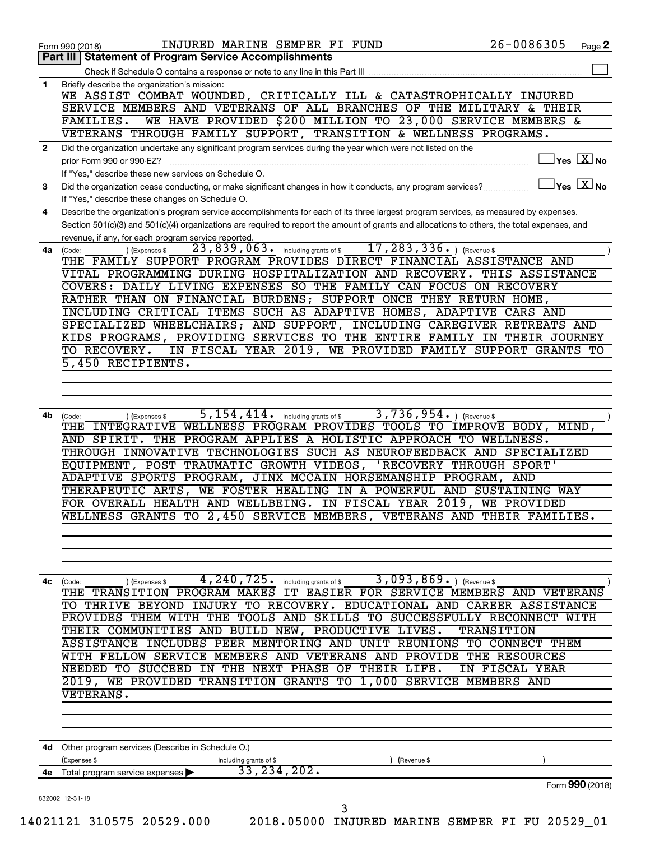|    | INJURED MARINE SEMPER FI FUND<br>Form 990 (2018)                                                                                             | $26 - 0086305$                                   | Page 2 |
|----|----------------------------------------------------------------------------------------------------------------------------------------------|--------------------------------------------------|--------|
|    | <b>Statement of Program Service Accomplishments</b><br>Part III                                                                              |                                                  |        |
|    | Check if Schedule O contains a response or note to any line in this Part III                                                                 |                                                  |        |
| 1  | Briefly describe the organization's mission:                                                                                                 |                                                  |        |
|    | WE ASSIST COMBAT WOUNDED, CRITICALLY ILL & CATASTROPHICALLY INJURED                                                                          |                                                  |        |
|    | SERVICE MEMBERS AND VETERANS OF ALL BRANCHES OF THE MILITARY & THEIR                                                                         |                                                  |        |
|    | WE HAVE PROVIDED \$200 MILLION TO 23,000 SERVICE MEMBERS &<br>FAMILIES.                                                                      |                                                  |        |
|    | VETERANS THROUGH FAMILY SUPPORT, TRANSITION & WELLNESS PROGRAMS.                                                                             |                                                  |        |
| 2  | Did the organization undertake any significant program services during the year which were not listed on the                                 |                                                  |        |
|    | prior Form 990 or 990-EZ?                                                                                                                    | $\overline{\ }$ Yes $\overline{\phantom{a}X}$ No |        |
|    | If "Yes," describe these new services on Schedule O.                                                                                         |                                                  |        |
| 3  | Did the organization cease conducting, or make significant changes in how it conducts, any program services?                                 | $\exists$ Yes $\sqrt{\mathrm{X}}$ No             |        |
|    | If "Yes," describe these changes on Schedule O.                                                                                              |                                                  |        |
| 4  | Describe the organization's program service accomplishments for each of its three largest program services, as measured by expenses.         |                                                  |        |
|    | Section 501(c)(3) and 501(c)(4) organizations are required to report the amount of grants and allocations to others, the total expenses, and |                                                  |        |
|    |                                                                                                                                              |                                                  |        |
|    | revenue, if any, for each program service reported.<br>$17, 283, 336.$ (Revenue \$<br>$\overline{23}$ , 839, 063. including grants of \$     |                                                  |        |
| 4a | ) (Expenses \$<br>(Code:<br>THE FAMILY SUPPORT PROGRAM PROVIDES DIRECT FINANCIAL ASSISTANCE AND                                              |                                                  |        |
|    |                                                                                                                                              |                                                  |        |
|    | VITAL PROGRAMMING DURING HOSPITALIZATION AND RECOVERY. THIS ASSISTANCE                                                                       |                                                  |        |
|    | COVERS: DAILY LIVING EXPENSES SO THE FAMILY CAN FOCUS ON RECOVERY                                                                            |                                                  |        |
|    | RATHER THAN ON FINANCIAL BURDENS; SUPPORT ONCE THEY RETURN HOME,                                                                             |                                                  |        |
|    | INCLUDING CRITICAL ITEMS SUCH AS ADAPTIVE HOMES, ADAPTIVE CARS AND                                                                           |                                                  |        |
|    | SPECIALIZED WHEELCHAIRS; AND SUPPORT, INCLUDING CAREGIVER RETREATS AND                                                                       |                                                  |        |
|    | KIDS PROGRAMS, PROVIDING SERVICES TO THE ENTIRE FAMILY IN THEIR JOURNEY                                                                      |                                                  |        |
|    | TO RECOVERY.<br>IN FISCAL YEAR 2019, WE PROVIDED FAMILY SUPPORT GRANTS TO                                                                    |                                                  |        |
|    | 5,450 RECIPIENTS.                                                                                                                            |                                                  |        |
|    |                                                                                                                                              |                                                  |        |
|    |                                                                                                                                              |                                                  |        |
|    |                                                                                                                                              |                                                  |        |
| 4b | $3,736,954.$ (Revenue \$<br>$\overline{5}$ , $154$ , $414$ . including grants of \$<br>(Code:<br>) (Expenses \$                              |                                                  |        |
|    | INTEGRATIVE WELLNESS PROGRAM PROVIDES TOOLS TO IMPROVE BODY, MIND,<br>THE                                                                    |                                                  |        |
|    | AND SPIRIT. THE PROGRAM APPLIES A HOLISTIC APPROACH TO WELLNESS.                                                                             |                                                  |        |
|    | THROUGH INNOVATIVE TECHNOLOGIES SUCH AS NEUROFEEDBACK AND SPECIALIZED                                                                        |                                                  |        |
|    | EQUIPMENT, POST TRAUMATIC GROWTH VIDEOS,                                                                                                     | 'RECOVERY THROUGH SPORT'                         |        |
|    | ADAPTIVE SPORTS PROGRAM, JINX MCCAIN HORSEMANSHIP PROGRAM,                                                                                   | AND                                              |        |
|    | THERAPEUTIC ARTS, WE FOSTER HEALING IN A POWERFUL AND SUSTAINING WAY                                                                         |                                                  |        |
|    | FOR OVERALL HEALTH AND WELLBEING. IN FISCAL YEAR 2019, WE PROVIDED                                                                           |                                                  |        |
|    | WELLNESS GRANTS TO 2,450 SERVICE MEMBERS, VETERANS AND THEIR FAMILIES.                                                                       |                                                  |        |
|    |                                                                                                                                              |                                                  |        |
|    |                                                                                                                                              |                                                  |        |
|    |                                                                                                                                              |                                                  |        |
|    |                                                                                                                                              |                                                  |        |
|    | 4,240,725.<br>$3,093,869.$ (Revenue \$)                                                                                                      |                                                  |        |
| 4с | including grants of \$<br>) (Expenses \$<br>(Code:<br>THE TRANSITION PROGRAM MAKES IT EASIER FOR SERVICE MEMBERS AND VETERANS                |                                                  |        |
|    | TO THRIVE BEYOND INJURY TO RECOVERY. EDUCATIONAL AND CAREER ASSISTANCE                                                                       |                                                  |        |
|    | PROVIDES THEM WITH THE TOOLS AND SKILLS TO SUCCESSFULLY RECONNECT WITH                                                                       |                                                  |        |
|    |                                                                                                                                              |                                                  |        |
|    | THEIR COMMUNITIES AND BUILD NEW, PRODUCTIVE LIVES.                                                                                           | <b>TRANSITION</b>                                |        |
|    | ASSISTANCE INCLUDES PEER MENTORING AND UNIT REUNIONS TO CONNECT THEM                                                                         |                                                  |        |
|    | WITH FELLOW SERVICE MEMBERS AND VETERANS AND PROVIDE THE RESOURCES                                                                           |                                                  |        |
|    | NEEDED TO SUCCEED IN THE NEXT PHASE OF THEIR LIFE.                                                                                           | IN FISCAL YEAR                                   |        |
|    | 2019, WE PROVIDED TRANSITION GRANTS TO 1,000 SERVICE MEMBERS AND                                                                             |                                                  |        |
|    | VETERANS.                                                                                                                                    |                                                  |        |
|    |                                                                                                                                              |                                                  |        |
|    |                                                                                                                                              |                                                  |        |
|    |                                                                                                                                              |                                                  |        |
|    | 4d Other program services (Describe in Schedule O.)                                                                                          |                                                  |        |
|    | (Expenses \$<br>(Revenue \$<br>including grants of \$                                                                                        |                                                  |        |
|    | 33, 234, 202.<br>4e Total program service expenses                                                                                           |                                                  |        |
|    |                                                                                                                                              | Form 990 (2018)                                  |        |
|    | 832002 12-31-18                                                                                                                              |                                                  |        |
|    | 3                                                                                                                                            |                                                  |        |
|    | 14021121 310575 20529.000<br>2018.05000 INJURED MARINE SEMPER FI FU 20529 01                                                                 |                                                  |        |
|    |                                                                                                                                              |                                                  |        |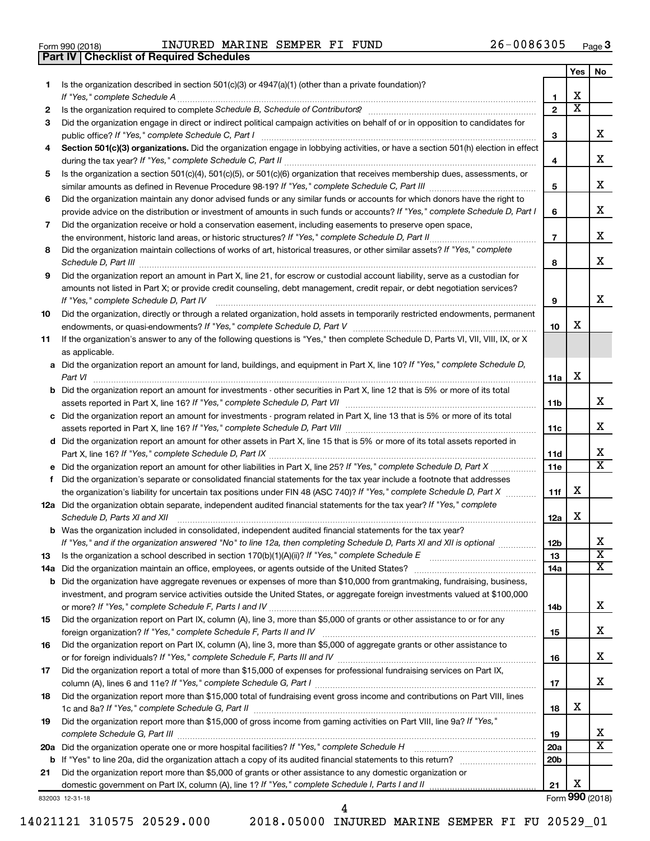| Form 990 (2018) |  |  |
|-----------------|--|--|

**Part IV Checklist of Required Schedules**

Form 990 (2018) Page INJURED MARINE SEMPER FI FUND 26-0086305

|     |                                                                                                                                                                     |                 | Yes | No.                     |
|-----|---------------------------------------------------------------------------------------------------------------------------------------------------------------------|-----------------|-----|-------------------------|
| 1.  | Is the organization described in section 501(c)(3) or 4947(a)(1) (other than a private foundation)?                                                                 |                 |     |                         |
|     | If "Yes," complete Schedule A                                                                                                                                       | 1               | х   |                         |
| 2   |                                                                                                                                                                     | $\mathbf{2}$    | X   |                         |
| З   | Did the organization engage in direct or indirect political campaign activities on behalf of or in opposition to candidates for                                     |                 |     |                         |
|     |                                                                                                                                                                     | 3               |     | x                       |
| 4   | Section 501(c)(3) organizations. Did the organization engage in lobbying activities, or have a section 501(h) election in effect                                    |                 |     |                         |
|     |                                                                                                                                                                     | 4               |     | X                       |
| 5   | Is the organization a section 501(c)(4), 501(c)(5), or 501(c)(6) organization that receives membership dues, assessments, or                                        |                 |     |                         |
|     |                                                                                                                                                                     | 5               |     | X                       |
| 6   | Did the organization maintain any donor advised funds or any similar funds or accounts for which donors have the right to                                           |                 |     |                         |
|     | provide advice on the distribution or investment of amounts in such funds or accounts? If "Yes," complete Schedule D, Part I                                        | 6               |     | X                       |
| 7   | Did the organization receive or hold a conservation easement, including easements to preserve open space,                                                           |                 |     | х                       |
|     |                                                                                                                                                                     | $\overline{7}$  |     |                         |
| 8   | Did the organization maintain collections of works of art, historical treasures, or other similar assets? If "Yes," complete                                        |                 |     | х                       |
|     | Schedule D, Part III <b>Process Construction Construction Construction</b> Construction Construction Construction Const                                             | 8               |     |                         |
| 9   | Did the organization report an amount in Part X, line 21, for escrow or custodial account liability, serve as a custodian for                                       |                 |     |                         |
|     | amounts not listed in Part X; or provide credit counseling, debt management, credit repair, or debt negotiation services?<br>If "Yes," complete Schedule D, Part IV | 9               |     | x                       |
| 10  | Did the organization, directly or through a related organization, hold assets in temporarily restricted endowments, permanent                                       |                 |     |                         |
|     |                                                                                                                                                                     | 10              | х   |                         |
| 11  | If the organization's answer to any of the following questions is "Yes," then complete Schedule D, Parts VI, VII, VIII, IX, or X                                    |                 |     |                         |
|     | as applicable.                                                                                                                                                      |                 |     |                         |
|     | a Did the organization report an amount for land, buildings, and equipment in Part X, line 10? If "Yes," complete Schedule D,                                       |                 |     |                         |
|     |                                                                                                                                                                     | 11a             | х   |                         |
|     | <b>b</b> Did the organization report an amount for investments - other securities in Part X, line 12 that is 5% or more of its total                                |                 |     |                         |
|     |                                                                                                                                                                     | 11 <sub>b</sub> |     | х                       |
|     | c Did the organization report an amount for investments - program related in Part X, line 13 that is 5% or more of its total                                        |                 |     |                         |
|     |                                                                                                                                                                     | 11c             |     | х                       |
|     | d Did the organization report an amount for other assets in Part X, line 15 that is 5% or more of its total assets reported in                                      |                 |     |                         |
|     |                                                                                                                                                                     | 11d             |     | x                       |
|     |                                                                                                                                                                     | 11e             |     | $\overline{\text{x}}$   |
| f   | Did the organization's separate or consolidated financial statements for the tax year include a footnote that addresses                                             |                 |     |                         |
|     | the organization's liability for uncertain tax positions under FIN 48 (ASC 740)? If "Yes," complete Schedule D, Part X                                              | 11f             | х   |                         |
|     | 12a Did the organization obtain separate, independent audited financial statements for the tax year? If "Yes," complete                                             |                 |     |                         |
|     | Schedule D, Parts XI and XII                                                                                                                                        | 12a             | х   |                         |
|     | <b>b</b> Was the organization included in consolidated, independent audited financial statements for the tax year?                                                  |                 |     |                         |
|     | If "Yes," and if the organization answered "No" to line 12a, then completing Schedule D, Parts XI and XII is optional                                               | 12 <sub>b</sub> |     | x                       |
| 13  |                                                                                                                                                                     | 13              |     | $\overline{\textbf{x}}$ |
| 14a |                                                                                                                                                                     | 14a             |     | x                       |
|     | <b>b</b> Did the organization have aggregate revenues or expenses of more than \$10,000 from grantmaking, fundraising, business,                                    |                 |     |                         |
|     | investment, and program service activities outside the United States, or aggregate foreign investments valued at \$100,000                                          |                 |     | x                       |
|     |                                                                                                                                                                     | 14b             |     |                         |
| 15  | Did the organization report on Part IX, column (A), line 3, more than \$5,000 of grants or other assistance to or for any                                           |                 |     | x                       |
|     | Did the organization report on Part IX, column (A), line 3, more than \$5,000 of aggregate grants or other assistance to                                            | 15              |     |                         |
| 16  |                                                                                                                                                                     | 16              |     | x                       |
| 17  | Did the organization report a total of more than \$15,000 of expenses for professional fundraising services on Part IX,                                             |                 |     |                         |
|     |                                                                                                                                                                     | 17              |     | x                       |
| 18  | Did the organization report more than \$15,000 total of fundraising event gross income and contributions on Part VIII, lines                                        |                 |     |                         |
|     |                                                                                                                                                                     | 18              | х   |                         |
| 19  | Did the organization report more than \$15,000 of gross income from gaming activities on Part VIII, line 9a? If "Yes,"                                              |                 |     |                         |
|     |                                                                                                                                                                     | 19              |     | X                       |
|     | 20a Did the organization operate one or more hospital facilities? If "Yes," complete Schedule H                                                                     | 20a             |     | $\overline{\texttt{x}}$ |
|     |                                                                                                                                                                     | 20 <sub>b</sub> |     |                         |
| 21  | Did the organization report more than \$5,000 of grants or other assistance to any domestic organization or                                                         |                 |     |                         |
|     |                                                                                                                                                                     | 21              | х   |                         |
|     | 832003 12-31-18                                                                                                                                                     |                 |     | Form 990 (2018)         |

4

14021121 310575 20529.000 2018.05000 INJURED MARINE SEMPER FI FU 20529\_01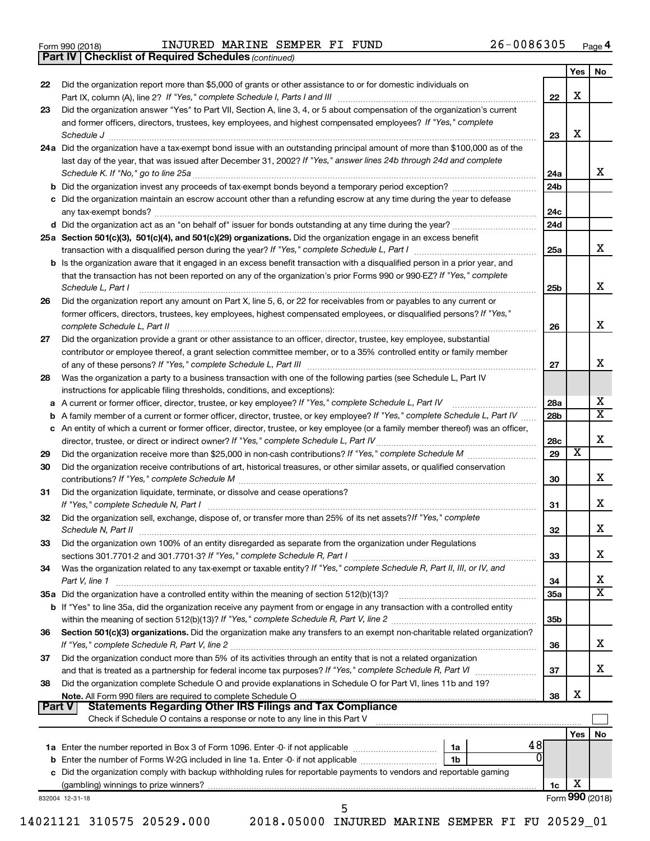|  | Form 990 (2018) |  |
|--|-----------------|--|
|  |                 |  |

*(continued)* **Part IV Checklist of Required Schedules**

| 22                         |                                                                                                                                                                                                                                                                                    |                 |     | Yes  <br>No                       |
|----------------------------|------------------------------------------------------------------------------------------------------------------------------------------------------------------------------------------------------------------------------------------------------------------------------------|-----------------|-----|-----------------------------------|
|                            | Did the organization report more than \$5,000 of grants or other assistance to or for domestic individuals on                                                                                                                                                                      | 22              | X   |                                   |
| 23                         | Did the organization answer "Yes" to Part VII, Section A, line 3, 4, or 5 about compensation of the organization's current                                                                                                                                                         |                 |     |                                   |
|                            | and former officers, directors, trustees, key employees, and highest compensated employees? If "Yes," complete                                                                                                                                                                     | 23              | х   |                                   |
|                            | 24a Did the organization have a tax-exempt bond issue with an outstanding principal amount of more than \$100,000 as of the                                                                                                                                                        |                 |     |                                   |
|                            | last day of the year, that was issued after December 31, 2002? If "Yes," answer lines 24b through 24d and complete                                                                                                                                                                 | 24a             |     | х                                 |
|                            |                                                                                                                                                                                                                                                                                    | 24 <sub>b</sub> |     |                                   |
|                            | c Did the organization maintain an escrow account other than a refunding escrow at any time during the year to defease                                                                                                                                                             | 24c             |     |                                   |
|                            |                                                                                                                                                                                                                                                                                    | 24d             |     |                                   |
|                            | 25a Section 501(c)(3), 501(c)(4), and 501(c)(29) organizations. Did the organization engage in an excess benefit                                                                                                                                                                   |                 |     |                                   |
|                            |                                                                                                                                                                                                                                                                                    | 25a             |     | х                                 |
|                            | <b>b</b> Is the organization aware that it engaged in an excess benefit transaction with a disqualified person in a prior year, and<br>that the transaction has not been reported on any of the organization's prior Forms 990 or 990-EZ? If "Yes," complete<br>Schedule L, Part I | 25b             |     | x                                 |
| 26                         | Did the organization report any amount on Part X, line 5, 6, or 22 for receivables from or payables to any current or<br>former officers, directors, trustees, key employees, highest compensated employees, or disqualified persons? If "Yes,"<br>complete Schedule L, Part II    |                 |     | x                                 |
| 27                         | Did the organization provide a grant or other assistance to an officer, director, trustee, key employee, substantial                                                                                                                                                               | 26              |     |                                   |
|                            | contributor or employee thereof, a grant selection committee member, or to a 35% controlled entity or family member                                                                                                                                                                |                 |     |                                   |
|                            |                                                                                                                                                                                                                                                                                    | 27              |     | x                                 |
| 28                         | Was the organization a party to a business transaction with one of the following parties (see Schedule L, Part IV<br>instructions for applicable filing thresholds, conditions, and exceptions):                                                                                   |                 |     |                                   |
|                            | a A current or former officer, director, trustee, or key employee? If "Yes," complete Schedule L, Part IV                                                                                                                                                                          | 28a             |     | X                                 |
|                            | b A family member of a current or former officer, director, trustee, or key employee? If "Yes," complete Schedule L, Part IV                                                                                                                                                       | 28 <sub>b</sub> |     | $\overline{\textbf{X}}$           |
|                            | c An entity of which a current or former officer, director, trustee, or key employee (or a family member thereof) was an officer,                                                                                                                                                  |                 |     |                                   |
|                            |                                                                                                                                                                                                                                                                                    | 28c             |     | X                                 |
| 29                         |                                                                                                                                                                                                                                                                                    | 29              | х   |                                   |
| 30                         | Did the organization receive contributions of art, historical treasures, or other similar assets, or qualified conservation                                                                                                                                                        | 30              |     | X                                 |
| 31                         | Did the organization liquidate, terminate, or dissolve and cease operations?                                                                                                                                                                                                       | 31              |     | х                                 |
| 32                         | Did the organization sell, exchange, dispose of, or transfer more than 25% of its net assets? If "Yes," complete                                                                                                                                                                   | 32              |     | X                                 |
|                            | Did the organization own 100% of an entity disregarded as separate from the organization under Regulations                                                                                                                                                                         |                 |     |                                   |
|                            |                                                                                                                                                                                                                                                                                    |                 |     |                                   |
|                            |                                                                                                                                                                                                                                                                                    | 33              |     | x                                 |
|                            | Was the organization related to any tax-exempt or taxable entity? If "Yes," complete Schedule R, Part II, III, or IV, and                                                                                                                                                          |                 |     |                                   |
|                            | Part V, line 1                                                                                                                                                                                                                                                                     | 34              |     | х                                 |
|                            |                                                                                                                                                                                                                                                                                    | 35a             |     |                                   |
|                            | b If "Yes" to line 35a, did the organization receive any payment from or engage in any transaction with a controlled entity                                                                                                                                                        | 35b             |     |                                   |
|                            | Section 501(c)(3) organizations. Did the organization make any transfers to an exempt non-charitable related organization?                                                                                                                                                         | 36              |     |                                   |
|                            | Did the organization conduct more than 5% of its activities through an entity that is not a related organization                                                                                                                                                                   | 37              |     |                                   |
| 33<br>34<br>36<br>37<br>38 | Did the organization complete Schedule O and provide explanations in Schedule O for Part VI, lines 11b and 19?                                                                                                                                                                     |                 |     | $\overline{\textbf{X}}$<br>х<br>X |
|                            | <b>Statements Regarding Other IRS Filings and Tax Compliance</b><br>Part V                                                                                                                                                                                                         | 38              | X   |                                   |
|                            | Check if Schedule O contains a response or note to any line in this Part V                                                                                                                                                                                                         |                 |     |                                   |
|                            | 48                                                                                                                                                                                                                                                                                 |                 | Yes |                                   |
|                            | 0<br>1 <sub>b</sub>                                                                                                                                                                                                                                                                |                 |     | No                                |
|                            | <b>b</b> Enter the number of Forms W-2G included in line 1a. Enter -0- if not applicable<br>c Did the organization comply with backup withholding rules for reportable payments to vendors and reportable gaming                                                                   |                 |     |                                   |
|                            |                                                                                                                                                                                                                                                                                    | 1c              | х   |                                   |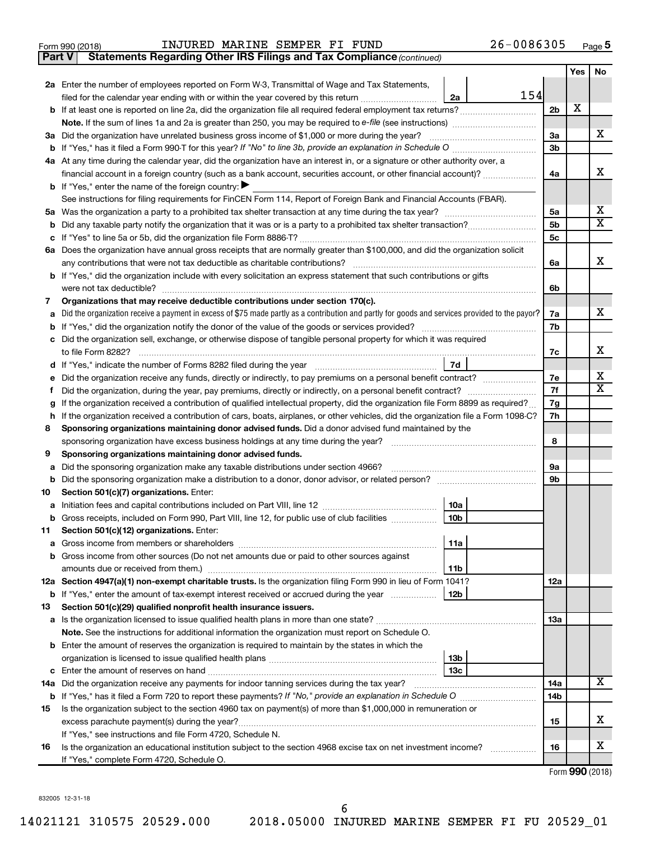|  | Form 990 (2018) |
|--|-----------------|

**Part V** Statements Regarding Other IRS Filings and Tax Compliance (continued)

|         |                                                                                                                                                 |                      | <b>Yes</b> | No                      |  |
|---------|-------------------------------------------------------------------------------------------------------------------------------------------------|----------------------|------------|-------------------------|--|
|         | 2a Enter the number of employees reported on Form W-3, Transmittal of Wage and Tax Statements,                                                  |                      |            |                         |  |
|         | 154<br>filed for the calendar year ending with or within the year covered by this return<br>2a                                                  |                      |            |                         |  |
|         |                                                                                                                                                 | 2b                   | x          |                         |  |
|         |                                                                                                                                                 |                      |            |                         |  |
|         | 3a Did the organization have unrelated business gross income of \$1,000 or more during the year?                                                | За                   |            | X                       |  |
|         | <b>b</b> If "Yes," has it filed a Form 990-T for this year? If "No" to line 3b, provide an explanation in Schedule O manumum                    | 3b                   |            |                         |  |
|         | 4a At any time during the calendar year, did the organization have an interest in, or a signature or other authority over, a                    |                      |            |                         |  |
|         | financial account in a foreign country (such as a bank account, securities account, or other financial account)?                                | 4a                   |            | x                       |  |
|         | <b>b</b> If "Yes," enter the name of the foreign country:                                                                                       |                      |            |                         |  |
|         | See instructions for filing requirements for FinCEN Form 114, Report of Foreign Bank and Financial Accounts (FBAR).                             |                      |            | х                       |  |
|         |                                                                                                                                                 | 5a                   |            | $\overline{\mathbf{X}}$ |  |
| b       |                                                                                                                                                 | 5b<br>5 <sub>c</sub> |            |                         |  |
|         | 6a Does the organization have annual gross receipts that are normally greater than \$100,000, and did the organization solicit                  |                      |            |                         |  |
|         | any contributions that were not tax deductible as charitable contributions?                                                                     | 6a                   |            | x                       |  |
|         | b If "Yes," did the organization include with every solicitation an express statement that such contributions or gifts                          |                      |            |                         |  |
|         | were not tax deductible?                                                                                                                        | 6b                   |            |                         |  |
| 7       | Organizations that may receive deductible contributions under section 170(c).                                                                   |                      |            |                         |  |
| a       | Did the organization receive a payment in excess of \$75 made partly as a contribution and partly for goods and services provided to the payor? | 7a                   |            | X.                      |  |
| b       |                                                                                                                                                 | 7b                   |            |                         |  |
|         | c Did the organization sell, exchange, or otherwise dispose of tangible personal property for which it was required                             |                      |            |                         |  |
|         | to file Form 8282?                                                                                                                              | 7c                   |            | X.                      |  |
| d       | 7d                                                                                                                                              |                      |            |                         |  |
|         | Did the organization receive any funds, directly or indirectly, to pay premiums on a personal benefit contract?                                 |                      |            |                         |  |
|         |                                                                                                                                                 |                      |            |                         |  |
| g       | If the organization received a contribution of qualified intellectual property, did the organization file Form 8899 as required?                |                      |            |                         |  |
| h.      | If the organization received a contribution of cars, boats, airplanes, or other vehicles, did the organization file a Form 1098-C?              |                      |            |                         |  |
| 8       | Sponsoring organizations maintaining donor advised funds. Did a donor advised fund maintained by the                                            |                      |            |                         |  |
|         | sponsoring organization have excess business holdings at any time during the year?                                                              | 8                    |            |                         |  |
| 9       | Sponsoring organizations maintaining donor advised funds.                                                                                       |                      |            |                         |  |
| a       | Did the sponsoring organization make any taxable distributions under section 4966?                                                              | 9а                   |            |                         |  |
| b       |                                                                                                                                                 | 9b                   |            |                         |  |
| 10      | Section 501(c)(7) organizations. Enter:                                                                                                         |                      |            |                         |  |
| а       | 10a<br>10 <sub>b</sub>                                                                                                                          |                      |            |                         |  |
| b<br>11 | Gross receipts, included on Form 990, Part VIII, line 12, for public use of club facilities<br>Section 501(c)(12) organizations. Enter:         |                      |            |                         |  |
|         | 11a                                                                                                                                             |                      |            |                         |  |
|         | b Gross income from other sources (Do not net amounts due or paid to other sources against                                                      |                      |            |                         |  |
|         | amounts due or received from them.)<br>11b                                                                                                      |                      |            |                         |  |
|         | 12a Section 4947(a)(1) non-exempt charitable trusts. Is the organization filing Form 990 in lieu of Form 1041?                                  | 12a                  |            |                         |  |
|         | <b>b</b> If "Yes," enter the amount of tax-exempt interest received or accrued during the year<br>12b                                           |                      |            |                         |  |
| 13      | Section 501(c)(29) qualified nonprofit health insurance issuers.                                                                                |                      |            |                         |  |
|         | a Is the organization licensed to issue qualified health plans in more than one state?                                                          | 1За                  |            |                         |  |
|         | Note. See the instructions for additional information the organization must report on Schedule O.                                               |                      |            |                         |  |
|         | <b>b</b> Enter the amount of reserves the organization is required to maintain by the states in which the                                       |                      |            |                         |  |
|         | 13 <sub>b</sub>                                                                                                                                 |                      |            |                         |  |
| c       | 13c                                                                                                                                             |                      |            |                         |  |
|         | 14a Did the organization receive any payments for indoor tanning services during the tax year?                                                  | 14a                  |            | x                       |  |
|         |                                                                                                                                                 | 14b                  |            |                         |  |
| 15      | Is the organization subject to the section 4960 tax on payment(s) of more than \$1,000,000 in remuneration or                                   |                      |            |                         |  |
|         | excess parachute payment(s) during the year?                                                                                                    | 15                   |            | x                       |  |
|         | If "Yes," see instructions and file Form 4720, Schedule N.                                                                                      |                      |            |                         |  |
| 16      | Is the organization an educational institution subject to the section 4968 excise tax on net investment income?                                 | 16                   |            | х                       |  |
|         | If "Yes," complete Form 4720, Schedule O.                                                                                                       |                      |            |                         |  |

Form (2018) **990**

832005 12-31-18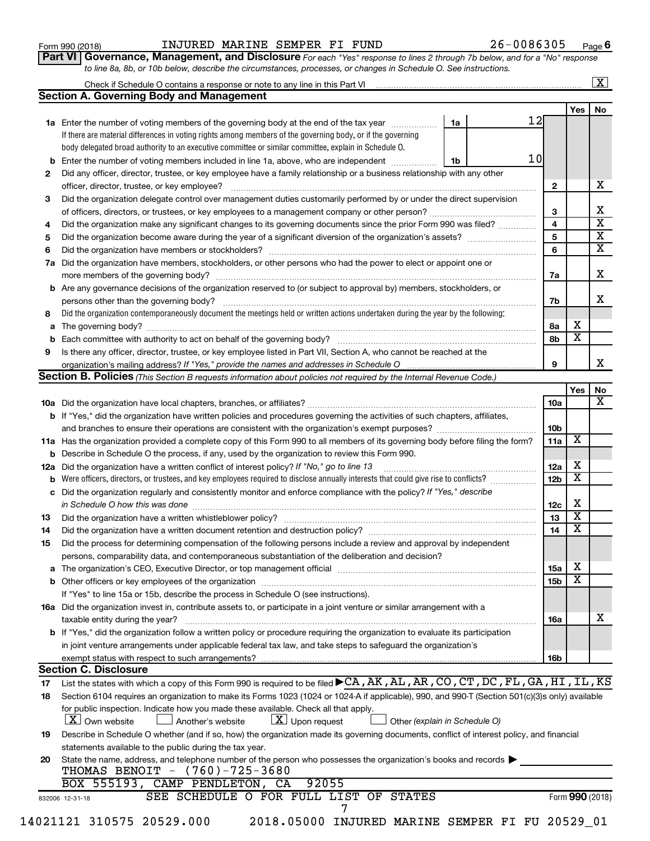| Form 990 (2018) |  |
|-----------------|--|
|-----------------|--|

#### Form 990 (2018) Page INJURED MARINE SEMPER FI FUND 26-0086305

**Part VI** Governance, Management, and Disclosure For each "Yes" response to lines 2 through 7b below, and for a "No" response *to line 8a, 8b, or 10b below, describe the circumstances, processes, or changes in Schedule O. See instructions.*

|                | Check if Schedule O contains a response or note to any line in this Part VI [11] [12] [2] [2] [2] Check if Schedule O contains a response or note to any line in this Part VI                                                 |    |    |                 |                         | $\boxed{\text{X}}$ |
|----------------|-------------------------------------------------------------------------------------------------------------------------------------------------------------------------------------------------------------------------------|----|----|-----------------|-------------------------|--------------------|
|                | <b>Section A. Governing Body and Management</b>                                                                                                                                                                               |    |    |                 |                         |                    |
|                |                                                                                                                                                                                                                               |    | 12 |                 | Yes                     | No                 |
|                | 1a Enter the number of voting members of the governing body at the end of the tax year                                                                                                                                        | 1a |    |                 |                         |                    |
|                | If there are material differences in voting rights among members of the governing body, or if the governing                                                                                                                   |    |    |                 |                         |                    |
|                | body delegated broad authority to an executive committee or similar committee, explain in Schedule O.                                                                                                                         |    |    |                 |                         |                    |
| b              | Enter the number of voting members included in line 1a, above, who are independent                                                                                                                                            | 1b | 10 |                 |                         |                    |
| 2              | Did any officer, director, trustee, or key employee have a family relationship or a business relationship with any other                                                                                                      |    |    |                 |                         |                    |
|                | officer, director, trustee, or key employee?                                                                                                                                                                                  |    |    | $\mathbf{2}$    |                         |                    |
| 3              | Did the organization delegate control over management duties customarily performed by or under the direct supervision                                                                                                         |    |    |                 |                         |                    |
|                |                                                                                                                                                                                                                               |    |    | 3               |                         |                    |
| 4              | Did the organization make any significant changes to its governing documents since the prior Form 990 was filed?                                                                                                              |    |    | 4               |                         |                    |
| 5              |                                                                                                                                                                                                                               |    |    | 5               |                         |                    |
| 6              |                                                                                                                                                                                                                               |    |    | 6               |                         |                    |
| 7a             | Did the organization have members, stockholders, or other persons who had the power to elect or appoint one or                                                                                                                |    |    |                 |                         |                    |
|                |                                                                                                                                                                                                                               |    |    | 7a              |                         |                    |
| b              | Are any governance decisions of the organization reserved to (or subject to approval by) members, stockholders, or                                                                                                            |    |    |                 |                         |                    |
|                |                                                                                                                                                                                                                               |    |    | 7b              |                         |                    |
| 8              | Did the organization contemporaneously document the meetings held or written actions undertaken during the year by the following:                                                                                             |    |    |                 |                         |                    |
| a              |                                                                                                                                                                                                                               |    |    | 8a              | х                       |                    |
|                |                                                                                                                                                                                                                               |    |    | 8b              | $\overline{\mathbf{x}}$ |                    |
| 9              | Is there any officer, director, trustee, or key employee listed in Part VII, Section A, who cannot be reached at the                                                                                                          |    |    |                 |                         |                    |
|                |                                                                                                                                                                                                                               |    |    | 9               |                         |                    |
|                | Section B. Policies (This Section B requests information about policies not required by the Internal Revenue Code.)                                                                                                           |    |    |                 |                         |                    |
|                |                                                                                                                                                                                                                               |    |    |                 | Yes                     |                    |
|                |                                                                                                                                                                                                                               |    |    | <b>10a</b>      |                         |                    |
|                | <b>b</b> If "Yes," did the organization have written policies and procedures governing the activities of such chapters, affiliates,                                                                                           |    |    |                 |                         |                    |
|                |                                                                                                                                                                                                                               |    |    | 10b             |                         |                    |
|                | 11a Has the organization provided a complete copy of this Form 990 to all members of its governing body before filing the form?                                                                                               |    |    | 11a             | X                       |                    |
|                | <b>b</b> Describe in Schedule O the process, if any, used by the organization to review this Form 990.                                                                                                                        |    |    |                 |                         |                    |
|                | 12a Did the organization have a written conflict of interest policy? If "No," go to line 13                                                                                                                                   |    |    | 12a             | X                       |                    |
|                | Were officers, directors, or trustees, and key employees required to disclose annually interests that could give rise to conflicts?                                                                                           |    |    | 12 <sub>b</sub> | $\overline{\mathbf{x}}$ |                    |
|                | Did the organization regularly and consistently monitor and enforce compliance with the policy? If "Yes," describe                                                                                                            |    |    |                 |                         |                    |
| с              |                                                                                                                                                                                                                               |    |    |                 | X                       |                    |
|                | in Schedule O how this was done manufactured and continuum and contact the was done manufactured and contact t                                                                                                                |    |    | 12c             | $\overline{\mathbf{X}}$ |                    |
| 13             |                                                                                                                                                                                                                               |    |    | 13              | $\overline{\mathbf{x}}$ |                    |
| 14             |                                                                                                                                                                                                                               |    |    | 14              |                         |                    |
| 15             | Did the process for determining compensation of the following persons include a review and approval by independent                                                                                                            |    |    |                 |                         |                    |
|                | persons, comparability data, and contemporaneous substantiation of the deliberation and decision?                                                                                                                             |    |    |                 |                         |                    |
| а              | The organization's CEO, Executive Director, or top management official [111] [12] manument content of the organization's CEO, Executive Director, or top management official [11] manument content of the original content of |    |    | 15a             | х                       |                    |
|                |                                                                                                                                                                                                                               |    |    | 15b             | $\overline{\textbf{x}}$ |                    |
|                | If "Yes" to line 15a or 15b, describe the process in Schedule O (see instructions).                                                                                                                                           |    |    |                 |                         |                    |
|                | 16a Did the organization invest in, contribute assets to, or participate in a joint venture or similar arrangement with a                                                                                                     |    |    |                 |                         |                    |
|                | taxable entity during the year?                                                                                                                                                                                               |    |    | 16a             |                         |                    |
|                | b If "Yes," did the organization follow a written policy or procedure requiring the organization to evaluate its participation                                                                                                |    |    |                 |                         |                    |
|                |                                                                                                                                                                                                                               |    |    |                 |                         |                    |
|                | in joint venture arrangements under applicable federal tax law, and take steps to safeguard the organization's                                                                                                                |    |    |                 |                         |                    |
|                | exempt status with respect to such arrangements?                                                                                                                                                                              |    |    | 16b             |                         |                    |
|                | <b>Section C. Disclosure</b>                                                                                                                                                                                                  |    |    |                 |                         |                    |
|                | List the states with which a copy of this Form 990 is required to be filed CA, AK, AL, AR, CO, CT, DC, FL, GA, HI, IL, KS                                                                                                     |    |    |                 |                         |                    |
|                | Section 6104 requires an organization to make its Forms 1023 (1024 or 1024 A if applicable), 990, and 990-T (Section 501(c)(3)s only) available                                                                               |    |    |                 |                         |                    |
|                | for public inspection. Indicate how you made these available. Check all that apply.                                                                                                                                           |    |    |                 |                         |                    |
|                | $\lfloor x \rfloor$ Upon request<br>  X   Own website<br>Another's website<br>Other (explain in Schedule O)                                                                                                                   |    |    |                 |                         |                    |
| 17<br>18<br>19 | Describe in Schedule O whether (and if so, how) the organization made its governing documents, conflict of interest policy, and financial                                                                                     |    |    |                 |                         |                    |
|                | statements available to the public during the tax year.                                                                                                                                                                       |    |    |                 |                         |                    |
| 20             | State the name, address, and telephone number of the person who possesses the organization's books and records                                                                                                                |    |    |                 |                         |                    |
|                | THOMAS BENOIT - (760)-725-3680                                                                                                                                                                                                |    |    |                 |                         |                    |
|                | BOX 555193, CAMP PENDLETON, CA<br>92055                                                                                                                                                                                       |    |    |                 |                         |                    |
|                | SEE SCHEDULE O FOR FULL LIST OF STATES<br>832006 12-31-18                                                                                                                                                                     |    |    |                 | Form 990 (2018)         |                    |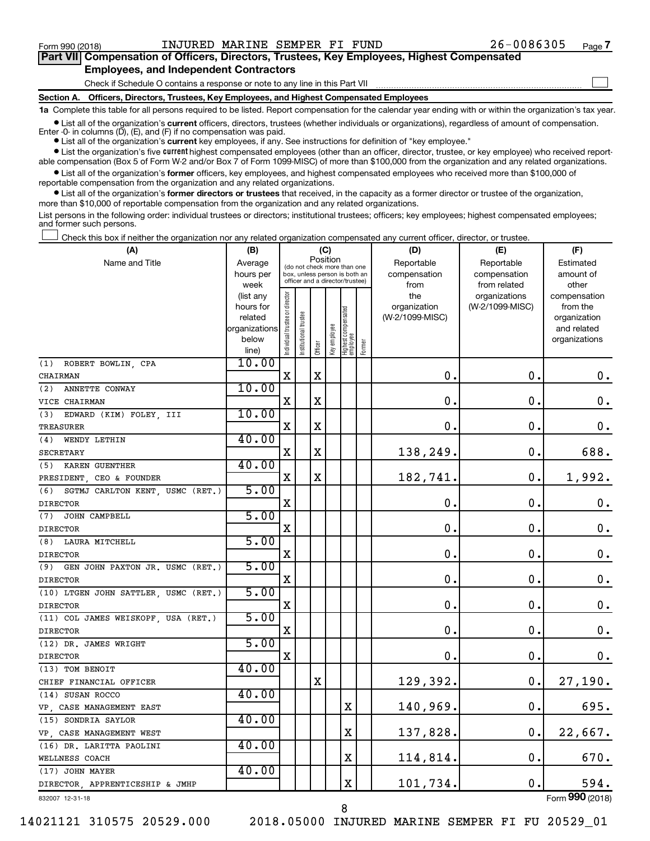$\Box$ 

| Part VII Compensation of Officers, Directors, Trustees, Key Employees, Highest Compensated |  |  |
|--------------------------------------------------------------------------------------------|--|--|
| <b>Employees, and Independent Contractors</b>                                              |  |  |

Check if Schedule O contains a response or note to any line in this Part VII

**Section A. Officers, Directors, Trustees, Key Employees, and Highest Compensated Employees**

**1a**  Complete this table for all persons required to be listed. Report compensation for the calendar year ending with or within the organization's tax year.

 $\bullet$  List all of the organization's current officers, directors, trustees (whether individuals or organizations), regardless of amount of compensation. Enter  $-0$ - in columns  $(D)$ ,  $(E)$ , and  $(F)$  if no compensation was paid.

**•** List all of the organization's **current** key employees, if any. See instructions for definition of "key employee."

**•** List the organization's five current highest compensated employees (other than an officer, director, trustee, or key employee) who received reportable compensation (Box 5 of Form W-2 and/or Box 7 of Form 1099-MISC) of more than \$100,000 from the organization and any related organizations.

**•** List all of the organization's former officers, key employees, and highest compensated employees who received more than \$100,000 of reportable compensation from the organization and any related organizations.

**•** List all of the organization's former directors or trustees that received, in the capacity as a former director or trustee of the organization, more than \$10,000 of reportable compensation from the organization and any related organizations.

List persons in the following order: individual trustees or directors; institutional trustees; officers; key employees; highest compensated employees; and former such persons.

Check this box if neither the organization nor any related organization compensated any current officer, director, or trustee.  $\Box$ 

| (A)                                    | (B)                    |                                |                                                                  | (C)         |              |                                 |        | (D)                             | (E)                              | (F)                      |
|----------------------------------------|------------------------|--------------------------------|------------------------------------------------------------------|-------------|--------------|---------------------------------|--------|---------------------------------|----------------------------------|--------------------------|
| Name and Title                         | Average                |                                | (do not check more than one                                      |             | Position     |                                 |        | Reportable                      | Reportable                       | Estimated                |
|                                        | hours per              |                                | box, unless person is both an<br>officer and a director/trustee) |             |              |                                 |        | compensation                    | compensation                     | amount of                |
|                                        | week                   |                                |                                                                  |             |              |                                 |        | from                            | from related                     | other                    |
|                                        | (list any<br>hours for |                                |                                                                  |             |              |                                 |        | the                             | organizations<br>(W-2/1099-MISC) | compensation<br>from the |
|                                        | related                |                                |                                                                  |             |              |                                 |        | organization<br>(W-2/1099-MISC) |                                  | organization             |
|                                        | organizations          |                                |                                                                  |             |              |                                 |        |                                 |                                  | and related              |
|                                        | below                  |                                |                                                                  |             |              |                                 |        |                                 |                                  | organizations            |
|                                        | line)                  | Individual trustee or director | Institutional trustee                                            | Officer     | Key employee | Highest compensated<br>employee | Former |                                 |                                  |                          |
| ROBERT BOWLIN, CPA<br>(1)              | 10.00                  |                                |                                                                  |             |              |                                 |        |                                 |                                  |                          |
| CHAIRMAN                               |                        | $\mathbf X$                    |                                                                  | $\mathbf X$ |              |                                 |        | 0.                              | 0.                               | 0.                       |
| ANNETTE CONWAY<br>(2)                  | 10.00                  |                                |                                                                  |             |              |                                 |        |                                 |                                  |                          |
| VICE CHAIRMAN                          |                        | х                              |                                                                  | $\mathbf X$ |              |                                 |        | 0.                              | $\mathbf 0$ .                    | 0.                       |
| (3)<br>EDWARD (KIM) FOLEY, III         | 10.00                  |                                |                                                                  |             |              |                                 |        |                                 |                                  |                          |
| TREASURER                              |                        | X                              |                                                                  | $\mathbf X$ |              |                                 |        | 0.                              | $\mathbf 0$ .                    | 0.                       |
| WENDY LETHIN<br>(4)                    | 40.00                  |                                |                                                                  |             |              |                                 |        |                                 |                                  |                          |
| <b>SECRETARY</b>                       |                        | X                              |                                                                  | $\mathbf X$ |              |                                 |        | 138,249.                        | $\mathbf 0$ .                    | 688.                     |
| (5)<br><b>KAREN GUENTHER</b>           | 40.00                  |                                |                                                                  |             |              |                                 |        |                                 |                                  |                          |
| PRESIDENT, CEO & FOUNDER               |                        | X                              |                                                                  | X           |              |                                 |        | 182,741.                        | 0.                               | 1,992.                   |
| SGTMJ CARLTON KENT, USMC (RET.)<br>(6) | 5.00                   |                                |                                                                  |             |              |                                 |        |                                 |                                  |                          |
| <b>DIRECTOR</b>                        |                        | X                              |                                                                  |             |              |                                 |        | $\mathbf 0$ .                   | 0.                               | 0.                       |
| JOHN CAMPBELL<br>(7)                   | 5.00                   |                                |                                                                  |             |              |                                 |        |                                 |                                  |                          |
| <b>DIRECTOR</b>                        |                        | X                              |                                                                  |             |              |                                 |        | 0.                              | 0.                               | 0.                       |
| (8) LAURA MITCHELL                     | 5.00                   |                                |                                                                  |             |              |                                 |        |                                 |                                  |                          |
| <b>DIRECTOR</b>                        |                        | $\mathbf X$                    |                                                                  |             |              |                                 |        | 0.                              | $\mathbf 0$ .                    | $\boldsymbol{0}$ .       |
| (9)<br>GEN JOHN PAXTON JR. USMC (RET.) | 5.00                   |                                |                                                                  |             |              |                                 |        |                                 |                                  |                          |
| <b>DIRECTOR</b>                        |                        | X                              |                                                                  |             |              |                                 |        | 0.                              | 0.                               | 0.                       |
| (10) LTGEN JOHN SATTLER, USMC (RET.)   | 5.00                   |                                |                                                                  |             |              |                                 |        |                                 |                                  |                          |
| <b>DIRECTOR</b>                        |                        | X                              |                                                                  |             |              |                                 |        | $\mathbf 0$ .                   | $\mathbf 0$ .                    | $\mathbf 0$ .            |
| (11) COL JAMES WEISKOPF, USA (RET.)    | 5.00                   |                                |                                                                  |             |              |                                 |        |                                 |                                  |                          |
| <b>DIRECTOR</b>                        |                        | X                              |                                                                  |             |              |                                 |        | $\mathbf 0$                     | 0.                               | 0.                       |
| (12) DR. JAMES WRIGHT                  | 5.00                   |                                |                                                                  |             |              |                                 |        |                                 |                                  |                          |
| <b>DIRECTOR</b>                        |                        | х                              |                                                                  |             |              |                                 |        | $\mathbf 0$                     | 0.                               | 0.                       |
| (13) TOM BENOIT                        | 40.00                  |                                |                                                                  |             |              |                                 |        |                                 |                                  |                          |
| CHIEF FINANCIAL OFFICER                |                        |                                |                                                                  | х           |              |                                 |        | 129,392.                        | 0.                               | 27,190.                  |
| (14) SUSAN ROCCO                       | 40.00                  |                                |                                                                  |             |              |                                 |        |                                 |                                  |                          |
| VP, CASE MANAGEMENT EAST               |                        |                                |                                                                  |             |              | X                               |        | 140,969.                        | 0.                               | 695.                     |
| (15) SONDRIA SAYLOR                    | 40.00                  |                                |                                                                  |             |              |                                 |        |                                 |                                  |                          |
| VP, CASE MANAGEMENT WEST               |                        |                                |                                                                  |             |              | X                               |        | 137,828.                        | $\mathbf 0$ .                    | 22,667.                  |
| (16) DR. LARITTA PAOLINI               | 40.00                  |                                |                                                                  |             |              |                                 |        |                                 |                                  |                          |
| WELLNESS COACH                         |                        |                                |                                                                  |             |              | X                               |        | 114,814.                        | 0.                               | 670.                     |
| (17) JOHN MAYER                        | 40.00                  |                                |                                                                  |             |              |                                 |        |                                 |                                  |                          |
| DIRECTOR, APPRENTICESHIP & JMHP        |                        |                                |                                                                  |             |              | X                               |        | 101,734.                        | 0.                               | 594.<br>$\overline{000}$ |
|                                        |                        |                                |                                                                  |             |              |                                 |        |                                 |                                  |                          |

832007 12-31-18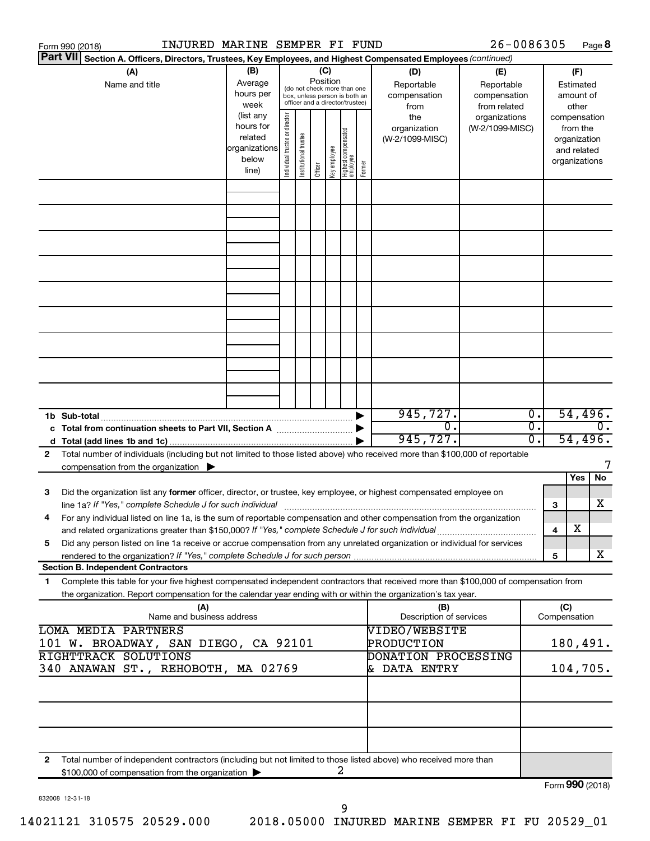| Form 990 (2018)                                                                                                                                                                                                                 | INJURED MARINE SEMPER FI FUND                                        |                                                                                                                                  |                                                                                                 |  |                 |   |                                                    | 26-0086305                                        |          |                     | Page 8                                                                   |
|---------------------------------------------------------------------------------------------------------------------------------------------------------------------------------------------------------------------------------|----------------------------------------------------------------------|----------------------------------------------------------------------------------------------------------------------------------|-------------------------------------------------------------------------------------------------|--|-----------------|---|----------------------------------------------------|---------------------------------------------------|----------|---------------------|--------------------------------------------------------------------------|
| <b>Part VII</b><br>Section A. Officers, Directors, Trustees, Key Employees, and Highest Compensated Employees (continued)                                                                                                       |                                                                      |                                                                                                                                  |                                                                                                 |  |                 |   |                                                    |                                                   |          |                     |                                                                          |
| (A)<br>Name and title                                                                                                                                                                                                           | (B)<br>Average<br>hours per<br>week                                  |                                                                                                                                  | (do not check more than one<br>box, unless person is both an<br>officer and a director/trustee) |  | (C)<br>Position |   | (D)<br>Reportable<br>compensation<br>from          | (E)<br>Reportable<br>compensation<br>from related |          |                     | (F)<br>Estimated<br>amount of<br>other                                   |
|                                                                                                                                                                                                                                 | (list any<br>hours for<br>related<br>organizations<br>below<br>line) | Individual trustee or director<br>Highest compensated<br> employee<br>Institutional trustee<br>Key employee<br>Former<br>Officer |                                                                                                 |  |                 |   | the<br>organization<br>(W-2/1099-MISC)             | organizations<br>(W-2/1099-MISC)                  |          |                     | compensation<br>from the<br>organization<br>and related<br>organizations |
|                                                                                                                                                                                                                                 |                                                                      |                                                                                                                                  |                                                                                                 |  |                 |   |                                                    |                                                   |          |                     |                                                                          |
|                                                                                                                                                                                                                                 |                                                                      |                                                                                                                                  |                                                                                                 |  |                 |   |                                                    |                                                   |          |                     |                                                                          |
|                                                                                                                                                                                                                                 |                                                                      |                                                                                                                                  |                                                                                                 |  |                 |   |                                                    |                                                   |          |                     |                                                                          |
|                                                                                                                                                                                                                                 |                                                                      |                                                                                                                                  |                                                                                                 |  |                 |   |                                                    |                                                   |          |                     |                                                                          |
|                                                                                                                                                                                                                                 |                                                                      |                                                                                                                                  |                                                                                                 |  |                 |   |                                                    |                                                   |          |                     |                                                                          |
| 1b Sub-total                                                                                                                                                                                                                    |                                                                      |                                                                                                                                  |                                                                                                 |  |                 |   | 945, 727.<br>σ.                                    |                                                   | Ο.<br>σ. |                     | 54,496.<br>$\overline{0}$ .                                              |
| Total number of individuals (including but not limited to those listed above) who received more than \$100,000 of reportable<br>2                                                                                               |                                                                      |                                                                                                                                  |                                                                                                 |  |                 |   | 945,727.                                           |                                                   | 0.       |                     | 54,496.                                                                  |
| compensation from the organization $\blacktriangleright$                                                                                                                                                                        |                                                                      |                                                                                                                                  |                                                                                                 |  |                 |   |                                                    |                                                   |          |                     | Yes<br>No                                                                |
| Did the organization list any former officer, director, or trustee, key employee, or highest compensated employee on<br>3                                                                                                       |                                                                      |                                                                                                                                  |                                                                                                 |  |                 |   |                                                    |                                                   |          | 3                   | х                                                                        |
| For any individual listed on line 1a, is the sum of reportable compensation and other compensation from the organization<br>and related organizations greater than \$150,000? If "Yes," complete Schedule J for such individual |                                                                      |                                                                                                                                  |                                                                                                 |  |                 |   |                                                    |                                                   |          | 4                   | х                                                                        |
| Did any person listed on line 1a receive or accrue compensation from any unrelated organization or individual for services<br>5<br>rendered to the organization? If "Yes," complete Schedule J for such person                  |                                                                      |                                                                                                                                  |                                                                                                 |  |                 |   |                                                    |                                                   |          | 5                   | x                                                                        |
| <b>Section B. Independent Contractors</b><br>Complete this table for your five highest compensated independent contractors that received more than \$100,000 of compensation from<br>1.                                         |                                                                      |                                                                                                                                  |                                                                                                 |  |                 |   |                                                    |                                                   |          |                     |                                                                          |
| the organization. Report compensation for the calendar year ending with or within the organization's tax year.<br>(A)<br>Name and business address                                                                              |                                                                      |                                                                                                                                  |                                                                                                 |  |                 |   | (B)<br>Description of services                     |                                                   |          | (C)<br>Compensation |                                                                          |
| <b>LOMA MEDIA PARTNERS</b><br>101 W. BROADWAY, SAN DIEGO, CA 92101<br>RIGHTTRACK SOLUTIONS                                                                                                                                      |                                                                      |                                                                                                                                  |                                                                                                 |  |                 |   | VIDEO/WEBSITE<br>PRODUCTION<br>DONATION PROCESSING |                                                   |          |                     | 180,491.                                                                 |
| 340 ANAWAN ST., REHOBOTH, MA 02769                                                                                                                                                                                              |                                                                      |                                                                                                                                  |                                                                                                 |  |                 |   | & DATA ENTRY                                       |                                                   |          |                     | 104,705.                                                                 |
|                                                                                                                                                                                                                                 |                                                                      |                                                                                                                                  |                                                                                                 |  |                 |   |                                                    |                                                   |          |                     |                                                                          |
| Total number of independent contractors (including but not limited to those listed above) who received more than<br>2<br>\$100,000 of compensation from the organization                                                        |                                                                      |                                                                                                                                  |                                                                                                 |  |                 | 2 |                                                    |                                                   |          |                     |                                                                          |
|                                                                                                                                                                                                                                 |                                                                      |                                                                                                                                  |                                                                                                 |  |                 |   |                                                    |                                                   |          |                     | Form 990 (2018)                                                          |

832008 12-31-18

9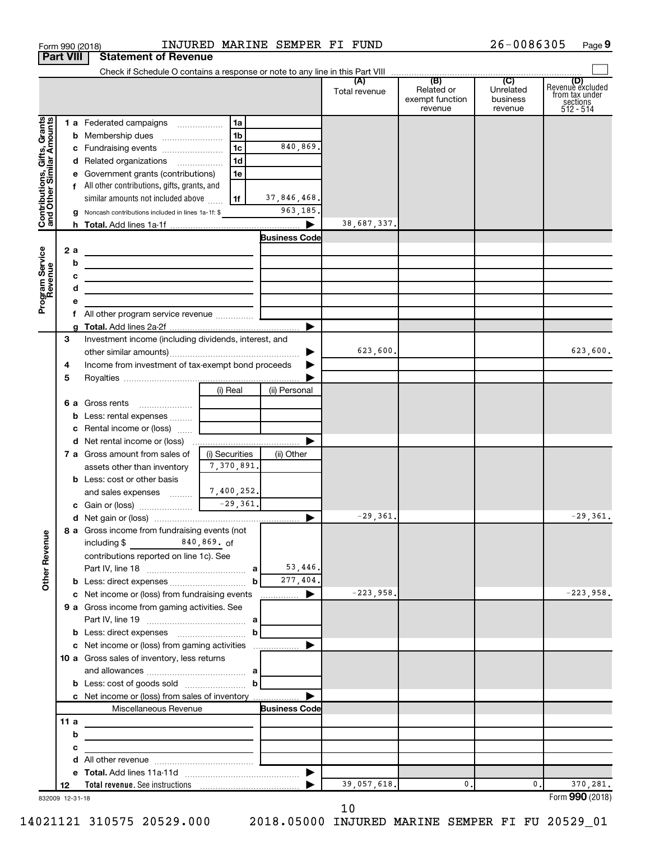|                                                           |                  | Form 990 (2018)                                                                                                      |                | INJURED MARINE SEMPER FI FUND |                      |                                          | 26-0086305                              | Page 9                                                      |
|-----------------------------------------------------------|------------------|----------------------------------------------------------------------------------------------------------------------|----------------|-------------------------------|----------------------|------------------------------------------|-----------------------------------------|-------------------------------------------------------------|
|                                                           | <b>Part VIII</b> | <b>Statement of Revenue</b>                                                                                          |                |                               |                      |                                          |                                         |                                                             |
|                                                           |                  | Check if Schedule O contains a response or note to any line in this Part VIII                                        |                |                               |                      | (B)                                      |                                         |                                                             |
|                                                           |                  |                                                                                                                      |                |                               | (A)<br>Total revenue | Related or<br>exempt function<br>revenue | (C)<br>Unrelated<br>business<br>revenue | Revenue excluded<br>from tax under<br>sections<br>512 - 514 |
|                                                           |                  | 1 a Federated campaigns                                                                                              | 1a             |                               |                      |                                          |                                         |                                                             |
| Grants                                                    |                  | <b>b</b> Membership dues                                                                                             | 1 <sub>b</sub> |                               |                      |                                          |                                         |                                                             |
|                                                           |                  | c Fundraising events                                                                                                 | 1c             | 840,869.                      |                      |                                          |                                         |                                                             |
|                                                           |                  | d Related organizations                                                                                              | 1d             |                               |                      |                                          |                                         |                                                             |
|                                                           |                  | e Government grants (contributions)                                                                                  | 1e             |                               |                      |                                          |                                         |                                                             |
|                                                           |                  | f All other contributions, gifts, grants, and                                                                        |                |                               |                      |                                          |                                         |                                                             |
|                                                           |                  | similar amounts not included above                                                                                   | l 1f           | 37,846,468.                   |                      |                                          |                                         |                                                             |
| Contributions, Gifts, Grants<br>and Other Similar Amounts |                  | g Noncash contributions included in lines 1a-1f: \$                                                                  |                | 963,185                       | 38,687,337.          |                                          |                                         |                                                             |
|                                                           |                  |                                                                                                                      |                | <b>Business Code</b>          |                      |                                          |                                         |                                                             |
|                                                           | 2 a              |                                                                                                                      |                |                               |                      |                                          |                                         |                                                             |
|                                                           | b                | <u> 1980 - Andrea Andrew Maria (h. 1980).</u>                                                                        |                |                               |                      |                                          |                                         |                                                             |
|                                                           | c                | the contract of the contract of the contract of the contract of the contract of                                      |                |                               |                      |                                          |                                         |                                                             |
|                                                           | d                | the control of the control of the control of the control of the control of                                           |                |                               |                      |                                          |                                         |                                                             |
| Program Service<br>Revenue                                | е                |                                                                                                                      |                |                               |                      |                                          |                                         |                                                             |
|                                                           | f.               |                                                                                                                      |                |                               |                      |                                          |                                         |                                                             |
|                                                           |                  |                                                                                                                      |                | ▶                             |                      |                                          |                                         |                                                             |
|                                                           | 3                | Investment income (including dividends, interest, and                                                                |                |                               |                      |                                          |                                         |                                                             |
|                                                           |                  |                                                                                                                      |                | ▶                             | 623,600.             |                                          |                                         | 623,600.                                                    |
|                                                           | 4                | Income from investment of tax-exempt bond proceeds                                                                   |                |                               |                      |                                          |                                         |                                                             |
|                                                           | 5                |                                                                                                                      |                |                               |                      |                                          |                                         |                                                             |
|                                                           |                  |                                                                                                                      | (i) Real       | (ii) Personal                 |                      |                                          |                                         |                                                             |
|                                                           |                  | 6 a Gross rents<br><b>b</b> Less: rental expenses                                                                    |                |                               |                      |                                          |                                         |                                                             |
|                                                           |                  | c Rental income or (loss)                                                                                            |                |                               |                      |                                          |                                         |                                                             |
|                                                           |                  | d Net rental income or (loss)                                                                                        |                |                               |                      |                                          |                                         |                                                             |
|                                                           |                  | 7 a Gross amount from sales of                                                                                       | (i) Securities | (ii) Other                    |                      |                                          |                                         |                                                             |
|                                                           |                  | assets other than inventory                                                                                          | 7,370,891.     |                               |                      |                                          |                                         |                                                             |
|                                                           |                  | <b>b</b> Less: cost or other basis                                                                                   |                |                               |                      |                                          |                                         |                                                             |
|                                                           |                  | and sales expenses                                                                                                   | 7,400,252.     |                               |                      |                                          |                                         |                                                             |
|                                                           |                  |                                                                                                                      | $-29,361.$     |                               |                      |                                          |                                         |                                                             |
|                                                           |                  |                                                                                                                      |                |                               | $-29,361.$           |                                          |                                         | $-29,361.$                                                  |
|                                                           |                  | 8 a Gross income from fundraising events (not                                                                        |                |                               |                      |                                          |                                         |                                                             |
|                                                           |                  |                                                                                                                      |                |                               |                      |                                          |                                         |                                                             |
| <b>Other Revenue</b>                                      |                  | contributions reported on line 1c). See                                                                              |                |                               |                      |                                          |                                         |                                                             |
|                                                           |                  |                                                                                                                      | b              | 53,446.<br>277,404.           |                      |                                          |                                         |                                                             |
|                                                           |                  | c Net income or (loss) from fundraising events                                                                       |                | ▶<br>.                        | $-223,958.$          |                                          |                                         | $-223,958.$                                                 |
|                                                           |                  | 9 a Gross income from gaming activities. See                                                                         |                |                               |                      |                                          |                                         |                                                             |
|                                                           |                  |                                                                                                                      |                |                               |                      |                                          |                                         |                                                             |
|                                                           |                  |                                                                                                                      | b              |                               |                      |                                          |                                         |                                                             |
|                                                           |                  | c Net income or (loss) from gaming activities                                                                        |                | ▶                             |                      |                                          |                                         |                                                             |
|                                                           |                  | 10 a Gross sales of inventory, less returns                                                                          |                |                               |                      |                                          |                                         |                                                             |
|                                                           |                  |                                                                                                                      |                |                               |                      |                                          |                                         |                                                             |
|                                                           |                  |                                                                                                                      | $\mathbf b$    |                               |                      |                                          |                                         |                                                             |
|                                                           |                  | c Net income or (loss) from sales of inventory                                                                       |                |                               |                      |                                          |                                         |                                                             |
|                                                           |                  | Miscellaneous Revenue                                                                                                |                | <b>Business Code</b>          |                      |                                          |                                         |                                                             |
|                                                           | 11 a             |                                                                                                                      |                |                               |                      |                                          |                                         |                                                             |
|                                                           | b                | <u> 1980 - Johann John Stein, markin fan it ferstjer fan de ferstjer fan it ferstjer fan it ferstjer fan it fers</u> |                |                               |                      |                                          |                                         |                                                             |
|                                                           | c<br>d           | <u> 1989 - Johann John Stein, markin fan it ferstjer fan it ferstjer fan it ferstjer fan it ferstjer fan it fers</u> |                |                               |                      |                                          |                                         |                                                             |
|                                                           |                  |                                                                                                                      |                | ▶                             |                      |                                          |                                         |                                                             |
|                                                           | 12               |                                                                                                                      |                |                               | 39,057,618.          | 0.                                       | 0.                                      | 370,281.                                                    |
|                                                           | 832009 12-31-18  |                                                                                                                      |                |                               |                      |                                          |                                         | Form 990 (2018)                                             |

10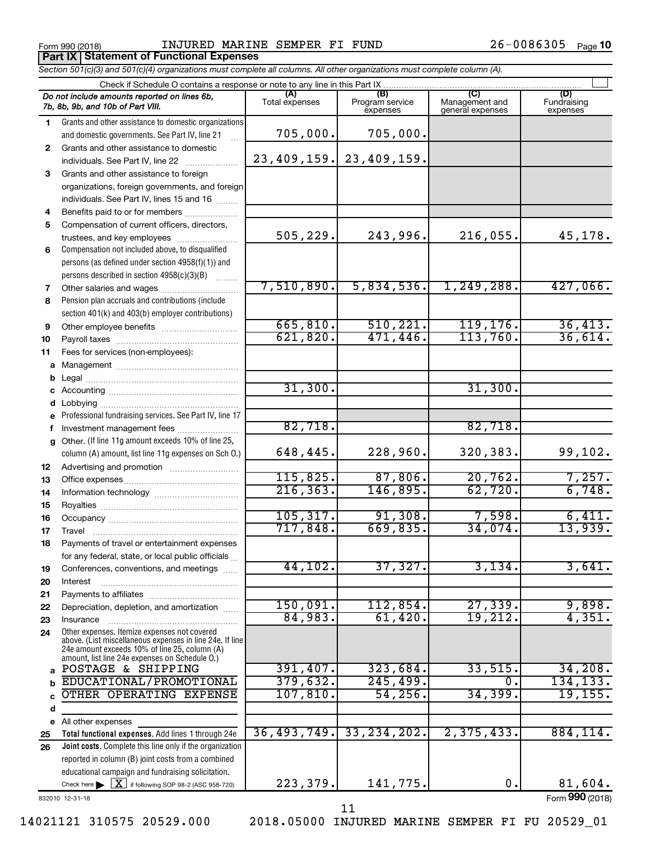Form 990 (2018) Page INJURED MARINE SEMPER FI FUND 26-0086305 **Porm 990 (2018)**<br>**Part IX | Statement of Functional Expenses** 

26-0086305 Page 10

|              | Section 501(c)(3) and 501(c)(4) organizations must complete all columns. All other organizations must complete column (A).                                                                                  |                       |                                    |                                    |                                |
|--------------|-------------------------------------------------------------------------------------------------------------------------------------------------------------------------------------------------------------|-----------------------|------------------------------------|------------------------------------|--------------------------------|
|              | Check if Schedule O contains a response or note to any line in this Part IX                                                                                                                                 |                       |                                    |                                    |                                |
|              | Do not include amounts reported on lines 6b,<br>7b, 8b, 9b, and 10b of Part VIII.                                                                                                                           | Total expenses        | (B)<br>Program service<br>expenses | Management and<br>general expenses | (D)<br>Fundraising<br>expenses |
| 1.           | Grants and other assistance to domestic organizations                                                                                                                                                       |                       |                                    |                                    |                                |
|              | and domestic governments. See Part IV, line 21                                                                                                                                                              | 705,000.              | 705,000.                           |                                    |                                |
| $\mathbf{2}$ | Grants and other assistance to domestic                                                                                                                                                                     |                       |                                    |                                    |                                |
|              | individuals. See Part IV, line 22                                                                                                                                                                           |                       | 23, 409, 159. 23, 409, 159.        |                                    |                                |
| 3            | Grants and other assistance to foreign                                                                                                                                                                      |                       |                                    |                                    |                                |
|              | organizations, foreign governments, and foreign                                                                                                                                                             |                       |                                    |                                    |                                |
|              | individuals. See Part IV, lines 15 and 16                                                                                                                                                                   |                       |                                    |                                    |                                |
| 4            | Benefits paid to or for members                                                                                                                                                                             |                       |                                    |                                    |                                |
| 5            | Compensation of current officers, directors,                                                                                                                                                                |                       |                                    |                                    |                                |
|              | trustees, and key employees                                                                                                                                                                                 | 505, 229.             | 243,996.                           | $216,055$ .                        | 45,178.                        |
| 6            | Compensation not included above, to disqualified                                                                                                                                                            |                       |                                    |                                    |                                |
|              | persons (as defined under section 4958(f)(1)) and                                                                                                                                                           |                       |                                    |                                    |                                |
|              | persons described in section 4958(c)(3)(B)                                                                                                                                                                  |                       |                                    |                                    |                                |
| 7            |                                                                                                                                                                                                             | 7,510,890.            | 5,834,536.                         | 1, 249, 288.                       | 427,066.                       |
| 8            | Pension plan accruals and contributions (include                                                                                                                                                            |                       |                                    |                                    |                                |
|              | section 401(k) and 403(b) employer contributions)                                                                                                                                                           |                       |                                    |                                    |                                |
| 9            |                                                                                                                                                                                                             | 665, 810.<br>621,820. | 510, 221.<br>471, 446.             | 119, 176.<br>113,760.              | 36,413.<br>36,614.             |
| 10           |                                                                                                                                                                                                             |                       |                                    |                                    |                                |
| 11           | Fees for services (non-employees):                                                                                                                                                                          |                       |                                    |                                    |                                |
| a            |                                                                                                                                                                                                             |                       |                                    |                                    |                                |
| b            |                                                                                                                                                                                                             | 31,300.               |                                    | 31,300.                            |                                |
|              |                                                                                                                                                                                                             |                       |                                    |                                    |                                |
| d            | Lobbying                                                                                                                                                                                                    |                       |                                    |                                    |                                |
|              | Professional fundraising services. See Part IV, line 17                                                                                                                                                     | 82,718.               |                                    | 82,718.                            |                                |
| f            | Investment management fees<br>Other. (If line 11g amount exceeds 10% of line 25,                                                                                                                            |                       |                                    |                                    |                                |
| g            | column (A) amount, list line 11g expenses on Sch O.)                                                                                                                                                        | 648,445.              | 228,960.                           | 320,383.                           | 99,102.                        |
| 12           |                                                                                                                                                                                                             |                       |                                    |                                    |                                |
| 13           |                                                                                                                                                                                                             | 115,825.              | 87,806.                            | 20,762.                            | 7,257.                         |
| 14           |                                                                                                                                                                                                             | 216, 363.             | 146,895.                           | 62,720.                            | 6,748.                         |
| 15           |                                                                                                                                                                                                             | 105, 317.             | 91,308.                            | 7,598.                             | 6,411.                         |
| 16           |                                                                                                                                                                                                             | 717,848.              | 669,835.                           | 34,074.                            | 13,939.                        |
| 17           |                                                                                                                                                                                                             |                       |                                    |                                    |                                |
| 18           | Payments of travel or entertainment expenses                                                                                                                                                                |                       |                                    |                                    |                                |
|              | for any federal, state, or local public officials                                                                                                                                                           | 44,102.               | 37,327.                            | 3,134.                             | 3,641.                         |
| 19<br>20     | Conferences, conventions, and meetings<br>Interest                                                                                                                                                          |                       |                                    |                                    |                                |
| 21           |                                                                                                                                                                                                             |                       |                                    |                                    |                                |
| 22           | Depreciation, depletion, and amortization                                                                                                                                                                   | 150,091.              | 112,854.                           | 27,339.                            | 9,898.                         |
| 23           | Insurance                                                                                                                                                                                                   | 84,983.               | 61,420.                            | 19,212.                            | 4,351.                         |
| 24           | Other expenses. Itemize expenses not covered<br>above. (List miscellaneous expenses in line 24e. If line<br>24e amount exceeds 10% of line 25, column (A)<br>amount, list line 24e expenses on Schedule O.) |                       |                                    |                                    |                                |
| a            | POSTAGE & SHIPPING                                                                                                                                                                                          | 391,407.              | 323,684.                           | 33,515                             | 34,208.                        |
| b            | EDUCATIONAL/PROMOTIONAL                                                                                                                                                                                     | 379,632.              | 245, 499.                          | $\mathbf{0}$ .                     | 134, 133.                      |
| C            | OTHER OPERATING EXPENSE                                                                                                                                                                                     | 107, 810.             | 54,256.                            | 34, 399.                           | 19, 155.                       |
| d            |                                                                                                                                                                                                             |                       |                                    |                                    |                                |
|              | e All other expenses                                                                                                                                                                                        |                       |                                    |                                    |                                |
| 25           | Total functional expenses. Add lines 1 through 24e                                                                                                                                                          | 36, 493, 749.         | 33, 234, 202.                      | 2, 375, 433.                       | 884,114.                       |
| 26           | Joint costs. Complete this line only if the organization                                                                                                                                                    |                       |                                    |                                    |                                |
|              | reported in column (B) joint costs from a combined                                                                                                                                                          |                       |                                    |                                    |                                |
|              | educational campaign and fundraising solicitation.                                                                                                                                                          |                       |                                    |                                    |                                |
|              | Check here $\triangleright \lfloor \underline{X} \rfloor$ if following SOP 98-2 (ASC 958-720)                                                                                                               | 223,379.              | 141,775.                           | 0.                                 | 81,604.                        |

832010 12-31-18

Form (2018) **990**

11

14021121 310575 20529.000 2018.05000 INJURED MARINE SEMPER FI FU 20529\_01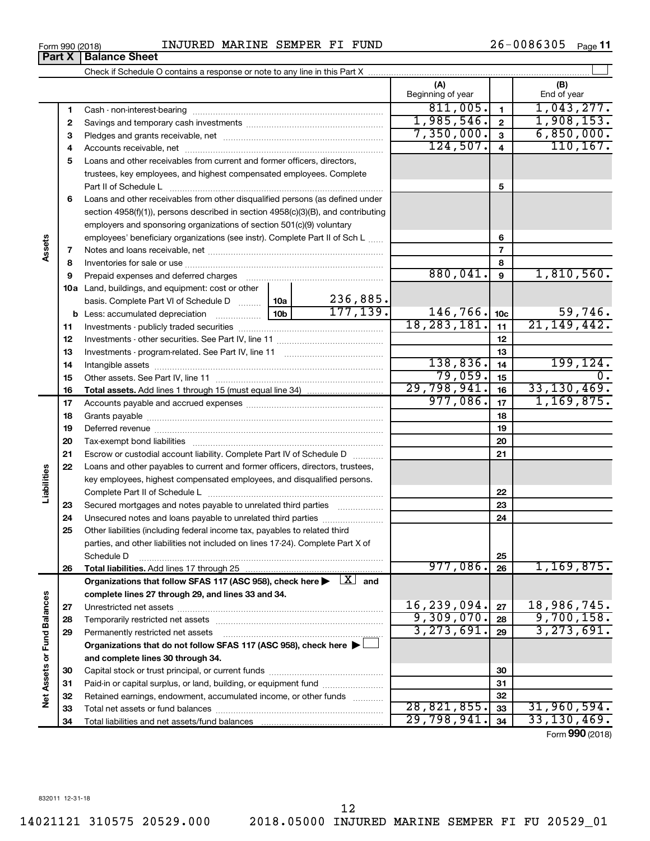| Form 990 (2018) | INJURED | MARINE | <b>SEMPER</b> | FT | FUND | 26.<br>. <del>.</del> | Page |
|-----------------|---------|--------|---------------|----|------|-----------------------|------|
|-----------------|---------|--------|---------------|----|------|-----------------------|------|

|                             |          |                                                                                                                                                                                                                                |                 |                       | (A)<br>Beginning of year  |                         | (B)<br>End of year         |
|-----------------------------|----------|--------------------------------------------------------------------------------------------------------------------------------------------------------------------------------------------------------------------------------|-----------------|-----------------------|---------------------------|-------------------------|----------------------------|
|                             | 1        |                                                                                                                                                                                                                                |                 |                       | 811,005.                  | $\mathbf{1}$            | 1,043,277.                 |
|                             | 2        |                                                                                                                                                                                                                                |                 |                       | 1,985,546.                | $\overline{\mathbf{2}}$ | 1,908,153.                 |
|                             | З        |                                                                                                                                                                                                                                |                 |                       | 7,350,000.                | $\mathbf{3}$            | 6,850,000.                 |
|                             | 4        |                                                                                                                                                                                                                                |                 |                       | 124,507.                  | $\overline{4}$          | 110, 167.                  |
|                             | 5        | Loans and other receivables from current and former officers, directors,                                                                                                                                                       |                 |                       |                           |                         |                            |
|                             |          | trustees, key employees, and highest compensated employees. Complete                                                                                                                                                           |                 |                       |                           |                         |                            |
|                             |          | Part II of Schedule Latin and Communication of Schedule Latin and Communication of Schedule Latin and Schedule                                                                                                                 |                 |                       |                           | 5                       |                            |
|                             | 6        | Loans and other receivables from other disqualified persons (as defined under                                                                                                                                                  |                 |                       |                           |                         |                            |
|                             |          | section 4958(f)(1)), persons described in section 4958(c)(3)(B), and contributing                                                                                                                                              |                 |                       |                           |                         |                            |
|                             |          | employers and sponsoring organizations of section 501(c)(9) voluntary                                                                                                                                                          |                 |                       |                           |                         |                            |
|                             |          | employees' beneficiary organizations (see instr). Complete Part II of Sch L                                                                                                                                                    |                 | 6                     |                           |                         |                            |
| Assets                      | 7        |                                                                                                                                                                                                                                |                 |                       |                           | $\overline{7}$          |                            |
|                             | 8        |                                                                                                                                                                                                                                |                 |                       |                           | 8                       |                            |
|                             | 9        | Prepaid expenses and deferred charges [11] [11] Prepaid expenses and deferred charges [11] [11] All and the summary series are presented as a series and the series and the series and series and series and series are series |                 |                       | 880,041.                  | 9                       | 1,810,560.                 |
|                             |          | 10a Land, buildings, and equipment: cost or other                                                                                                                                                                              |                 |                       |                           |                         |                            |
|                             |          | basis. Complete Part VI of Schedule D  10a                                                                                                                                                                                     | 10 <sub>b</sub> | 236,885.<br>177, 139. |                           |                         |                            |
|                             |          |                                                                                                                                                                                                                                | 146,766.        | 10 <sub>c</sub>       | 59,746.                   |                         |                            |
|                             | 11       |                                                                                                                                                                                                                                |                 |                       | 18, 283, 181.             | 11                      | 21, 149, 442.              |
|                             | 12       |                                                                                                                                                                                                                                |                 | 12                    |                           |                         |                            |
|                             | 13       |                                                                                                                                                                                                                                |                 | 138,836.              | 13                        | 199,124.                |                            |
|                             | 14       |                                                                                                                                                                                                                                |                 | 79,059.               | 14<br>15                  | 0.                      |                            |
|                             | 15       |                                                                                                                                                                                                                                |                 |                       | 29,798,941.               | 16                      | 33, 130, 469.              |
|                             | 16<br>17 |                                                                                                                                                                                                                                |                 |                       | 977,086.                  | 17                      | 1,169,875.                 |
|                             | 18       |                                                                                                                                                                                                                                |                 |                       | 18                        |                         |                            |
|                             | 19       |                                                                                                                                                                                                                                |                 | 19                    |                           |                         |                            |
|                             | 20       |                                                                                                                                                                                                                                |                 | 20                    |                           |                         |                            |
|                             | 21       | Escrow or custodial account liability. Complete Part IV of Schedule D                                                                                                                                                          |                 |                       |                           | 21                      |                            |
|                             | 22       | Loans and other payables to current and former officers, directors, trustees,                                                                                                                                                  |                 |                       |                           |                         |                            |
| Liabilities                 |          | key employees, highest compensated employees, and disqualified persons.                                                                                                                                                        |                 |                       |                           |                         |                            |
|                             |          |                                                                                                                                                                                                                                |                 |                       |                           | 22                      |                            |
|                             | 23       | Secured mortgages and notes payable to unrelated third parties                                                                                                                                                                 |                 |                       |                           | 23                      |                            |
|                             | 24       | Unsecured notes and loans payable to unrelated third parties                                                                                                                                                                   |                 |                       |                           | 24                      |                            |
|                             | 25       | Other liabilities (including federal income tax, payables to related third                                                                                                                                                     |                 |                       |                           |                         |                            |
|                             |          | parties, and other liabilities not included on lines 17-24). Complete Part X of                                                                                                                                                |                 |                       |                           |                         |                            |
|                             |          | Schedule D                                                                                                                                                                                                                     |                 |                       |                           | 25                      |                            |
|                             | 26       |                                                                                                                                                                                                                                |                 |                       | 977,086.                  | 26                      | 1, 169, 875.               |
|                             |          | Organizations that follow SFAS 117 (ASC 958), check here $\blacktriangleright \begin{array}{c} \boxed{X} \\ \end{array}$ and                                                                                                   |                 |                       |                           |                         |                            |
|                             |          | complete lines 27 through 29, and lines 33 and 34.                                                                                                                                                                             |                 |                       |                           |                         |                            |
|                             | 27       |                                                                                                                                                                                                                                |                 |                       | 16,239,094.<br>9,309,070. | 27                      | 18,986,745.                |
|                             | 28       |                                                                                                                                                                                                                                |                 |                       | 3, 273, 691.              | 28                      | 9,700,158.<br>3, 273, 691. |
|                             | 29       | Permanently restricted net assets                                                                                                                                                                                              |                 |                       |                           | 29                      |                            |
|                             |          | Organizations that do not follow SFAS 117 (ASC 958), check here ▶ □                                                                                                                                                            |                 |                       |                           |                         |                            |
| Net Assets or Fund Balances |          | and complete lines 30 through 34.                                                                                                                                                                                              |                 |                       |                           |                         |                            |
|                             | 30       | Paid-in or capital surplus, or land, building, or equipment fund                                                                                                                                                               |                 |                       |                           | 30<br>31                |                            |
|                             | 31<br>32 | Retained earnings, endowment, accumulated income, or other funds                                                                                                                                                               |                 |                       |                           | 32                      |                            |
|                             | 33       |                                                                                                                                                                                                                                |                 |                       | 28,821,855.               | 33                      | 31,960,594.                |
|                             | 34       |                                                                                                                                                                                                                                |                 |                       | 29,798,941.               | 34                      | 33, 130, 469.              |
|                             |          |                                                                                                                                                                                                                                |                 |                       |                           |                         | Form 990 (2018)            |

**Part X** | Balance Sheet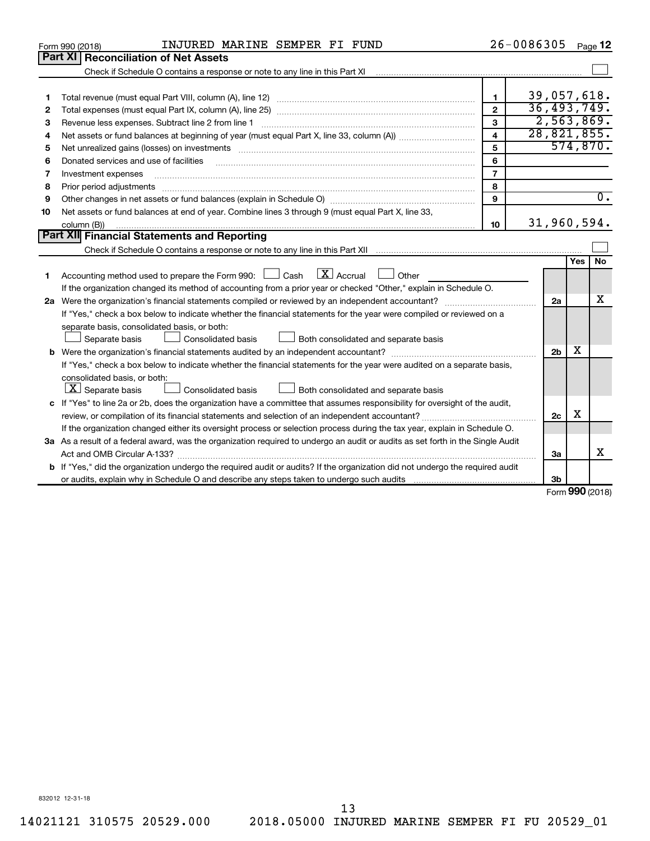|    | INJURED MARINE SEMPER FI FUND<br>Form 990 (2018)                                                                                                                                                                               |                | 26-0086305     |                 | Page 12          |
|----|--------------------------------------------------------------------------------------------------------------------------------------------------------------------------------------------------------------------------------|----------------|----------------|-----------------|------------------|
|    | <b>Part XI Reconciliation of Net Assets</b>                                                                                                                                                                                    |                |                |                 |                  |
|    |                                                                                                                                                                                                                                |                |                |                 |                  |
|    |                                                                                                                                                                                                                                |                |                |                 |                  |
| 1  |                                                                                                                                                                                                                                | 1              | 39,057,618.    |                 |                  |
| 2  |                                                                                                                                                                                                                                | $\mathbf{z}$   | 36, 493, 749.  |                 |                  |
| З  | Revenue less expenses. Subtract line 2 from line 1                                                                                                                                                                             | 3              | 2,563,869.     |                 |                  |
| 4  |                                                                                                                                                                                                                                | 4              | 28,821,855.    |                 |                  |
| 5  | Net unrealized gains (losses) on investments [111] matter in the contract of the contract of the contract of the contract of the contract of the contract of the contract of the contract of the contract of the contract of t | 5              |                |                 | 574,870.         |
| 6  | Donated services and use of facilities                                                                                                                                                                                         | 6              |                |                 |                  |
| 7  | Investment expenses                                                                                                                                                                                                            | $\overline{7}$ |                |                 |                  |
| 8  | Prior period adjustments material contents and content of the content of the content of the content of the content of the content of the content of the content of the content of the content of the content of the content of | 8              |                |                 |                  |
| 9  |                                                                                                                                                                                                                                | 9              |                |                 | $\overline{0}$ . |
| 10 | Net assets or fund balances at end of year. Combine lines 3 through 9 (must equal Part X, line 33,                                                                                                                             |                |                |                 |                  |
|    | column (B))                                                                                                                                                                                                                    | 10             | 31,960,594.    |                 |                  |
|    | Part XII Financial Statements and Reporting                                                                                                                                                                                    |                |                |                 |                  |
|    |                                                                                                                                                                                                                                |                |                |                 |                  |
|    |                                                                                                                                                                                                                                |                |                | Yes             | No               |
| 1  | $\lfloor x \rfloor$ Accrual<br>Accounting method used to prepare the Form 990: $\Box$ Cash<br>Other                                                                                                                            |                |                |                 |                  |
|    | If the organization changed its method of accounting from a prior year or checked "Other," explain in Schedule O.                                                                                                              |                |                |                 |                  |
|    |                                                                                                                                                                                                                                |                | 2a             |                 | x                |
|    | If "Yes," check a box below to indicate whether the financial statements for the year were compiled or reviewed on a                                                                                                           |                |                |                 |                  |
|    | separate basis, consolidated basis, or both:                                                                                                                                                                                   |                |                |                 |                  |
|    | Both consolidated and separate basis<br>Separate basis<br>Consolidated basis                                                                                                                                                   |                |                |                 |                  |
|    |                                                                                                                                                                                                                                |                | 2 <sub>b</sub> | x               |                  |
|    | If "Yes," check a box below to indicate whether the financial statements for the year were audited on a separate basis,                                                                                                        |                |                |                 |                  |
|    | consolidated basis, or both:                                                                                                                                                                                                   |                |                |                 |                  |
|    | $ \mathbf{X} $ Separate basis<br>Consolidated basis<br>Both consolidated and separate basis                                                                                                                                    |                |                |                 |                  |
|    | c If "Yes" to line 2a or 2b, does the organization have a committee that assumes responsibility for oversight of the audit,                                                                                                    |                |                |                 |                  |
|    | review, or compilation of its financial statements and selection of an independent accountant?                                                                                                                                 |                | 2c             | х               |                  |
|    | If the organization changed either its oversight process or selection process during the tax year, explain in Schedule O.                                                                                                      |                |                |                 |                  |
|    | 3a As a result of a federal award, was the organization required to undergo an audit or audits as set forth in the Single Audit                                                                                                |                |                |                 |                  |
|    | Act and OMB Circular A-133?                                                                                                                                                                                                    |                | 3a             |                 | x                |
|    | <b>b</b> If "Yes," did the organization undergo the required audit or audits? If the organization did not undergo the required audit                                                                                           |                |                |                 |                  |
|    |                                                                                                                                                                                                                                |                | 3 <sub>b</sub> | $000 \text{ m}$ |                  |
|    |                                                                                                                                                                                                                                |                |                |                 |                  |

Form (2018) **990**

832012 12-31-18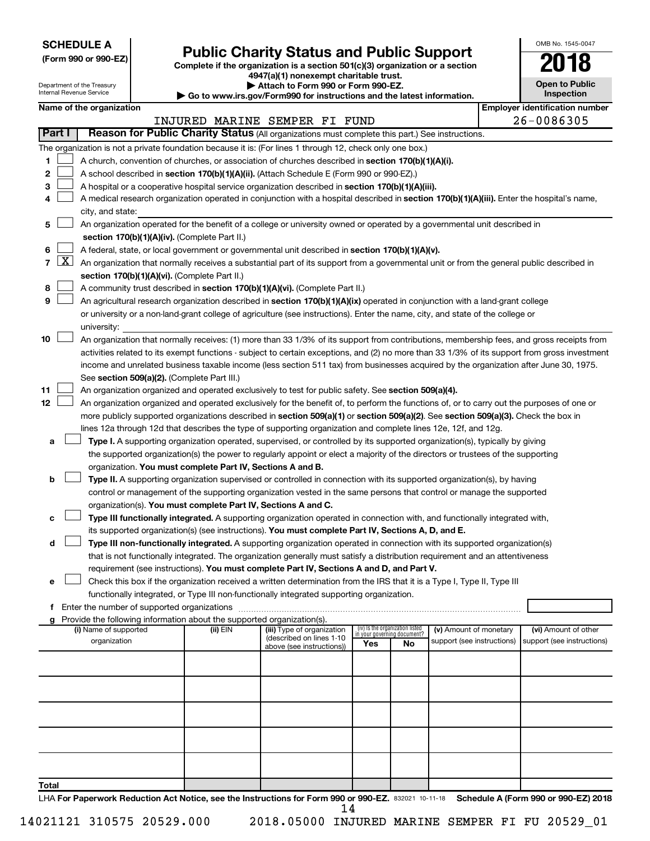**SCHEDULE A**

Department of the Treasury Internal Revenue Service

# Form 990 or 990-EZ) **Public Charity Status and Public Support** Form 990 or 990-EZ) Complete if the organization is a section 501(c)(3) organization or a section

**4947(a)(1) nonexempt charitable trust. | Attach to Form 990 or Form 990-EZ.** 

**| Go to www.irs.gov/Form990 for instructions and the latest information.**

| OMB No. 1545-0047                   |
|-------------------------------------|
| 2018                                |
| <b>Open to Public</b><br>Inspection |

|  |  | Name of the organization |
|--|--|--------------------------|
|--|--|--------------------------|

|               | <b>Employer identification number</b><br>Name of the organization |                                                                                                                                                                                                                     |          |                                                       |     |                                                                |                            |  |                                      |  |  |
|---------------|-------------------------------------------------------------------|---------------------------------------------------------------------------------------------------------------------------------------------------------------------------------------------------------------------|----------|-------------------------------------------------------|-----|----------------------------------------------------------------|----------------------------|--|--------------------------------------|--|--|
|               |                                                                   |                                                                                                                                                                                                                     |          | INJURED MARINE SEMPER FI FUND                         |     |                                                                |                            |  | 26-0086305                           |  |  |
| <b>Part I</b> |                                                                   | Reason for Public Charity Status (All organizations must complete this part.) See instructions.                                                                                                                     |          |                                                       |     |                                                                |                            |  |                                      |  |  |
|               |                                                                   | The organization is not a private foundation because it is: (For lines 1 through 12, check only one box.)                                                                                                           |          |                                                       |     |                                                                |                            |  |                                      |  |  |
| 1             |                                                                   | A church, convention of churches, or association of churches described in section 170(b)(1)(A)(i).                                                                                                                  |          |                                                       |     |                                                                |                            |  |                                      |  |  |
| 2             |                                                                   | A school described in section 170(b)(1)(A)(ii). (Attach Schedule E (Form 990 or 990-EZ).)                                                                                                                           |          |                                                       |     |                                                                |                            |  |                                      |  |  |
| 3             |                                                                   | A hospital or a cooperative hospital service organization described in section 170(b)(1)(A)(iii).                                                                                                                   |          |                                                       |     |                                                                |                            |  |                                      |  |  |
| 4             |                                                                   | A medical research organization operated in conjunction with a hospital described in section 170(b)(1)(A)(iii). Enter the hospital's name,                                                                          |          |                                                       |     |                                                                |                            |  |                                      |  |  |
|               |                                                                   | city, and state:                                                                                                                                                                                                    |          |                                                       |     |                                                                |                            |  |                                      |  |  |
| 5             |                                                                   | An organization operated for the benefit of a college or university owned or operated by a governmental unit described in                                                                                           |          |                                                       |     |                                                                |                            |  |                                      |  |  |
|               |                                                                   | section 170(b)(1)(A)(iv). (Complete Part II.)                                                                                                                                                                       |          |                                                       |     |                                                                |                            |  |                                      |  |  |
| 6             |                                                                   | A federal, state, or local government or governmental unit described in section 170(b)(1)(A)(v).                                                                                                                    |          |                                                       |     |                                                                |                            |  |                                      |  |  |
| 7             | $\lfloor x \rfloor$                                               | An organization that normally receives a substantial part of its support from a governmental unit or from the general public described in                                                                           |          |                                                       |     |                                                                |                            |  |                                      |  |  |
|               |                                                                   | section 170(b)(1)(A)(vi). (Complete Part II.)                                                                                                                                                                       |          |                                                       |     |                                                                |                            |  |                                      |  |  |
| 8             |                                                                   | A community trust described in section 170(b)(1)(A)(vi). (Complete Part II.)                                                                                                                                        |          |                                                       |     |                                                                |                            |  |                                      |  |  |
| 9             |                                                                   | An agricultural research organization described in section 170(b)(1)(A)(ix) operated in conjunction with a land-grant college                                                                                       |          |                                                       |     |                                                                |                            |  |                                      |  |  |
|               |                                                                   | or university or a non-land-grant college of agriculture (see instructions). Enter the name, city, and state of the college or                                                                                      |          |                                                       |     |                                                                |                            |  |                                      |  |  |
|               |                                                                   | university:                                                                                                                                                                                                         |          |                                                       |     |                                                                |                            |  |                                      |  |  |
| 10            |                                                                   | An organization that normally receives: (1) more than 33 1/3% of its support from contributions, membership fees, and gross receipts from                                                                           |          |                                                       |     |                                                                |                            |  |                                      |  |  |
|               |                                                                   | activities related to its exempt functions - subject to certain exceptions, and (2) no more than 33 1/3% of its support from gross investment                                                                       |          |                                                       |     |                                                                |                            |  |                                      |  |  |
|               |                                                                   | income and unrelated business taxable income (less section 511 tax) from businesses acquired by the organization after June 30, 1975.                                                                               |          |                                                       |     |                                                                |                            |  |                                      |  |  |
|               |                                                                   | See section 509(a)(2). (Complete Part III.)                                                                                                                                                                         |          |                                                       |     |                                                                |                            |  |                                      |  |  |
| 11            |                                                                   | An organization organized and operated exclusively to test for public safety. See section 509(a)(4).                                                                                                                |          |                                                       |     |                                                                |                            |  |                                      |  |  |
| 12            |                                                                   | An organization organized and operated exclusively for the benefit of, to perform the functions of, or to carry out the purposes of one or                                                                          |          |                                                       |     |                                                                |                            |  |                                      |  |  |
|               |                                                                   | more publicly supported organizations described in section 509(a)(1) or section 509(a)(2). See section 509(a)(3). Check the box in                                                                                  |          |                                                       |     |                                                                |                            |  |                                      |  |  |
|               |                                                                   | lines 12a through 12d that describes the type of supporting organization and complete lines 12e, 12f, and 12g.                                                                                                      |          |                                                       |     |                                                                |                            |  |                                      |  |  |
| а             |                                                                   | Type I. A supporting organization operated, supervised, or controlled by its supported organization(s), typically by giving                                                                                         |          |                                                       |     |                                                                |                            |  |                                      |  |  |
|               |                                                                   | the supported organization(s) the power to regularly appoint or elect a majority of the directors or trustees of the supporting                                                                                     |          |                                                       |     |                                                                |                            |  |                                      |  |  |
|               |                                                                   | organization. You must complete Part IV, Sections A and B.                                                                                                                                                          |          |                                                       |     |                                                                |                            |  |                                      |  |  |
| b             |                                                                   | Type II. A supporting organization supervised or controlled in connection with its supported organization(s), by having                                                                                             |          |                                                       |     |                                                                |                            |  |                                      |  |  |
|               |                                                                   | control or management of the supporting organization vested in the same persons that control or manage the supported                                                                                                |          |                                                       |     |                                                                |                            |  |                                      |  |  |
|               |                                                                   | organization(s). You must complete Part IV, Sections A and C.                                                                                                                                                       |          |                                                       |     |                                                                |                            |  |                                      |  |  |
|               |                                                                   | Type III functionally integrated. A supporting organization operated in connection with, and functionally integrated with,                                                                                          |          |                                                       |     |                                                                |                            |  |                                      |  |  |
|               |                                                                   | its supported organization(s) (see instructions). You must complete Part IV, Sections A, D, and E.                                                                                                                  |          |                                                       |     |                                                                |                            |  |                                      |  |  |
| d             |                                                                   | Type III non-functionally integrated. A supporting organization operated in connection with its supported organization(s)                                                                                           |          |                                                       |     |                                                                |                            |  |                                      |  |  |
|               |                                                                   | that is not functionally integrated. The organization generally must satisfy a distribution requirement and an attentiveness                                                                                        |          |                                                       |     |                                                                |                            |  |                                      |  |  |
|               |                                                                   | requirement (see instructions). You must complete Part IV, Sections A and D, and Part V.<br>Check this box if the organization received a written determination from the IRS that it is a Type I, Type II, Type III |          |                                                       |     |                                                                |                            |  |                                      |  |  |
| е             |                                                                   | functionally integrated, or Type III non-functionally integrated supporting organization.                                                                                                                           |          |                                                       |     |                                                                |                            |  |                                      |  |  |
|               |                                                                   |                                                                                                                                                                                                                     |          |                                                       |     |                                                                |                            |  |                                      |  |  |
|               |                                                                   | g Provide the following information about the supported organization(s).                                                                                                                                            |          |                                                       |     |                                                                |                            |  |                                      |  |  |
|               |                                                                   | (i) Name of supported                                                                                                                                                                                               | (ii) EIN | (iii) Type of organization                            |     | (iv) Is the organization listed<br>in your governing document? | (v) Amount of monetary     |  | (vi) Amount of other                 |  |  |
|               |                                                                   | organization                                                                                                                                                                                                        |          | (described on lines 1-10<br>above (see instructions)) | Yes | <b>No</b>                                                      | support (see instructions) |  | support (see instructions)           |  |  |
|               |                                                                   |                                                                                                                                                                                                                     |          |                                                       |     |                                                                |                            |  |                                      |  |  |
|               |                                                                   |                                                                                                                                                                                                                     |          |                                                       |     |                                                                |                            |  |                                      |  |  |
|               |                                                                   |                                                                                                                                                                                                                     |          |                                                       |     |                                                                |                            |  |                                      |  |  |
|               |                                                                   |                                                                                                                                                                                                                     |          |                                                       |     |                                                                |                            |  |                                      |  |  |
|               |                                                                   |                                                                                                                                                                                                                     |          |                                                       |     |                                                                |                            |  |                                      |  |  |
|               |                                                                   |                                                                                                                                                                                                                     |          |                                                       |     |                                                                |                            |  |                                      |  |  |
|               |                                                                   |                                                                                                                                                                                                                     |          |                                                       |     |                                                                |                            |  |                                      |  |  |
|               |                                                                   |                                                                                                                                                                                                                     |          |                                                       |     |                                                                |                            |  |                                      |  |  |
|               |                                                                   |                                                                                                                                                                                                                     |          |                                                       |     |                                                                |                            |  |                                      |  |  |
|               |                                                                   |                                                                                                                                                                                                                     |          |                                                       |     |                                                                |                            |  |                                      |  |  |
| Total         |                                                                   |                                                                                                                                                                                                                     |          |                                                       |     |                                                                |                            |  |                                      |  |  |
|               |                                                                   | LHA For Paperwork Reduction Act Notice, see the Instructions for Form 990 or 990-EZ. 832021 10-11-18                                                                                                                |          |                                                       |     |                                                                |                            |  | Schedule A (Form 990 or 990-EZ) 2018 |  |  |

14021121 310575 20529.000 2018.05000 INJURED MARINE SEMPER FI FU 20529\_01 14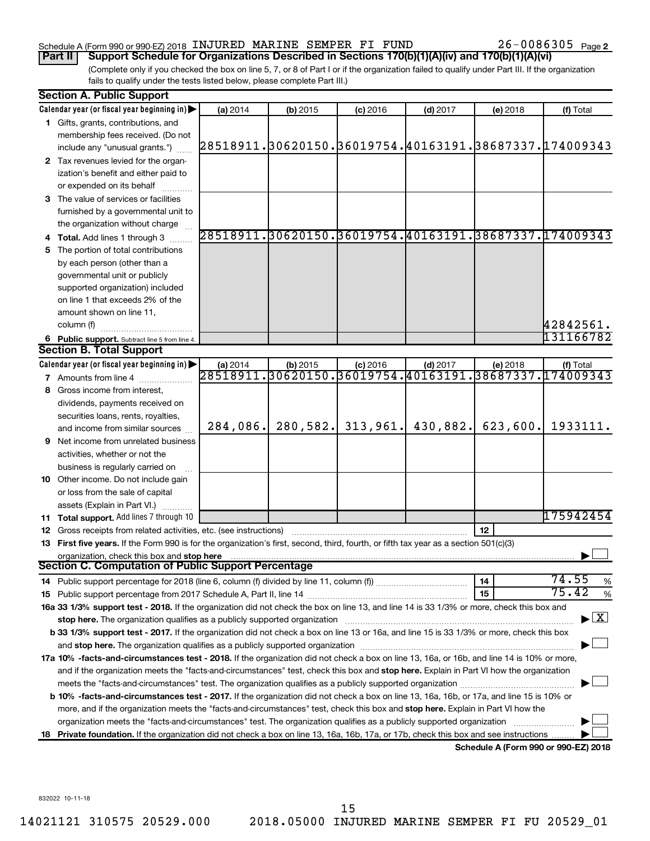#### Schedule A (Form 990 or 990-EZ) 2018 INJURED MARINE SEMPER FI FUND  $26-0086305$  Page

26-0086305 Page 2

(Complete only if you checked the box on line 5, 7, or 8 of Part I or if the organization failed to qualify under Part III. If the organization fails to qualify under the tests listed below, please complete Part III.) **Part II** | Support Schedule for Organizations Described in Sections 170(b)(1)(A)(iv) and 170(b)(1)(A)(vi)

| <b>Section A. Public Support</b>                                                                                                               |          |          |                                          |            |                                      |                                                        |
|------------------------------------------------------------------------------------------------------------------------------------------------|----------|----------|------------------------------------------|------------|--------------------------------------|--------------------------------------------------------|
| Calendar year (or fiscal year beginning in)                                                                                                    | (a) 2014 | (b) 2015 | $(c)$ 2016                               | $(d)$ 2017 | (e) 2018                             | (f) Total                                              |
| 1 Gifts, grants, contributions, and                                                                                                            |          |          |                                          |            |                                      |                                                        |
| membership fees received. (Do not                                                                                                              |          |          |                                          |            |                                      |                                                        |
| include any "unusual grants.")                                                                                                                 |          |          |                                          |            |                                      | 28518911.30620150.36019754.40163191.38687337.174009343 |
| 2 Tax revenues levied for the organ-                                                                                                           |          |          |                                          |            |                                      |                                                        |
| ization's benefit and either paid to                                                                                                           |          |          |                                          |            |                                      |                                                        |
| or expended on its behalf                                                                                                                      |          |          |                                          |            |                                      |                                                        |
| 3 The value of services or facilities                                                                                                          |          |          |                                          |            |                                      |                                                        |
| furnished by a governmental unit to                                                                                                            |          |          |                                          |            |                                      |                                                        |
| the organization without charge                                                                                                                |          |          |                                          |            |                                      |                                                        |
| 4 Total. Add lines 1 through 3                                                                                                                 |          |          |                                          |            |                                      | 28518911.30620150.36019754.40163191.38687337.174009343 |
| 5 The portion of total contributions                                                                                                           |          |          |                                          |            |                                      |                                                        |
| by each person (other than a                                                                                                                   |          |          |                                          |            |                                      |                                                        |
| governmental unit or publicly                                                                                                                  |          |          |                                          |            |                                      |                                                        |
| supported organization) included                                                                                                               |          |          |                                          |            |                                      |                                                        |
| on line 1 that exceeds 2% of the                                                                                                               |          |          |                                          |            |                                      |                                                        |
| amount shown on line 11,                                                                                                                       |          |          |                                          |            |                                      |                                                        |
| column (f)                                                                                                                                     |          |          |                                          |            |                                      | 42842561.                                              |
| 6 Public support. Subtract line 5 from line 4.                                                                                                 |          |          |                                          |            |                                      | 131166782                                              |
| <b>Section B. Total Support</b>                                                                                                                |          |          |                                          |            |                                      |                                                        |
| Calendar year (or fiscal year beginning in)                                                                                                    | (a) 2014 | (b) 2015 | $(c)$ 2016                               | $(d)$ 2017 | (e) 2018                             | (f) Total                                              |
| 7 Amounts from line 4                                                                                                                          | 28518911 |          | $\overline{30620150.36019754.40163191.}$ |            |                                      | 38687337.174009343                                     |
| 8 Gross income from interest,                                                                                                                  |          |          |                                          |            |                                      |                                                        |
| dividends, payments received on                                                                                                                |          |          |                                          |            |                                      |                                                        |
| securities loans, rents, royalties,                                                                                                            |          |          |                                          |            |                                      |                                                        |
| and income from similar sources                                                                                                                | 284,086. | 280,582. | 313,961.                                 | 430,882.   | 623,600.                             | 1933111.                                               |
| <b>9</b> Net income from unrelated business                                                                                                    |          |          |                                          |            |                                      |                                                        |
| activities, whether or not the                                                                                                                 |          |          |                                          |            |                                      |                                                        |
| business is regularly carried on                                                                                                               |          |          |                                          |            |                                      |                                                        |
| 10 Other income. Do not include gain                                                                                                           |          |          |                                          |            |                                      |                                                        |
| or loss from the sale of capital                                                                                                               |          |          |                                          |            |                                      |                                                        |
| assets (Explain in Part VI.)                                                                                                                   |          |          |                                          |            |                                      |                                                        |
| 11 Total support. Add lines 7 through 10                                                                                                       |          |          |                                          |            |                                      | 175942454                                              |
| <b>12</b> Gross receipts from related activities, etc. (see instructions)                                                                      |          |          |                                          |            | 12                                   |                                                        |
| 13 First five years. If the Form 990 is for the organization's first, second, third, fourth, or fifth tax year as a section 501(c)(3)          |          |          |                                          |            |                                      |                                                        |
| organization, check this box and stop here                                                                                                     |          |          |                                          |            |                                      |                                                        |
| Section C. Computation of Public Support Percentage                                                                                            |          |          |                                          |            |                                      |                                                        |
|                                                                                                                                                |          |          |                                          |            | 14                                   | 74.55<br>%                                             |
|                                                                                                                                                |          |          |                                          |            | 15                                   | 75.42<br>$\%$                                          |
| 16a 33 1/3% support test - 2018. If the organization did not check the box on line 13, and line 14 is 33 1/3% or more, check this box and      |          |          |                                          |            |                                      | $\blacktriangleright$ $\mathbf{X}$                     |
| stop here. The organization qualifies as a publicly supported organization                                                                     |          |          |                                          |            |                                      |                                                        |
| b 33 1/3% support test - 2017. If the organization did not check a box on line 13 or 16a, and line 15 is 33 1/3% or more, check this box       |          |          |                                          |            |                                      |                                                        |
|                                                                                                                                                |          |          |                                          |            |                                      |                                                        |
| 17a 10% -facts-and-circumstances test - 2018. If the organization did not check a box on line 13, 16a, or 16b, and line 14 is 10% or more,     |          |          |                                          |            |                                      |                                                        |
| and if the organization meets the "facts-and-circumstances" test, check this box and stop here. Explain in Part VI how the organization        |          |          |                                          |            |                                      |                                                        |
|                                                                                                                                                |          |          |                                          |            |                                      |                                                        |
| <b>b 10%</b> -facts-and-circumstances test - 2017. If the organization did not check a box on line 13, 16a, 16b, or 17a, and line 15 is 10% or |          |          |                                          |            |                                      |                                                        |
| more, and if the organization meets the "facts-and-circumstances" test, check this box and stop here. Explain in Part VI how the               |          |          |                                          |            |                                      |                                                        |
| organization meets the "facts-and-circumstances" test. The organization qualifies as a publicly supported organization                         |          |          |                                          |            |                                      |                                                        |
| 18 Private foundation. If the organization did not check a box on line 13, 16a, 16b, 17a, or 17b, check this box and see instructions.         |          |          |                                          |            | Schedule A (Form 990 or 990-F7) 2018 |                                                        |

**Schedule A (Form 990 or 990-EZ) 2018**

832022 10-11-18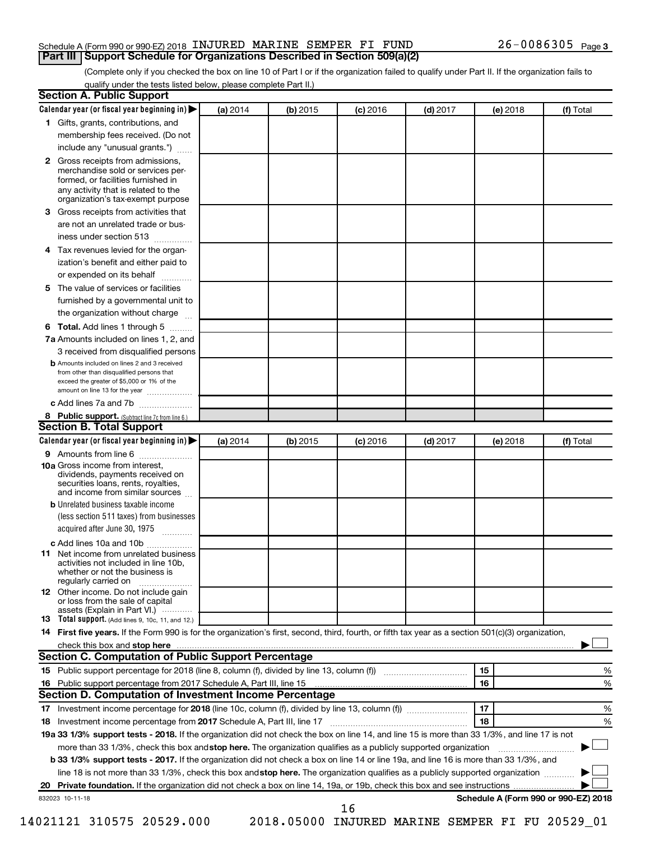#### Schedule A (Form 990 or 990-EZ) 2018 INJURED MARINE SEMPER FI FUND  $26-0086305$  Page **Part III | Support Schedule for Organizations Described in Section 509(a)(2)**

(Complete only if you checked the box on line 10 of Part I or if the organization failed to qualify under Part II. If the organization fails to qualify under the tests listed below, please complete Part II.)

| <b>Section A. Public Support</b>                                                                                                                                                                                                        |          |            |            |            |          |                                      |
|-----------------------------------------------------------------------------------------------------------------------------------------------------------------------------------------------------------------------------------------|----------|------------|------------|------------|----------|--------------------------------------|
| Calendar year (or fiscal year beginning in)                                                                                                                                                                                             | (a) 2014 | (b) 2015   | $(c)$ 2016 | $(d)$ 2017 | (e) 2018 | (f) Total                            |
| 1 Gifts, grants, contributions, and                                                                                                                                                                                                     |          |            |            |            |          |                                      |
| membership fees received. (Do not                                                                                                                                                                                                       |          |            |            |            |          |                                      |
| include any "unusual grants.")                                                                                                                                                                                                          |          |            |            |            |          |                                      |
| <b>2</b> Gross receipts from admissions,<br>merchandise sold or services per-<br>formed, or facilities furnished in<br>any activity that is related to the<br>organization's tax-exempt purpose                                         |          |            |            |            |          |                                      |
| 3 Gross receipts from activities that                                                                                                                                                                                                   |          |            |            |            |          |                                      |
| are not an unrelated trade or bus-                                                                                                                                                                                                      |          |            |            |            |          |                                      |
| iness under section 513                                                                                                                                                                                                                 |          |            |            |            |          |                                      |
| 4 Tax revenues levied for the organ-                                                                                                                                                                                                    |          |            |            |            |          |                                      |
| ization's benefit and either paid to<br>or expended on its behalf                                                                                                                                                                       |          |            |            |            |          |                                      |
| 5 The value of services or facilities                                                                                                                                                                                                   |          |            |            |            |          |                                      |
| furnished by a governmental unit to                                                                                                                                                                                                     |          |            |            |            |          |                                      |
| the organization without charge                                                                                                                                                                                                         |          |            |            |            |          |                                      |
| 6 Total. Add lines 1 through 5                                                                                                                                                                                                          |          |            |            |            |          |                                      |
| 7a Amounts included on lines 1, 2, and                                                                                                                                                                                                  |          |            |            |            |          |                                      |
| 3 received from disqualified persons                                                                                                                                                                                                    |          |            |            |            |          |                                      |
| <b>b</b> Amounts included on lines 2 and 3 received<br>from other than disqualified persons that<br>exceed the greater of \$5,000 or 1% of the<br>amount on line 13 for the year                                                        |          |            |            |            |          |                                      |
| c Add lines 7a and 7b                                                                                                                                                                                                                   |          |            |            |            |          |                                      |
| 8 Public support. (Subtract line 7c from line 6.)                                                                                                                                                                                       |          |            |            |            |          |                                      |
| <b>Section B. Total Support</b>                                                                                                                                                                                                         |          |            |            |            |          |                                      |
| Calendar year (or fiscal year beginning in)                                                                                                                                                                                             | (a) 2014 | $(b)$ 2015 | $(c)$ 2016 | $(d)$ 2017 | (e) 2018 | (f) Total                            |
| 9 Amounts from line 6                                                                                                                                                                                                                   |          |            |            |            |          |                                      |
| <b>10a</b> Gross income from interest,<br>dividends, payments received on<br>securities loans, rents, royalties,<br>and income from similar sources                                                                                     |          |            |            |            |          |                                      |
| <b>b</b> Unrelated business taxable income<br>(less section 511 taxes) from businesses<br>acquired after June 30, 1975                                                                                                                  |          |            |            |            |          |                                      |
| c Add lines 10a and 10b                                                                                                                                                                                                                 |          |            |            |            |          |                                      |
| <b>11</b> Net income from unrelated business<br>activities not included in line 10b.<br>whether or not the business is<br>regularly carried on                                                                                          |          |            |            |            |          |                                      |
| <b>12</b> Other income. Do not include gain<br>or loss from the sale of capital<br>assets (Explain in Part VI.)                                                                                                                         |          |            |            |            |          |                                      |
| <b>13</b> Total support. (Add lines 9, 10c, 11, and 12.)                                                                                                                                                                                |          |            |            |            |          |                                      |
| 14 First five years. If the Form 990 is for the organization's first, second, third, fourth, or fifth tax year as a section 501(c)(3) organization,                                                                                     |          |            |            |            |          |                                      |
| check this box and stop here <b>contained and according to the contained and stop here</b> contained and stop here <b>contained and according to the contained and stop here</b> contained and according to the contained and stop here |          |            |            |            |          |                                      |
| Section C. Computation of Public Support Percentage                                                                                                                                                                                     |          |            |            |            |          |                                      |
|                                                                                                                                                                                                                                         |          |            |            |            | 15       | ℅                                    |
| 16 Public support percentage from 2017 Schedule A, Part III, line 15                                                                                                                                                                    |          |            |            |            | 16       | %                                    |
| <b>Section D. Computation of Investment Income Percentage</b>                                                                                                                                                                           |          |            |            |            |          |                                      |
|                                                                                                                                                                                                                                         |          |            |            |            | 17       | %                                    |
| 18 Investment income percentage from 2017 Schedule A, Part III, line 17                                                                                                                                                                 |          |            |            |            | 18       | %                                    |
| 19a 33 1/3% support tests - 2018. If the organization did not check the box on line 14, and line 15 is more than 33 1/3%, and line 17 is not                                                                                            |          |            |            |            |          |                                      |
| more than 33 1/3%, check this box and stop here. The organization qualifies as a publicly supported organization                                                                                                                        |          |            |            |            |          |                                      |
| <b>b 33 1/3% support tests - 2017.</b> If the organization did not check a box on line 14 or line 19a, and line 16 is more than 33 1/3%, and                                                                                            |          |            |            |            |          |                                      |
| line 18 is not more than 33 1/3%, check this box and stop here. The organization qualifies as a publicly supported organization                                                                                                         |          |            |            |            |          |                                      |
|                                                                                                                                                                                                                                         |          |            |            |            |          |                                      |
| 832023 10-11-18                                                                                                                                                                                                                         |          |            |            |            |          | Schedule A (Form 990 or 990-EZ) 2018 |
|                                                                                                                                                                                                                                         |          |            | 16         |            |          |                                      |

14021121 310575 20529.000 2018.05000 INJURED MARINE SEMPER FI FU 20529\_01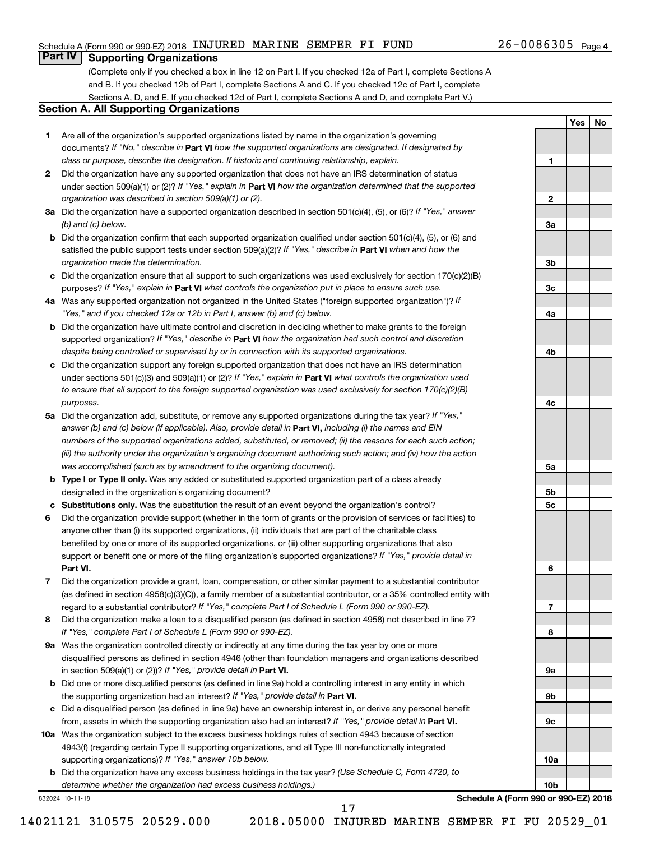#### Schedule A (Form 990 or 990-EZ) 2018 INJURED MARINE SEMPER FI FUND  $26-0086305$  Page

#### 26-0086305 Page 4

**1**

**2**

**3a**

**3b**

**3c**

**4a**

**4b**

**4c**

**5a**

**5b 5c**

**6**

**7**

**8**

**9a**

**9b**

**9c**

**10a**

**10b**

**Yes No**

## **Part IV Supporting Organizations**

(Complete only if you checked a box in line 12 on Part I. If you checked 12a of Part I, complete Sections A and B. If you checked 12b of Part I, complete Sections A and C. If you checked 12c of Part I, complete Sections A, D, and E. If you checked 12d of Part I, complete Sections A and D, and complete Part V.)

#### **Section A. All Supporting Organizations**

- **1** Are all of the organization's supported organizations listed by name in the organization's governing documents? If "No," describe in Part VI how the supported organizations are designated. If designated by *class or purpose, describe the designation. If historic and continuing relationship, explain.*
- **2** Did the organization have any supported organization that does not have an IRS determination of status under section 509(a)(1) or (2)? If "Yes," explain in Part **VI** how the organization determined that the supported *organization was described in section 509(a)(1) or (2).*
- **3a** Did the organization have a supported organization described in section 501(c)(4), (5), or (6)? If "Yes," answer *(b) and (c) below.*
- **b** Did the organization confirm that each supported organization qualified under section 501(c)(4), (5), or (6) and satisfied the public support tests under section 509(a)(2)? If "Yes," describe in Part VI when and how the *organization made the determination.*
- **c** Did the organization ensure that all support to such organizations was used exclusively for section 170(c)(2)(B) purposes? If "Yes," explain in Part VI what controls the organization put in place to ensure such use.
- **4 a** *If* Was any supported organization not organized in the United States ("foreign supported organization")? *"Yes," and if you checked 12a or 12b in Part I, answer (b) and (c) below.*
- **b** Did the organization have ultimate control and discretion in deciding whether to make grants to the foreign supported organization? If "Yes," describe in Part VI how the organization had such control and discretion *despite being controlled or supervised by or in connection with its supported organizations.*
- **c** Did the organization support any foreign supported organization that does not have an IRS determination under sections 501(c)(3) and 509(a)(1) or (2)? If "Yes," explain in Part VI what controls the organization used *to ensure that all support to the foreign supported organization was used exclusively for section 170(c)(2)(B) purposes.*
- **5a** Did the organization add, substitute, or remove any supported organizations during the tax year? If "Yes," answer (b) and (c) below (if applicable). Also, provide detail in **Part VI,** including (i) the names and EIN *numbers of the supported organizations added, substituted, or removed; (ii) the reasons for each such action; (iii) the authority under the organization's organizing document authorizing such action; and (iv) how the action was accomplished (such as by amendment to the organizing document).*
- **b Type I or Type II only.** Was any added or substituted supported organization part of a class already designated in the organization's organizing document?
- **c Substitutions only.**  Was the substitution the result of an event beyond the organization's control?
- **6** Did the organization provide support (whether in the form of grants or the provision of services or facilities) to **Part VI.** support or benefit one or more of the filing organization's supported organizations? If "Yes," provide detail in anyone other than (i) its supported organizations, (ii) individuals that are part of the charitable class benefited by one or more of its supported organizations, or (iii) other supporting organizations that also
- **7** Did the organization provide a grant, loan, compensation, or other similar payment to a substantial contributor regard to a substantial contributor? If "Yes," complete Part I of Schedule L (Form 990 or 990-EZ). (as defined in section 4958(c)(3)(C)), a family member of a substantial contributor, or a 35% controlled entity with
- **8** Did the organization make a loan to a disqualified person (as defined in section 4958) not described in line 7? *If "Yes," complete Part I of Schedule L (Form 990 or 990-EZ).*
- **9 a** Was the organization controlled directly or indirectly at any time during the tax year by one or more in section 509(a)(1) or (2))? If "Yes," provide detail in **Part VI.** disqualified persons as defined in section 4946 (other than foundation managers and organizations described
- **b** Did one or more disqualified persons (as defined in line 9a) hold a controlling interest in any entity in which the supporting organization had an interest? If "Yes," provide detail in Part VI.
- **c** Did a disqualified person (as defined in line 9a) have an ownership interest in, or derive any personal benefit from, assets in which the supporting organization also had an interest? If "Yes," provide detail in Part VI.
- **10 a** Was the organization subject to the excess business holdings rules of section 4943 because of section supporting organizations)? If "Yes," answer 10b below. 4943(f) (regarding certain Type II supporting organizations, and all Type III non-functionally integrated
	- **b** Did the organization have any excess business holdings in the tax year? (Use Schedule C, Form 4720, to *determine whether the organization had excess business holdings.)*

832024 10-11-18

**Schedule A (Form 990 or 990-EZ) 2018**

14021121 310575 20529.000 2018.05000 INJURED MARINE SEMPER FI FU 20529\_01

17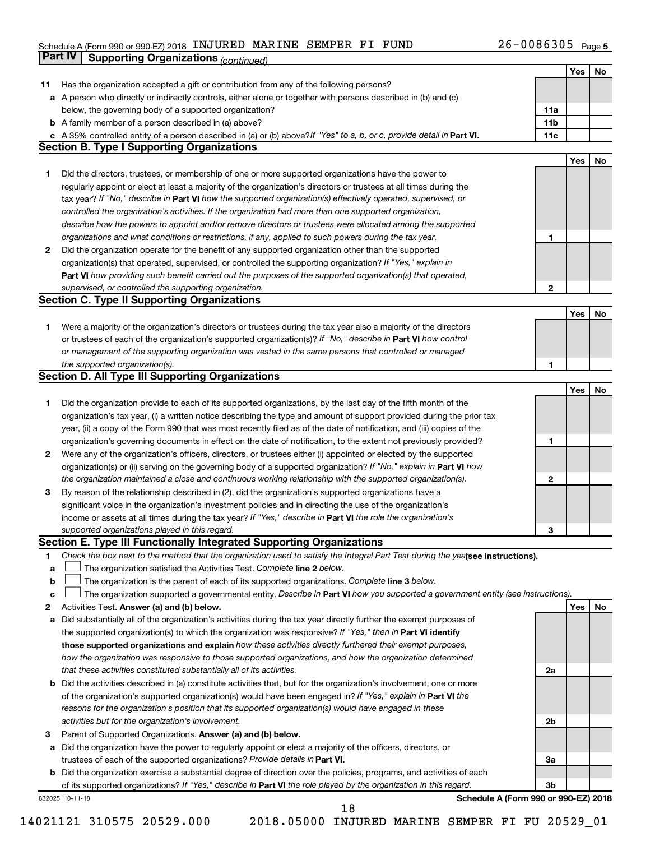#### Schedule A (Form 990 or 990-EZ) 2018 INJUKED MARINE SEMPER FI FUND  $Zb$  – 0086305 Page INJURED MARINE SEMPER FI FUND 26-0086305

|    | Part IV<br><b>Supporting Organizations (continued)</b>                                                                          |                 |     |    |
|----|---------------------------------------------------------------------------------------------------------------------------------|-----------------|-----|----|
|    |                                                                                                                                 |                 | Yes | No |
| 11 | Has the organization accepted a gift or contribution from any of the following persons?                                         |                 |     |    |
| а  | A person who directly or indirectly controls, either alone or together with persons described in (b) and (c)                    |                 |     |    |
|    | below, the governing body of a supported organization?                                                                          | 11a             |     |    |
|    | <b>b</b> A family member of a person described in (a) above?                                                                    | 11 <sub>b</sub> |     |    |
|    | c A 35% controlled entity of a person described in (a) or (b) above? If "Yes" to a, b, or c, provide detail in Part VI.         | 11c             |     |    |
|    | <b>Section B. Type I Supporting Organizations</b>                                                                               |                 |     |    |
|    |                                                                                                                                 |                 | Yes | No |
| 1  | Did the directors, trustees, or membership of one or more supported organizations have the power to                             |                 |     |    |
|    | regularly appoint or elect at least a majority of the organization's directors or trustees at all times during the              |                 |     |    |
|    | tax year? If "No," describe in Part VI how the supported organization(s) effectively operated, supervised, or                   |                 |     |    |
|    | controlled the organization's activities. If the organization had more than one supported organization,                         |                 |     |    |
|    | describe how the powers to appoint and/or remove directors or trustees were allocated among the supported                       |                 |     |    |
|    | organizations and what conditions or restrictions, if any, applied to such powers during the tax year.                          | 1               |     |    |
| 2  | Did the organization operate for the benefit of any supported organization other than the supported                             |                 |     |    |
|    | organization(s) that operated, supervised, or controlled the supporting organization? If "Yes," explain in                      |                 |     |    |
|    | Part VI how providing such benefit carried out the purposes of the supported organization(s) that operated,                     |                 |     |    |
|    | supervised, or controlled the supporting organization.                                                                          | 2               |     |    |
|    | <b>Section C. Type II Supporting Organizations</b>                                                                              |                 |     |    |
|    |                                                                                                                                 |                 | Yes | No |
| 1. | Were a majority of the organization's directors or trustees during the tax year also a majority of the directors                |                 |     |    |
|    | or trustees of each of the organization's supported organization(s)? If "No," describe in <b>Part VI</b> how control            |                 |     |    |
|    | or management of the supporting organization was vested in the same persons that controlled or managed                          |                 |     |    |
|    | the supported organization(s).                                                                                                  | 1               |     |    |
|    | <b>Section D. All Type III Supporting Organizations</b>                                                                         |                 |     |    |
|    |                                                                                                                                 |                 | Yes | No |
| 1  | Did the organization provide to each of its supported organizations, by the last day of the fifth month of the                  |                 |     |    |
|    | organization's tax year, (i) a written notice describing the type and amount of support provided during the prior tax           |                 |     |    |
|    | year, (ii) a copy of the Form 990 that was most recently filed as of the date of notification, and (iii) copies of the          |                 |     |    |
|    | organization's governing documents in effect on the date of notification, to the extent not previously provided?                | 1               |     |    |
| 2  | Were any of the organization's officers, directors, or trustees either (i) appointed or elected by the supported                |                 |     |    |
|    | organization(s) or (ii) serving on the governing body of a supported organization? If "No," explain in Part VI how              |                 |     |    |
|    | the organization maintained a close and continuous working relationship with the supported organization(s).                     | 2               |     |    |
| 3  | By reason of the relationship described in (2), did the organization's supported organizations have a                           |                 |     |    |
|    | significant voice in the organization's investment policies and in directing the use of the organization's                      |                 |     |    |
|    | income or assets at all times during the tax year? If "Yes," describe in Part VI the role the organization's                    |                 |     |    |
|    | supported organizations played in this regard.                                                                                  | 3               |     |    |
|    | Section E. Type III Functionally Integrated Supporting Organizations                                                            |                 |     |    |
| 1  | Check the box next to the method that the organization used to satisfy the Integral Part Test during the yealsee instructions). |                 |     |    |
| а  | The organization satisfied the Activities Test. Complete line 2 below.                                                          |                 |     |    |
| b  | The organization is the parent of each of its supported organizations. Complete line 3 below.                                   |                 |     |    |
| c  | The organization supported a governmental entity. Describe in Part VI how you supported a government entity (see instructions). |                 |     |    |
| 2  | Activities Test. Answer (a) and (b) below.                                                                                      |                 | Yes | No |
| а  | Did substantially all of the organization's activities during the tax year directly further the exempt purposes of              |                 |     |    |
|    | the supported organization(s) to which the organization was responsive? If "Yes," then in Part VI identify                      |                 |     |    |
|    | those supported organizations and explain how these activities directly furthered their exempt purposes,                        |                 |     |    |
|    | how the organization was responsive to those supported organizations, and how the organization determined                       |                 |     |    |
|    | that these activities constituted substantially all of its activities.                                                          | 2a              |     |    |
| b  | Did the activities described in (a) constitute activities that, but for the organization's involvement, one or more             |                 |     |    |
|    | of the organization's supported organization(s) would have been engaged in? If "Yes," explain in Part VI the                    |                 |     |    |
|    | reasons for the organization's position that its supported organization(s) would have engaged in these                          |                 |     |    |
|    | activities but for the organization's involvement.                                                                              | 2b              |     |    |
| з  | Parent of Supported Organizations. Answer (a) and (b) below.                                                                    |                 |     |    |
| а  | Did the organization have the power to regularly appoint or elect a majority of the officers, directors, or                     |                 |     |    |
|    | trustees of each of the supported organizations? Provide details in Part VI.                                                    | За              |     |    |
|    | <b>b</b> Did the organization exercise a substantial degree of direction over the policies, programs, and activities of each    |                 |     |    |
|    | of its supported organizations? If "Yes," describe in Part VI the role played by the organization in this regard.               | Зb              |     |    |
|    | Schedule A (Form 990 or 990-EZ) 2018<br>832025 10-11-18<br>18                                                                   |                 |     |    |

<sup>14021121 310575 20529.000 2018.05000</sup> INJURED MARINE SEMPER FI FU 20529\_01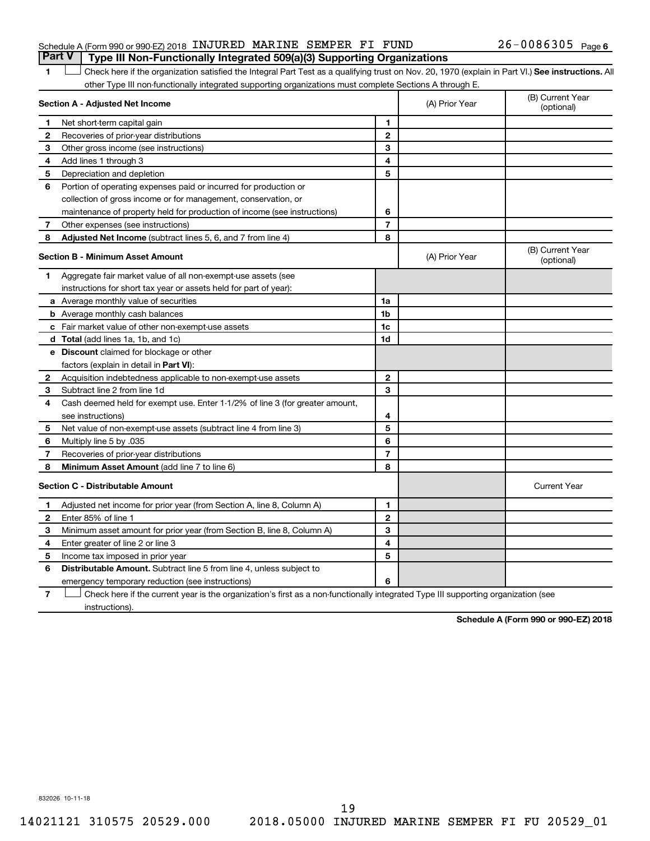#### Schedule A (Form 990 or 990-EZ) 2018 INJURED MARINE SEMPER FI FUND  $26-0086305$  Page **Part V Type III Non-Functionally Integrated 509(a)(3) Supporting Organizations**

1 Check here if the organization satisfied the Integral Part Test as a qualifying trust on Nov. 20, 1970 (explain in Part VI.) See instructions. All other Type III non-functionally integrated supporting organizations must complete Sections A through E.

| Section A - Adjusted Net Income |                                                                              |                | (A) Prior Year | (B) Current Year<br>(optional) |
|---------------------------------|------------------------------------------------------------------------------|----------------|----------------|--------------------------------|
| 1                               | Net short-term capital gain                                                  | $\blacksquare$ |                |                                |
| 2                               | Recoveries of prior-year distributions                                       | $\mathbf{2}$   |                |                                |
| 3                               | Other gross income (see instructions)                                        | 3              |                |                                |
| 4                               | Add lines 1 through 3                                                        | 4              |                |                                |
| 5                               | Depreciation and depletion                                                   | 5              |                |                                |
| 6                               | Portion of operating expenses paid or incurred for production or             |                |                |                                |
|                                 | collection of gross income or for management, conservation, or               |                |                |                                |
|                                 | maintenance of property held for production of income (see instructions)     | 6              |                |                                |
| 7                               | Other expenses (see instructions)                                            | $\overline{7}$ |                |                                |
| 8                               | Adjusted Net Income (subtract lines 5, 6, and 7 from line 4)                 | 8              |                |                                |
|                                 | <b>Section B - Minimum Asset Amount</b>                                      |                | (A) Prior Year | (B) Current Year<br>(optional) |
| 1                               | Aggregate fair market value of all non-exempt-use assets (see                |                |                |                                |
|                                 | instructions for short tax year or assets held for part of year):            |                |                |                                |
|                                 | a Average monthly value of securities                                        | 1a             |                |                                |
|                                 | <b>b</b> Average monthly cash balances                                       | 1 <sub>b</sub> |                |                                |
|                                 | c Fair market value of other non-exempt-use assets                           | 1 <sub>c</sub> |                |                                |
|                                 | d Total (add lines 1a, 1b, and 1c)                                           | 1d             |                |                                |
|                                 | <b>e</b> Discount claimed for blockage or other                              |                |                |                                |
|                                 | factors (explain in detail in Part VI):                                      |                |                |                                |
| 2                               | Acquisition indebtedness applicable to non-exempt-use assets                 | $\mathbf{2}$   |                |                                |
| 3                               | Subtract line 2 from line 1d                                                 | 3              |                |                                |
| 4                               | Cash deemed held for exempt use. Enter 1-1/2% of line 3 (for greater amount, |                |                |                                |
|                                 | see instructions)                                                            | 4              |                |                                |
| 5                               | Net value of non-exempt-use assets (subtract line 4 from line 3)             | 5              |                |                                |
| 6                               | Multiply line 5 by .035                                                      | 6              |                |                                |
| 7                               | Recoveries of prior-year distributions                                       | $\overline{7}$ |                |                                |
| 8                               | Minimum Asset Amount (add line 7 to line 6)                                  | 8              |                |                                |
|                                 | <b>Section C - Distributable Amount</b>                                      |                |                | <b>Current Year</b>            |
| 1                               | Adjusted net income for prior year (from Section A, line 8, Column A)        | 1              |                |                                |
| $\mathbf{2}$                    | Enter 85% of line 1                                                          | $\mathbf{2}$   |                |                                |
| З                               | Minimum asset amount for prior year (from Section B, line 8, Column A)       | 3              |                |                                |
| 4                               | Enter greater of line 2 or line 3                                            | 4              |                |                                |
| 5                               | Income tax imposed in prior year                                             | 5              |                |                                |
| 6                               | Distributable Amount. Subtract line 5 from line 4, unless subject to         |                |                |                                |
|                                 | emergency temporary reduction (see instructions)                             | 6              |                |                                |
|                                 |                                                                              |                |                |                                |

**7** Check here if the current year is the organization's first as a non-functionally integrated Type III supporting organization (see instructions).

**Schedule A (Form 990 or 990-EZ) 2018**

832026 10-11-18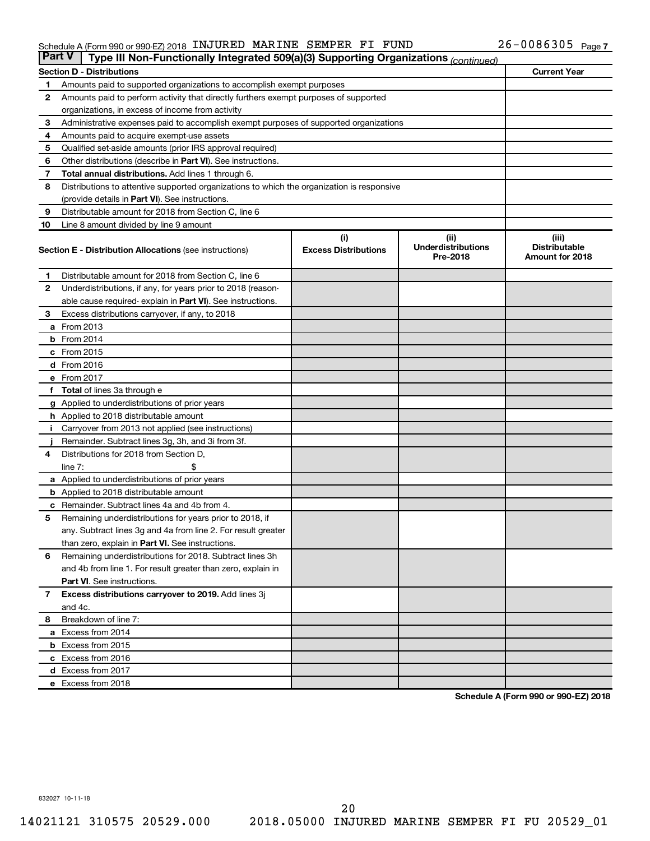#### Schedule A (Form 990 or 990-EZ) 2018 INJUKED MARINE SEMPER FI FUND  $Zb$  – 0086305 Page INJURED MARINE SEMPER FI FUND 26-0086305

| <b>Part V</b> | Type III Non-Functionally Integrated 509(a)(3) Supporting Organizations (continued)        |                             |                                       |                                         |  |  |  |
|---------------|--------------------------------------------------------------------------------------------|-----------------------------|---------------------------------------|-----------------------------------------|--|--|--|
|               | <b>Section D - Distributions</b>                                                           |                             |                                       | <b>Current Year</b>                     |  |  |  |
| 1.            | Amounts paid to supported organizations to accomplish exempt purposes                      |                             |                                       |                                         |  |  |  |
| 2             | Amounts paid to perform activity that directly furthers exempt purposes of supported       |                             |                                       |                                         |  |  |  |
|               | organizations, in excess of income from activity                                           |                             |                                       |                                         |  |  |  |
| 3             | Administrative expenses paid to accomplish exempt purposes of supported organizations      |                             |                                       |                                         |  |  |  |
| 4             | Amounts paid to acquire exempt-use assets                                                  |                             |                                       |                                         |  |  |  |
| 5             | Qualified set-aside amounts (prior IRS approval required)                                  |                             |                                       |                                         |  |  |  |
| 6             | Other distributions (describe in <b>Part VI</b> ). See instructions.                       |                             |                                       |                                         |  |  |  |
| 7             | <b>Total annual distributions.</b> Add lines 1 through 6.                                  |                             |                                       |                                         |  |  |  |
| 8             | Distributions to attentive supported organizations to which the organization is responsive |                             |                                       |                                         |  |  |  |
|               | (provide details in Part VI). See instructions.                                            |                             |                                       |                                         |  |  |  |
| 9             | Distributable amount for 2018 from Section C, line 6                                       |                             |                                       |                                         |  |  |  |
| 10            | Line 8 amount divided by line 9 amount                                                     |                             |                                       |                                         |  |  |  |
|               |                                                                                            | (i)                         | (ii)                                  | (iii)                                   |  |  |  |
|               | <b>Section E - Distribution Allocations (see instructions)</b>                             | <b>Excess Distributions</b> | <b>Underdistributions</b><br>Pre-2018 | <b>Distributable</b><br>Amount for 2018 |  |  |  |
| 1             | Distributable amount for 2018 from Section C, line 6                                       |                             |                                       |                                         |  |  |  |
| 2             | Underdistributions, if any, for years prior to 2018 (reason-                               |                             |                                       |                                         |  |  |  |
|               | able cause required-explain in <b>Part VI</b> ). See instructions.                         |                             |                                       |                                         |  |  |  |
| З             | Excess distributions carryover, if any, to 2018                                            |                             |                                       |                                         |  |  |  |
|               | <b>a</b> From 2013                                                                         |                             |                                       |                                         |  |  |  |
|               | $b$ From 2014                                                                              |                             |                                       |                                         |  |  |  |
|               | $c$ From 2015                                                                              |                             |                                       |                                         |  |  |  |
|               | d From 2016                                                                                |                             |                                       |                                         |  |  |  |
|               | e From 2017                                                                                |                             |                                       |                                         |  |  |  |
| f.            | <b>Total</b> of lines 3a through e                                                         |                             |                                       |                                         |  |  |  |
|               | g Applied to underdistributions of prior years                                             |                             |                                       |                                         |  |  |  |
|               | <b>h</b> Applied to 2018 distributable amount                                              |                             |                                       |                                         |  |  |  |
| Ť.            | Carryover from 2013 not applied (see instructions)                                         |                             |                                       |                                         |  |  |  |
|               | Remainder. Subtract lines 3g, 3h, and 3i from 3f.                                          |                             |                                       |                                         |  |  |  |
| 4             | Distributions for 2018 from Section D,                                                     |                             |                                       |                                         |  |  |  |
|               | line $7:$                                                                                  |                             |                                       |                                         |  |  |  |
|               | a Applied to underdistributions of prior years                                             |                             |                                       |                                         |  |  |  |
|               | <b>b</b> Applied to 2018 distributable amount                                              |                             |                                       |                                         |  |  |  |
|               | <b>c</b> Remainder. Subtract lines 4a and 4b from 4.                                       |                             |                                       |                                         |  |  |  |
| 5             | Remaining underdistributions for years prior to 2018, if                                   |                             |                                       |                                         |  |  |  |
|               | any. Subtract lines 3g and 4a from line 2. For result greater                              |                             |                                       |                                         |  |  |  |
|               | than zero, explain in Part VI. See instructions.                                           |                             |                                       |                                         |  |  |  |
| 6             | Remaining underdistributions for 2018. Subtract lines 3h                                   |                             |                                       |                                         |  |  |  |
|               | and 4b from line 1. For result greater than zero, explain in                               |                             |                                       |                                         |  |  |  |
|               | <b>Part VI.</b> See instructions.                                                          |                             |                                       |                                         |  |  |  |
| $\mathbf{7}$  | Excess distributions carryover to 2019. Add lines 3j                                       |                             |                                       |                                         |  |  |  |
|               | and 4c.                                                                                    |                             |                                       |                                         |  |  |  |
| 8             | Breakdown of line 7:                                                                       |                             |                                       |                                         |  |  |  |
|               | a Excess from 2014                                                                         |                             |                                       |                                         |  |  |  |
|               | <b>b</b> Excess from 2015                                                                  |                             |                                       |                                         |  |  |  |
|               | c Excess from 2016                                                                         |                             |                                       |                                         |  |  |  |
|               | d Excess from 2017                                                                         |                             |                                       |                                         |  |  |  |
|               | e Excess from 2018                                                                         |                             |                                       |                                         |  |  |  |

**Schedule A (Form 990 or 990-EZ) 2018**

832027 10-11-18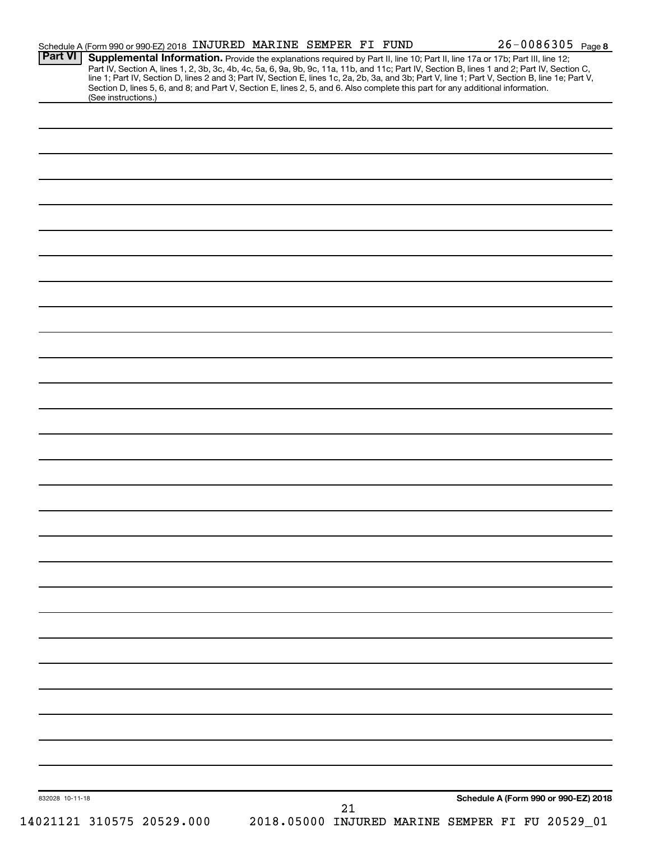| <b>Part VI</b>  | Schedule A (Form 990 or 990-EZ) 2018 INJURED MARINE SEMPER FI FUND<br>Supplemental Information. Provide the explanations required by Part II, line 10; Part II, line 17a or 17b; Part III, line 12; |  |  | 26-0086305 Page 8                                                                                                                                                                                                             |
|-----------------|-----------------------------------------------------------------------------------------------------------------------------------------------------------------------------------------------------|--|--|-------------------------------------------------------------------------------------------------------------------------------------------------------------------------------------------------------------------------------|
|                 |                                                                                                                                                                                                     |  |  | Part IV, Section A, lines 1, 2, 3b, 3c, 4b, 4c, 5a, 6, 9a, 9b, 9c, 11a, 11b, and 11c; Part IV, Section B, lines 1 and 2; Part IV, Section C, line 1; Part IV, Section D, lines 2 and 3; Part IV, Section E, lines 1c, 2a, 2b, |
|                 | Section D, lines 5, 6, and 8; and Part V, Section E, lines 2, 5, and 6. Also complete this part for any additional information.<br>(See instructions.)                                              |  |  |                                                                                                                                                                                                                               |
|                 |                                                                                                                                                                                                     |  |  |                                                                                                                                                                                                                               |
|                 |                                                                                                                                                                                                     |  |  |                                                                                                                                                                                                                               |
|                 |                                                                                                                                                                                                     |  |  |                                                                                                                                                                                                                               |
|                 |                                                                                                                                                                                                     |  |  |                                                                                                                                                                                                                               |
|                 |                                                                                                                                                                                                     |  |  |                                                                                                                                                                                                                               |
|                 |                                                                                                                                                                                                     |  |  |                                                                                                                                                                                                                               |
|                 |                                                                                                                                                                                                     |  |  |                                                                                                                                                                                                                               |
|                 |                                                                                                                                                                                                     |  |  |                                                                                                                                                                                                                               |
|                 |                                                                                                                                                                                                     |  |  |                                                                                                                                                                                                                               |
|                 |                                                                                                                                                                                                     |  |  |                                                                                                                                                                                                                               |
|                 |                                                                                                                                                                                                     |  |  |                                                                                                                                                                                                                               |
|                 |                                                                                                                                                                                                     |  |  |                                                                                                                                                                                                                               |
|                 |                                                                                                                                                                                                     |  |  |                                                                                                                                                                                                                               |
|                 |                                                                                                                                                                                                     |  |  |                                                                                                                                                                                                                               |
|                 |                                                                                                                                                                                                     |  |  |                                                                                                                                                                                                                               |
|                 |                                                                                                                                                                                                     |  |  |                                                                                                                                                                                                                               |
|                 |                                                                                                                                                                                                     |  |  |                                                                                                                                                                                                                               |
|                 |                                                                                                                                                                                                     |  |  |                                                                                                                                                                                                                               |
|                 |                                                                                                                                                                                                     |  |  |                                                                                                                                                                                                                               |
|                 |                                                                                                                                                                                                     |  |  |                                                                                                                                                                                                                               |
|                 |                                                                                                                                                                                                     |  |  |                                                                                                                                                                                                                               |
|                 |                                                                                                                                                                                                     |  |  |                                                                                                                                                                                                                               |
|                 |                                                                                                                                                                                                     |  |  |                                                                                                                                                                                                                               |
|                 |                                                                                                                                                                                                     |  |  |                                                                                                                                                                                                                               |
|                 |                                                                                                                                                                                                     |  |  |                                                                                                                                                                                                                               |
|                 |                                                                                                                                                                                                     |  |  |                                                                                                                                                                                                                               |
|                 |                                                                                                                                                                                                     |  |  |                                                                                                                                                                                                                               |
|                 |                                                                                                                                                                                                     |  |  |                                                                                                                                                                                                                               |
|                 |                                                                                                                                                                                                     |  |  |                                                                                                                                                                                                                               |
|                 |                                                                                                                                                                                                     |  |  |                                                                                                                                                                                                                               |
|                 |                                                                                                                                                                                                     |  |  |                                                                                                                                                                                                                               |
|                 |                                                                                                                                                                                                     |  |  |                                                                                                                                                                                                                               |
|                 |                                                                                                                                                                                                     |  |  |                                                                                                                                                                                                                               |
|                 |                                                                                                                                                                                                     |  |  |                                                                                                                                                                                                                               |
|                 |                                                                                                                                                                                                     |  |  |                                                                                                                                                                                                                               |
|                 |                                                                                                                                                                                                     |  |  |                                                                                                                                                                                                                               |
|                 |                                                                                                                                                                                                     |  |  |                                                                                                                                                                                                                               |
|                 |                                                                                                                                                                                                     |  |  |                                                                                                                                                                                                                               |
|                 |                                                                                                                                                                                                     |  |  |                                                                                                                                                                                                                               |
|                 |                                                                                                                                                                                                     |  |  |                                                                                                                                                                                                                               |
|                 |                                                                                                                                                                                                     |  |  | Schedule A (Form 990 or 990-EZ) 2018                                                                                                                                                                                          |
| 832028 10-11-18 |                                                                                                                                                                                                     |  |  |                                                                                                                                                                                                                               |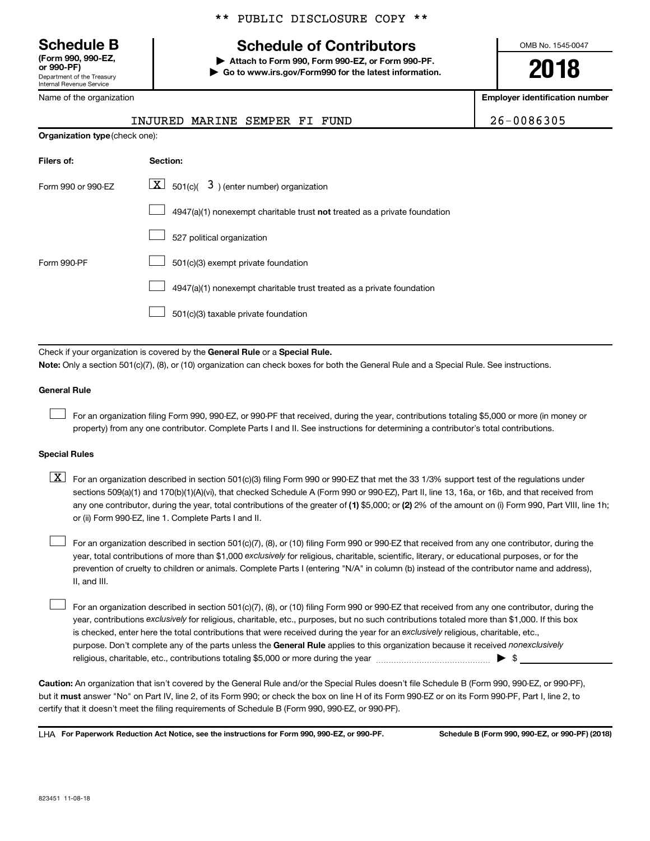**(Form 990, 990-EZ,**

Department of the Treasury Internal Revenue Service

Name of the organization

## **Schedule B Schedule of Contributors**

**or 990-PF) | Attach to Form 990, Form 990-EZ, or Form 990-PF. | Go to www.irs.gov/Form990 for the latest information.** OMB No. 1545-0047

**2018**

**Employer identification number**

| 26-0086305 |  |  |
|------------|--|--|
|------------|--|--|

| <b>Organization type (check one):</b> |                                                                           |  |  |  |  |
|---------------------------------------|---------------------------------------------------------------------------|--|--|--|--|
| Filers of:                            | Section:                                                                  |  |  |  |  |
| Form 990 or 990-EZ                    | $\lfloor \mathbf{X} \rfloor$ 501(c)( 3) (enter number) organization       |  |  |  |  |
|                                       | 4947(a)(1) nonexempt charitable trust not treated as a private foundation |  |  |  |  |
|                                       | 527 political organization                                                |  |  |  |  |
| Form 990-PF                           | 501(c)(3) exempt private foundation                                       |  |  |  |  |
|                                       | 4947(a)(1) nonexempt charitable trust treated as a private foundation     |  |  |  |  |
|                                       | 501(c)(3) taxable private foundation                                      |  |  |  |  |

INJURED MARINE SEMPER FI FUND

Check if your organization is covered by the General Rule or a Special Rule. **Note:**  Only a section 501(c)(7), (8), or (10) organization can check boxes for both the General Rule and a Special Rule. See instructions.

#### **General Rule**

 $\mathcal{L}^{\text{eff}}$ 

For an organization filing Form 990, 990-EZ, or 990-PF that received, during the year, contributions totaling \$5,000 or more (in money or property) from any one contributor. Complete Parts I and II. See instructions for determining a contributor's total contributions.

#### **Special Rules**

any one contributor, during the year, total contributions of the greater of (1) \$5,000; or (2) 2% of the amount on (i) Form 990, Part VIII, line 1h;  $\boxed{\text{X}}$  For an organization described in section 501(c)(3) filing Form 990 or 990-EZ that met the 33 1/3% support test of the regulations under sections 509(a)(1) and 170(b)(1)(A)(vi), that checked Schedule A (Form 990 or 990-EZ), Part II, line 13, 16a, or 16b, and that received from or (ii) Form 990-EZ, line 1. Complete Parts I and II.

year, total contributions of more than \$1,000 *exclusively* for religious, charitable, scientific, literary, or educational purposes, or for the For an organization described in section 501(c)(7), (8), or (10) filing Form 990 or 990-EZ that received from any one contributor, during the prevention of cruelty to children or animals. Complete Parts I (entering "N/A" in column (b) instead of the contributor name and address), II, and III.  $\mathcal{L}^{\text{eff}}$ 

purpose. Don't complete any of the parts unless the General Rule applies to this organization because it received nonexclusively year, contributions exclusively for religious, charitable, etc., purposes, but no such contributions totaled more than \$1,000. If this box is checked, enter here the total contributions that were received during the year for an exclusively religious, charitable, etc., For an organization described in section 501(c)(7), (8), or (10) filing Form 990 or 990-EZ that received from any one contributor, during the religious, charitable, etc., contributions totaling \$5,000 or more during the year  $\ldots$  $\ldots$  $\ldots$  $\ldots$  $\ldots$  $\ldots$  $\mathcal{L}^{\text{eff}}$ 

**Caution:**  An organization that isn't covered by the General Rule and/or the Special Rules doesn't file Schedule B (Form 990, 990-EZ, or 990-PF),  **must** but it answer "No" on Part IV, line 2, of its Form 990; or check the box on line H of its Form 990-EZ or on its Form 990-PF, Part I, line 2, to certify that it doesn't meet the filing requirements of Schedule B (Form 990, 990-EZ, or 990-PF).

LHA For Paperwork Reduction Act Notice, see the instructions for Form 990, 990-EZ, or 990-PF. Schedule B (Form 990, 990-EZ, or 990-PF) (2018)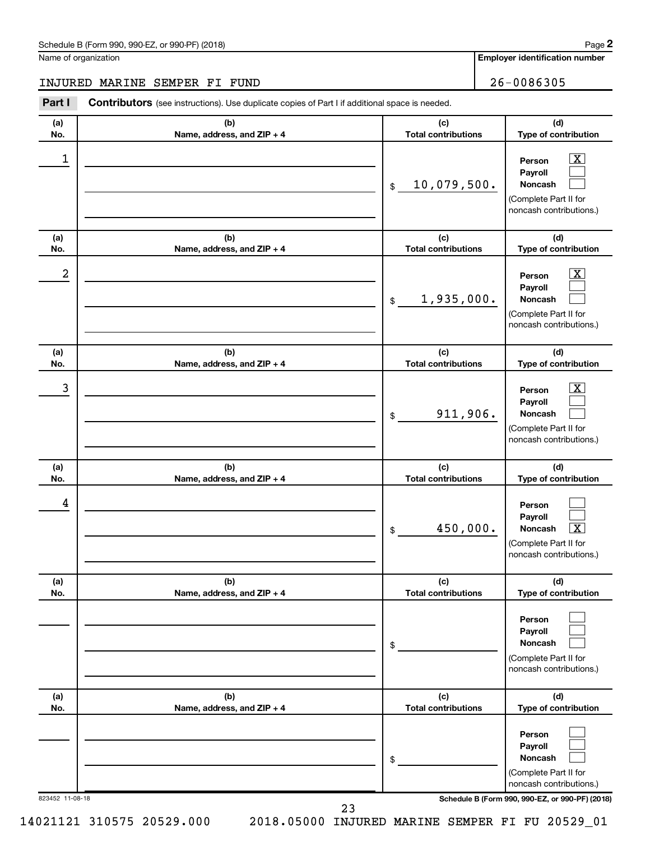Name of organization

**Employer identification number**

#### INJURED MARINE SEMPER FI FUND 26-0086305

823452 11-08-18 **Schedule B (Form 990, 990-EZ, or 990-PF) (2018) (a) No. (b) Name, address, and ZIP + 4 (c) Total contributions (d) Type of contribution Person Payroll Noncash (a) No. (b) Name, address, and ZIP + 4 (c) Total contributions (d) Type of contribution Person Payroll Noncash (a) No. (b) Name, address, and ZIP + 4 (c) Total contributions (d) Type of contribution Person Payroll Noncash (a) No. (b) Name, address, and ZIP + 4 (c) Total contributions (d) Type of contribution Person Payroll Noncash (a) No. (b) Name, address, and ZIP + 4 (c) Total contributions (d) Type of contribution Person Payroll Noncash (a) No. (b) Name, address, and ZIP + 4 (c) Total contributions (d) Type of contribution Person Payroll Noncash** Part I Contributors (see instructions). Use duplicate copies of Part I if additional space is needed. \$ (Complete Part II for noncash contributions.) \$ (Complete Part II for noncash contributions.) \$ (Complete Part II for noncash contributions.) \$ (Complete Part II for noncash contributions.) \$ (Complete Part II for noncash contributions.) \$ (Complete Part II for noncash contributions.)  $\lfloor x \rfloor$  $\sim$  $\sim$  $\overline{\mathbf{X}}$  $\sim$  $\sim$  $\boxed{\textbf{X}}$  $\sim$  $\sim$  $\sim$  $\sim$  $\lceil \texttt{X} \rceil$  $\sim$  $\mathcal{L}^{\text{eff}}$  $\mathcal{L}^{\text{eff}}$  $\mathcal{L}^{\text{eff}}$  $\mathcal{L}^{\text{eff}}$  $\mathcal{L}^{\text{eff}}$  $\begin{array}{|c|c|c|c|c|c|}\hline \ \text{1} & \text{Person} & \text{X} \ \hline \end{array}$ 10,079,500.  $2$  Person  $\overline{\text{X}}$ 1,935,000. 3 X 911,906. 4 450,000. X

14021121 310575 20529.000 2018.05000 INJURED MARINE SEMPER FI FU 20529\_01

23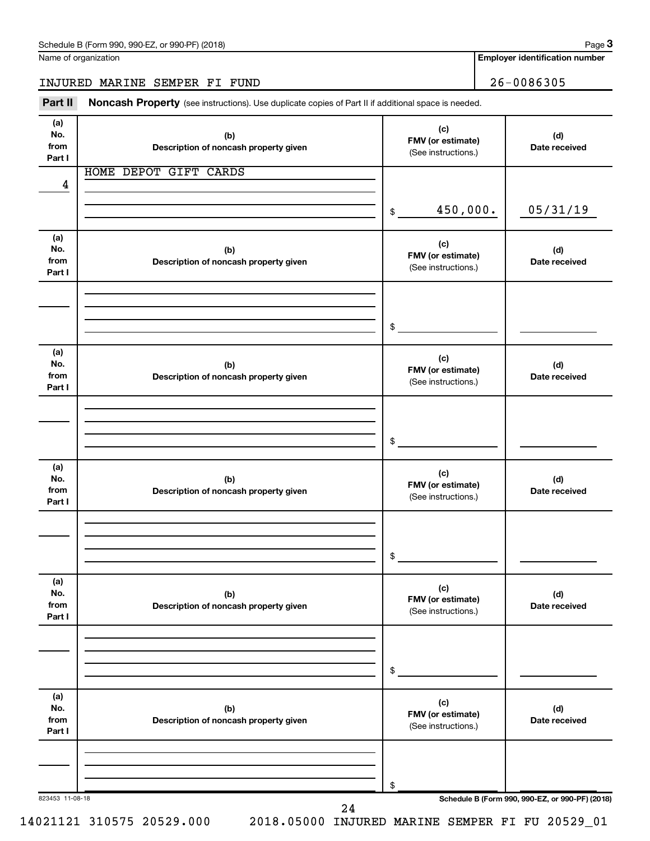Name of organization

**Employer identification number**

INJURED MARINE SEMPER FI FUND 26-0086305

Part II Noncash Property (see instructions). Use duplicate copies of Part II if additional space is needed.

| (a)<br>No.<br>from<br>Part I | (b)<br>Description of noncash property given | (c)<br>FMV (or estimate)<br>(See instructions.) | (d)<br>Date received                            |
|------------------------------|----------------------------------------------|-------------------------------------------------|-------------------------------------------------|
| 4                            | HOME DEPOT GIFT CARDS                        |                                                 |                                                 |
|                              |                                              | 450,000.<br>$\sim$                              | 05/31/19                                        |
| (a)<br>No.<br>from<br>Part I | (b)<br>Description of noncash property given | (c)<br>FMV (or estimate)<br>(See instructions.) | (d)<br>Date received                            |
|                              |                                              | $\frac{1}{2}$                                   |                                                 |
| (a)<br>No.<br>from<br>Part I | (b)<br>Description of noncash property given | (c)<br>FMV (or estimate)<br>(See instructions.) | (d)<br>Date received                            |
|                              |                                              | $\frac{1}{2}$                                   |                                                 |
| (a)<br>No.<br>from<br>Part I | (b)<br>Description of noncash property given | (c)<br>FMV (or estimate)<br>(See instructions.) | (d)<br>Date received                            |
|                              |                                              | $$ -$                                           |                                                 |
| (a)<br>No.<br>from<br>Part I | (b)<br>Description of noncash property given | (c)<br>FMV (or estimate)<br>(See instructions.) | (d)<br>Date received                            |
|                              |                                              | $$\tilde{\phantom{a}}$$                         |                                                 |
| (a)<br>No.<br>from<br>Part I | (b)<br>Description of noncash property given | (c)<br>FMV (or estimate)<br>(See instructions.) | (d)<br>Date received                            |
| 823453 11-08-18              |                                              | \$                                              | Schedule B (Form 990, 990-EZ, or 990-PF) (2018) |
|                              | 24                                           |                                                 |                                                 |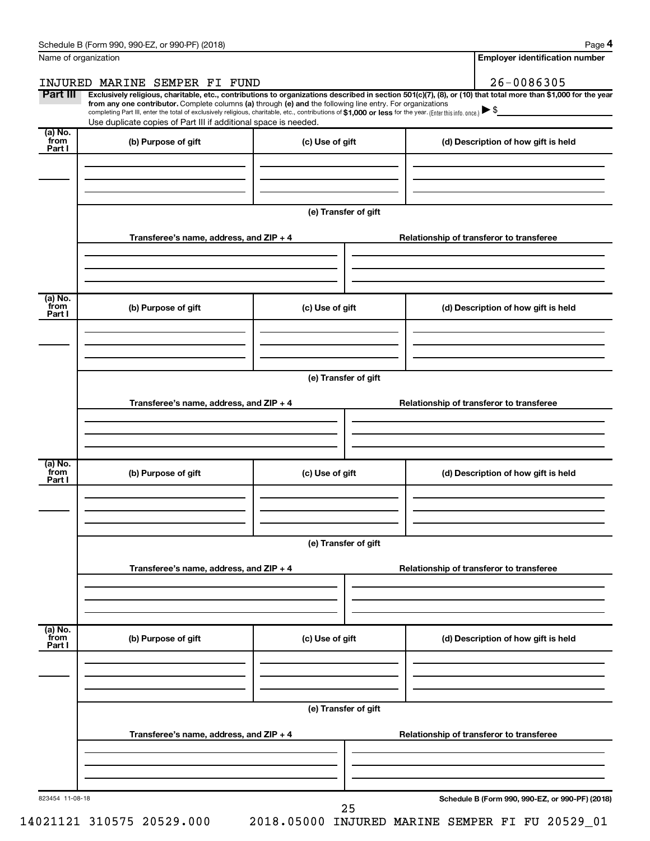| Name of organization      |                                                                                                                                                                                                                                                                                                                                                                                                                                                                                                             |                      | <b>Employer identification number</b>           |
|---------------------------|-------------------------------------------------------------------------------------------------------------------------------------------------------------------------------------------------------------------------------------------------------------------------------------------------------------------------------------------------------------------------------------------------------------------------------------------------------------------------------------------------------------|----------------------|-------------------------------------------------|
|                           | INJURED MARINE SEMPER FI FUND                                                                                                                                                                                                                                                                                                                                                                                                                                                                               |                      | 26-0086305                                      |
| Part III                  | Exclusively religious, charitable, etc., contributions to organizations described in section 501(c)(7), (8), or (10) that total more than \$1,000 for the year<br>from any one contributor. Complete columns (a) through (e) and the following line entry. For organizations<br>completing Part III, enter the total of exclusively religious, charitable, etc., contributions of \$1,000 or less for the year. (Enter this info. once.)<br>Use duplicate copies of Part III if additional space is needed. |                      |                                                 |
| (a) No.<br>from<br>Part I | (b) Purpose of gift                                                                                                                                                                                                                                                                                                                                                                                                                                                                                         | (c) Use of gift      | (d) Description of how gift is held             |
|                           |                                                                                                                                                                                                                                                                                                                                                                                                                                                                                                             | (e) Transfer of gift |                                                 |
|                           | Transferee's name, address, and ZIP + 4                                                                                                                                                                                                                                                                                                                                                                                                                                                                     |                      | Relationship of transferor to transferee        |
| (a) No.<br>from<br>Part I | (b) Purpose of gift                                                                                                                                                                                                                                                                                                                                                                                                                                                                                         | (c) Use of gift      | (d) Description of how gift is held             |
|                           |                                                                                                                                                                                                                                                                                                                                                                                                                                                                                                             | (e) Transfer of gift |                                                 |
|                           | Transferee's name, address, and ZIP + 4                                                                                                                                                                                                                                                                                                                                                                                                                                                                     |                      | Relationship of transferor to transferee        |
| (a) No.<br>from<br>Part I | (b) Purpose of gift                                                                                                                                                                                                                                                                                                                                                                                                                                                                                         | (c) Use of gift      | (d) Description of how gift is held             |
|                           |                                                                                                                                                                                                                                                                                                                                                                                                                                                                                                             | (e) Transfer of gift |                                                 |
|                           | Transferee's name, address, and ZIP + 4                                                                                                                                                                                                                                                                                                                                                                                                                                                                     |                      | Relationship of transferor to transferee        |
| (a) No.<br>from<br>Part I | (b) Purpose of gift                                                                                                                                                                                                                                                                                                                                                                                                                                                                                         | (c) Use of gift      | (d) Description of how gift is held             |
|                           |                                                                                                                                                                                                                                                                                                                                                                                                                                                                                                             | (e) Transfer of gift |                                                 |
|                           | Transferee's name, address, and ZIP + 4                                                                                                                                                                                                                                                                                                                                                                                                                                                                     |                      | Relationship of transferor to transferee        |
| 823454 11-08-18           |                                                                                                                                                                                                                                                                                                                                                                                                                                                                                                             |                      | Schedule B (Form 990, 990-EZ, or 990-PF) (2018) |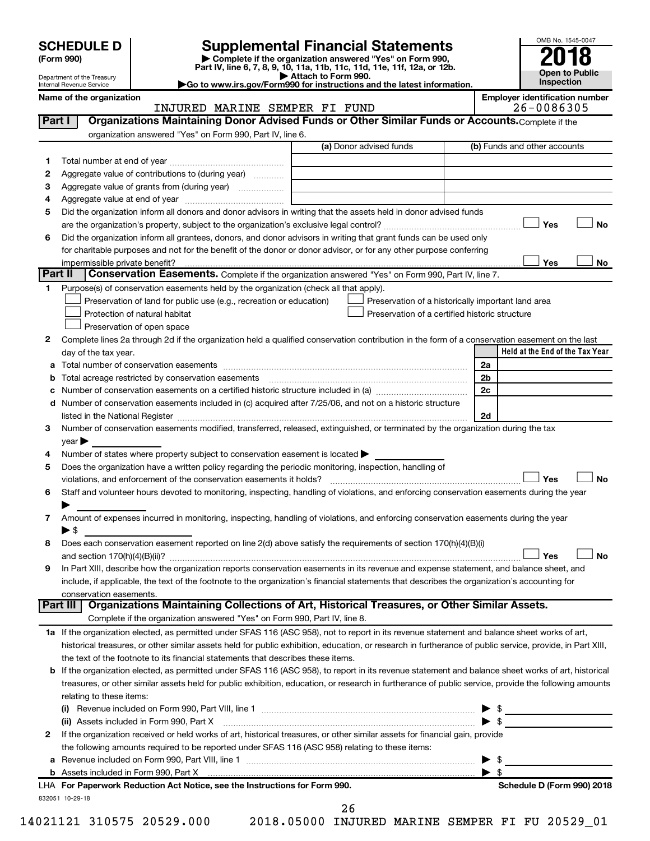Department of the Treasury Internal Revenue Service

| (Form 990) |  |
|------------|--|
|------------|--|

# SCHEDULE D<br>(Form 990) **Supplemental Financial Statements**<br>(Form 990) **2018**

**(Form 990) | Complete if the organization answered "Yes" on Form 990, Part IV, line 6, 7, 8, 9, 10, 11a, 11b, 11c, 11d, 11e, 11f, 12a, or 12b.**

**| Attach to Form 990. |Go to www.irs.gov/Form990 for instructions and the latest information.**



#### **Name of the organization**<br>**Employer identification number**<br>26 – 008 6305 INJURED MARINE SEMPER FI FUND

| Part I   | Organizations Maintaining Donor Advised Funds or Other Similar Funds or Accounts. Complete if the                                                                                                                                                                                                                   |                                                    |                                            |
|----------|---------------------------------------------------------------------------------------------------------------------------------------------------------------------------------------------------------------------------------------------------------------------------------------------------------------------|----------------------------------------------------|--------------------------------------------|
|          | organization answered "Yes" on Form 990, Part IV, line 6.                                                                                                                                                                                                                                                           |                                                    |                                            |
|          |                                                                                                                                                                                                                                                                                                                     | (a) Donor advised funds                            | (b) Funds and other accounts               |
| 1.       |                                                                                                                                                                                                                                                                                                                     |                                                    |                                            |
| 2        | Aggregate value of contributions to (during year)                                                                                                                                                                                                                                                                   |                                                    |                                            |
| 3        | Aggregate value of grants from (during year)                                                                                                                                                                                                                                                                        |                                                    |                                            |
| 4        |                                                                                                                                                                                                                                                                                                                     |                                                    |                                            |
| 5        | Did the organization inform all donors and donor advisors in writing that the assets held in donor advised funds                                                                                                                                                                                                    |                                                    |                                            |
|          |                                                                                                                                                                                                                                                                                                                     |                                                    | Yes<br>No                                  |
| 6        | Did the organization inform all grantees, donors, and donor advisors in writing that grant funds can be used only                                                                                                                                                                                                   |                                                    |                                            |
|          | for charitable purposes and not for the benefit of the donor or donor advisor, or for any other purpose conferring                                                                                                                                                                                                  |                                                    |                                            |
|          | impermissible private benefit?                                                                                                                                                                                                                                                                                      |                                                    | Yes<br>No                                  |
| Part II  | <b>Conservation Easements.</b> Complete if the organization answered "Yes" on Form 990, Part IV, line 7.                                                                                                                                                                                                            |                                                    |                                            |
| 1.       | Purpose(s) of conservation easements held by the organization (check all that apply).                                                                                                                                                                                                                               |                                                    |                                            |
|          | Preservation of land for public use (e.g., recreation or education)                                                                                                                                                                                                                                                 | Preservation of a historically important land area |                                            |
|          | Protection of natural habitat                                                                                                                                                                                                                                                                                       | Preservation of a certified historic structure     |                                            |
|          | Preservation of open space                                                                                                                                                                                                                                                                                          |                                                    |                                            |
| 2        | Complete lines 2a through 2d if the organization held a qualified conservation contribution in the form of a conservation easement on the last                                                                                                                                                                      |                                                    |                                            |
|          | day of the tax year.                                                                                                                                                                                                                                                                                                |                                                    | Held at the End of the Tax Year            |
|          |                                                                                                                                                                                                                                                                                                                     |                                                    | 2a                                         |
|          | <b>b</b> Total acreage restricted by conservation easements                                                                                                                                                                                                                                                         |                                                    | 2b<br>2c                                   |
|          | d Number of conservation easements included in (c) acquired after 7/25/06, and not on a historic structure                                                                                                                                                                                                          |                                                    |                                            |
|          |                                                                                                                                                                                                                                                                                                                     |                                                    | 2d                                         |
| 3        | listed in the National Register [11, 2003] March 2014 The National Property of the National Register [11, 2014<br>Number of conservation easements modified, transferred, released, extinguished, or terminated by the organization during the tax                                                                  |                                                    |                                            |
|          | year                                                                                                                                                                                                                                                                                                                |                                                    |                                            |
| 4        | Number of states where property subject to conservation easement is located >                                                                                                                                                                                                                                       |                                                    |                                            |
| 5        | Does the organization have a written policy regarding the periodic monitoring, inspection, handling of                                                                                                                                                                                                              |                                                    |                                            |
|          | violations, and enforcement of the conservation easements it holds?                                                                                                                                                                                                                                                 |                                                    | Yes<br>No                                  |
| 6        | Staff and volunteer hours devoted to monitoring, inspecting, handling of violations, and enforcing conservation easements during the year                                                                                                                                                                           |                                                    |                                            |
|          |                                                                                                                                                                                                                                                                                                                     |                                                    |                                            |
|          | Amount of expenses incurred in monitoring, inspecting, handling of violations, and enforcing conservation easements during the year                                                                                                                                                                                 |                                                    |                                            |
|          | $\blacktriangleright$ \$                                                                                                                                                                                                                                                                                            |                                                    |                                            |
|          | Does each conservation easement reported on line 2(d) above satisfy the requirements of section 170(h)(4)(B)(i)                                                                                                                                                                                                     |                                                    |                                            |
|          |                                                                                                                                                                                                                                                                                                                     |                                                    | Yes<br>No                                  |
| 9        | In Part XIII, describe how the organization reports conservation easements in its revenue and expense statement, and balance sheet, and                                                                                                                                                                             |                                                    |                                            |
|          | include, if applicable, the text of the footnote to the organization's financial statements that describes the organization's accounting for                                                                                                                                                                        |                                                    |                                            |
|          | conservation easements.                                                                                                                                                                                                                                                                                             |                                                    |                                            |
| Part III | Organizations Maintaining Collections of Art, Historical Treasures, or Other Similar Assets.                                                                                                                                                                                                                        |                                                    |                                            |
|          | Complete if the organization answered "Yes" on Form 990, Part IV, line 8.                                                                                                                                                                                                                                           |                                                    |                                            |
|          | 1a If the organization elected, as permitted under SFAS 116 (ASC 958), not to report in its revenue statement and balance sheet works of art,                                                                                                                                                                       |                                                    |                                            |
|          | historical treasures, or other similar assets held for public exhibition, education, or research in furtherance of public service, provide, in Part XIII,                                                                                                                                                           |                                                    |                                            |
|          | the text of the footnote to its financial statements that describes these items.                                                                                                                                                                                                                                    |                                                    |                                            |
|          | <b>b</b> If the organization elected, as permitted under SFAS 116 (ASC 958), to report in its revenue statement and balance sheet works of art, historical<br>treasures, or other similar assets held for public exhibition, education, or research in furtherance of public service, provide the following amounts |                                                    |                                            |
|          | relating to these items:                                                                                                                                                                                                                                                                                            |                                                    |                                            |
|          |                                                                                                                                                                                                                                                                                                                     |                                                    |                                            |
|          | (ii) Assets included in Form 990, Part X [11] Marson Marson Marson Marson Marson Marson Marson Marson Marson M                                                                                                                                                                                                      |                                                    | $\triangleright$ \$<br>$\triangleright$ \$ |
| 2        | If the organization received or held works of art, historical treasures, or other similar assets for financial gain, provide                                                                                                                                                                                        |                                                    |                                            |
|          | the following amounts required to be reported under SFAS 116 (ASC 958) relating to these items:                                                                                                                                                                                                                     |                                                    |                                            |
|          |                                                                                                                                                                                                                                                                                                                     |                                                    | $\blacktriangleright$ \$                   |
|          |                                                                                                                                                                                                                                                                                                                     |                                                    | $\blacktriangleright$ \$                   |
|          | LHA For Paperwork Reduction Act Notice, see the Instructions for Form 990.                                                                                                                                                                                                                                          |                                                    | Schedule D (Form 990) 2018                 |
|          | 832051 10-29-18                                                                                                                                                                                                                                                                                                     |                                                    |                                            |

26

14021121 310575 20529.000 2018.05000 INJURED MARINE SEMPER FI FU 20529\_01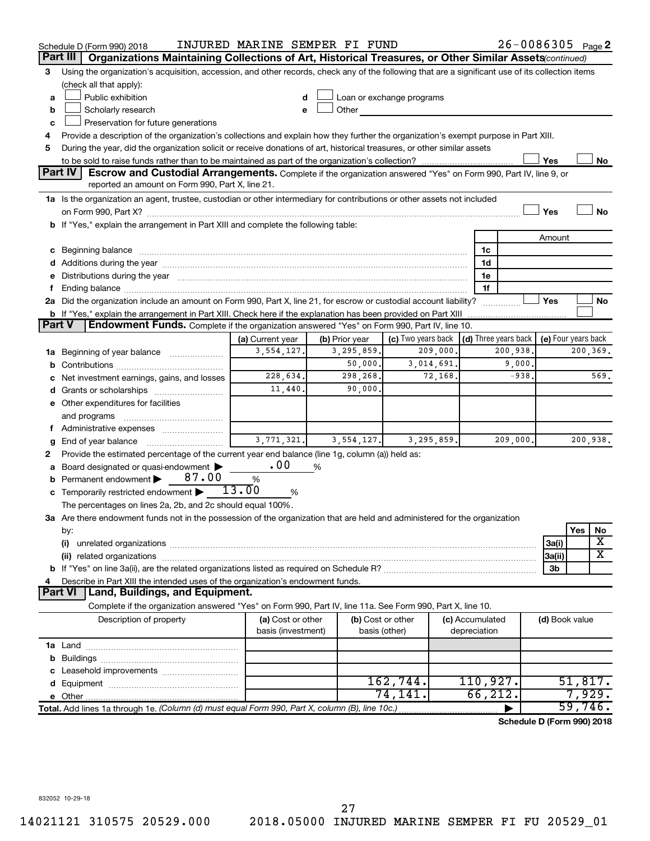|               | Schedule D (Form 990) 2018                                                                                                                                                                                                     | INJURED MARINE SEMPER FI FUND |                |                                                         |                 | $26 - 0086305$ Page 2      |                     |          |      |
|---------------|--------------------------------------------------------------------------------------------------------------------------------------------------------------------------------------------------------------------------------|-------------------------------|----------------|---------------------------------------------------------|-----------------|----------------------------|---------------------|----------|------|
|               | Part III<br>Organizations Maintaining Collections of Art, Historical Treasures, or Other Similar Assets (continued)                                                                                                            |                               |                |                                                         |                 |                            |                     |          |      |
| 3             | Using the organization's acquisition, accession, and other records, check any of the following that are a significant use of its collection items                                                                              |                               |                |                                                         |                 |                            |                     |          |      |
|               | (check all that apply):                                                                                                                                                                                                        |                               |                |                                                         |                 |                            |                     |          |      |
| a             | Public exhibition                                                                                                                                                                                                              |                               |                | Loan or exchange programs                               |                 |                            |                     |          |      |
| b             | Scholarly research                                                                                                                                                                                                             |                               | Other          |                                                         |                 |                            |                     |          |      |
| c             | Preservation for future generations                                                                                                                                                                                            |                               |                |                                                         |                 |                            |                     |          |      |
|               | Provide a description of the organization's collections and explain how they further the organization's exempt purpose in Part XIII.                                                                                           |                               |                |                                                         |                 |                            |                     |          |      |
| 5             | During the year, did the organization solicit or receive donations of art, historical treasures, or other similar assets                                                                                                       |                               |                |                                                         |                 |                            |                     |          |      |
|               |                                                                                                                                                                                                                                |                               |                |                                                         |                 |                            | Yes                 |          | No   |
|               | Part IV<br><b>Escrow and Custodial Arrangements.</b> Complete if the organization answered "Yes" on Form 990, Part IV, line 9, or<br>reported an amount on Form 990, Part X, line 21.                                          |                               |                |                                                         |                 |                            |                     |          |      |
|               | 1a Is the organization an agent, trustee, custodian or other intermediary for contributions or other assets not included                                                                                                       |                               |                |                                                         |                 |                            |                     |          |      |
|               |                                                                                                                                                                                                                                |                               |                |                                                         |                 |                            | Yes                 |          | No   |
|               | b If "Yes," explain the arrangement in Part XIII and complete the following table:                                                                                                                                             |                               |                |                                                         |                 |                            |                     |          |      |
|               |                                                                                                                                                                                                                                |                               |                |                                                         |                 |                            | Amount              |          |      |
|               | c Beginning balance measurements and the contract of the contract of the contract of the contract of the contract of the contract of the contract of the contract of the contract of the contract of the contract of the contr |                               |                |                                                         | 1c              |                            |                     |          |      |
|               |                                                                                                                                                                                                                                |                               |                |                                                         | 1d              |                            |                     |          |      |
|               | e Distributions during the year manufactured and contain an account of the year manufactured and the year manufactured and the year manufactured and the year manufactured and the year manufactured and the year manufactured |                               |                |                                                         | 1e              |                            |                     |          |      |
|               |                                                                                                                                                                                                                                |                               |                |                                                         | 1f              |                            |                     |          |      |
|               | 2a Did the organization include an amount on Form 990, Part X, line 21, for escrow or custodial account liability?                                                                                                             |                               |                |                                                         |                 |                            | Yes                 |          | No   |
|               |                                                                                                                                                                                                                                |                               |                |                                                         |                 |                            |                     |          |      |
| <b>Part V</b> | Endowment Funds. Complete if the organization answered "Yes" on Form 990, Part IV, line 10.                                                                                                                                    |                               |                |                                                         |                 |                            |                     |          |      |
|               |                                                                                                                                                                                                                                | (a) Current year              | (b) Prior year | (c) Two years back $\vert$ (d) Three years back $\vert$ |                 |                            | (e) Four years back |          |      |
|               | <b>1a</b> Beginning of year balance <i>manumum</i>                                                                                                                                                                             | 3,554,127.                    | 3, 295, 859.   | 209,000.                                                |                 | 200,938.                   |                     | 200,369. |      |
|               |                                                                                                                                                                                                                                |                               | 50,000.        | 3,014,691.                                              |                 | 9,000.                     |                     |          | 569. |
|               | c Net investment earnings, gains, and losses                                                                                                                                                                                   | 228,634.                      | 298,268.       | 72,168.                                                 |                 | $-938.$                    |                     |          |      |
|               |                                                                                                                                                                                                                                | 11,440.                       | 90,000.        |                                                         |                 |                            |                     |          |      |
|               | e Other expenditures for facilities                                                                                                                                                                                            |                               |                |                                                         |                 |                            |                     |          |      |
|               | and programs                                                                                                                                                                                                                   |                               |                |                                                         |                 |                            |                     |          |      |
|               | f Administrative expenses                                                                                                                                                                                                      | 3,771,321.                    | 3,554,127.     | 3,295,859.                                              |                 | 209,000.                   |                     | 200,938. |      |
|               | <b>g</b> End of year balance $\ldots$                                                                                                                                                                                          |                               |                |                                                         |                 |                            |                     |          |      |
| 2             | Provide the estimated percentage of the current year end balance (line 1g, column (a)) held as:                                                                                                                                | .00                           | %              |                                                         |                 |                            |                     |          |      |
|               | a Board designated or quasi-endowment ><br><b>b</b> Permanent endowment $\triangleright$ 87.00                                                                                                                                 | %                             |                |                                                         |                 |                            |                     |          |      |
|               | <b>c</b> Temporarily restricted endowment $\blacktriangleright$ 13.00                                                                                                                                                          | %                             |                |                                                         |                 |                            |                     |          |      |
|               | The percentages on lines 2a, 2b, and 2c should equal 100%.                                                                                                                                                                     |                               |                |                                                         |                 |                            |                     |          |      |
|               | 3a Are there endowment funds not in the possession of the organization that are held and administered for the organization                                                                                                     |                               |                |                                                         |                 |                            |                     |          |      |
|               | by:                                                                                                                                                                                                                            |                               |                |                                                         |                 |                            |                     | Yes      | No   |
|               | (i)                                                                                                                                                                                                                            |                               |                |                                                         |                 |                            | 3a(i)               |          | х    |
|               |                                                                                                                                                                                                                                |                               |                |                                                         |                 |                            | 3a(ii)              |          | x    |
|               |                                                                                                                                                                                                                                |                               |                |                                                         |                 |                            | 3b                  |          |      |
| 4             | Describe in Part XIII the intended uses of the organization's endowment funds.                                                                                                                                                 |                               |                |                                                         |                 |                            |                     |          |      |
|               | Land, Buildings, and Equipment.<br><b>Part VI</b>                                                                                                                                                                              |                               |                |                                                         |                 |                            |                     |          |      |
|               | Complete if the organization answered "Yes" on Form 990, Part IV, line 11a. See Form 990, Part X, line 10.                                                                                                                     |                               |                |                                                         |                 |                            |                     |          |      |
|               | Description of property                                                                                                                                                                                                        | (a) Cost or other             |                | (b) Cost or other                                       | (c) Accumulated |                            | (d) Book value      |          |      |
|               |                                                                                                                                                                                                                                | basis (investment)            |                | basis (other)                                           | depreciation    |                            |                     |          |      |
|               |                                                                                                                                                                                                                                |                               |                |                                                         |                 |                            |                     |          |      |
|               |                                                                                                                                                                                                                                |                               |                |                                                         |                 |                            |                     |          |      |
|               |                                                                                                                                                                                                                                |                               |                |                                                         |                 |                            |                     |          |      |
|               |                                                                                                                                                                                                                                |                               |                | 162,744.                                                | 110,927.        |                            |                     | 51,817.  |      |
|               |                                                                                                                                                                                                                                |                               |                | 74,141.                                                 | 66,212.         |                            |                     | 7,929.   |      |
|               | Total. Add lines 1a through 1e. (Column (d) must equal Form 990, Part X, column (B), line 10c.)                                                                                                                                |                               |                |                                                         |                 |                            |                     | 59,746.  |      |
|               |                                                                                                                                                                                                                                |                               |                |                                                         |                 | Schedule D (Form 990) 2018 |                     |          |      |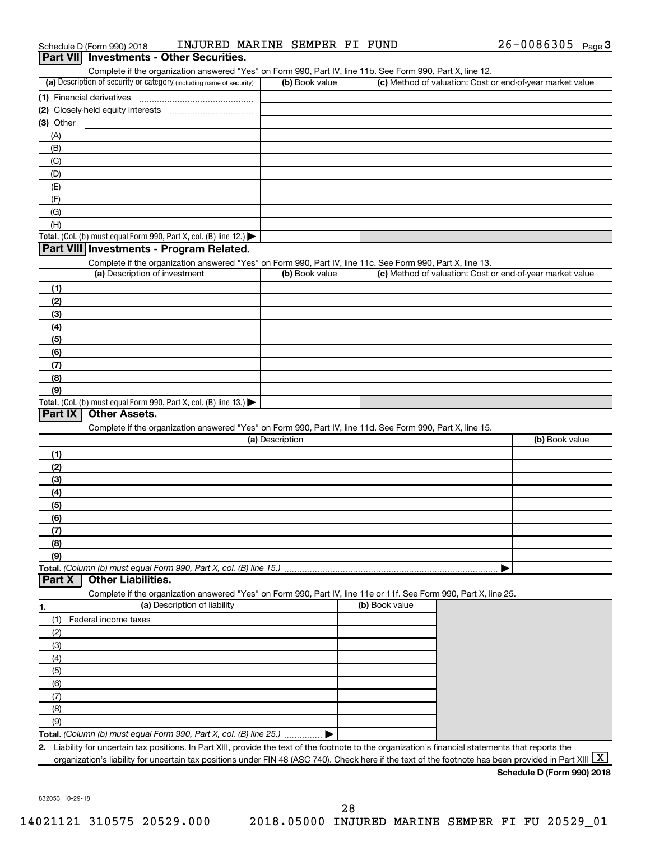| Schedule D (Form 990) 2018                                                                                                                                            | INJURED MARINE SEMPER FI FUND |                | 26-0086305 Page 3                                         |
|-----------------------------------------------------------------------------------------------------------------------------------------------------------------------|-------------------------------|----------------|-----------------------------------------------------------|
| Part VII Investments - Other Securities.                                                                                                                              |                               |                |                                                           |
| Complete if the organization answered "Yes" on Form 990, Part IV, line 11b. See Form 990, Part X, line 12.                                                            |                               |                |                                                           |
| (a) Description of security or category (including name of security)                                                                                                  | (b) Book value                |                | (c) Method of valuation: Cost or end-of-year market value |
| (1) Financial derivatives                                                                                                                                             |                               |                |                                                           |
|                                                                                                                                                                       |                               |                |                                                           |
| (3) Other                                                                                                                                                             |                               |                |                                                           |
| (A)                                                                                                                                                                   |                               |                |                                                           |
| (B)                                                                                                                                                                   |                               |                |                                                           |
| (C)                                                                                                                                                                   |                               |                |                                                           |
| (D)                                                                                                                                                                   |                               |                |                                                           |
| (E)                                                                                                                                                                   |                               |                |                                                           |
| (F)                                                                                                                                                                   |                               |                |                                                           |
| (G)                                                                                                                                                                   |                               |                |                                                           |
| (H)                                                                                                                                                                   |                               |                |                                                           |
| <b>Total.</b> (Col. (b) must equal Form 990, Part X, col. (B) line 12.) $\blacktriangleright$                                                                         |                               |                |                                                           |
| Part VIII Investments - Program Related.                                                                                                                              |                               |                |                                                           |
| Complete if the organization answered "Yes" on Form 990, Part IV, line 11c. See Form 990, Part X, line 13.                                                            |                               |                |                                                           |
| (a) Description of investment                                                                                                                                         | (b) Book value                |                | (c) Method of valuation: Cost or end-of-year market value |
| (1)                                                                                                                                                                   |                               |                |                                                           |
| (2)                                                                                                                                                                   |                               |                |                                                           |
| (3)                                                                                                                                                                   |                               |                |                                                           |
| (4)                                                                                                                                                                   |                               |                |                                                           |
| (5)                                                                                                                                                                   |                               |                |                                                           |
| (6)                                                                                                                                                                   |                               |                |                                                           |
| (7)                                                                                                                                                                   |                               |                |                                                           |
| (8)                                                                                                                                                                   |                               |                |                                                           |
| (9)                                                                                                                                                                   |                               |                |                                                           |
| <b>Total.</b> (Col. (b) must equal Form 990, Part X, col. (B) line 13.) $\blacktriangleright$                                                                         |                               |                |                                                           |
| <b>Other Assets.</b><br>Part IX                                                                                                                                       |                               |                |                                                           |
| Complete if the organization answered "Yes" on Form 990, Part IV, line 11d. See Form 990, Part X, line 15.                                                            |                               |                |                                                           |
|                                                                                                                                                                       | (a) Description               |                | (b) Book value                                            |
| (1)                                                                                                                                                                   |                               |                |                                                           |
| (2)                                                                                                                                                                   |                               |                |                                                           |
| (3)                                                                                                                                                                   |                               |                |                                                           |
| (4)                                                                                                                                                                   |                               |                |                                                           |
|                                                                                                                                                                       |                               |                |                                                           |
| (5)                                                                                                                                                                   |                               |                |                                                           |
| (6)                                                                                                                                                                   |                               |                |                                                           |
| (7)                                                                                                                                                                   |                               |                |                                                           |
| (8)                                                                                                                                                                   |                               |                |                                                           |
| (9)                                                                                                                                                                   |                               |                |                                                           |
| Total. (Column (b) must equal Form 990, Part X, col. (B) line 15.)<br><b>Other Liabilities.</b><br>Part X                                                             |                               |                |                                                           |
|                                                                                                                                                                       |                               |                |                                                           |
| Complete if the organization answered "Yes" on Form 990, Part IV, line 11e or 11f. See Form 990, Part X, line 25.<br>(a) Description of liability                     |                               | (b) Book value |                                                           |
| 1.                                                                                                                                                                    |                               |                |                                                           |
| Federal income taxes<br>(1)                                                                                                                                           |                               |                |                                                           |
| (2)                                                                                                                                                                   |                               |                |                                                           |
| (3)                                                                                                                                                                   |                               |                |                                                           |
| (4)                                                                                                                                                                   |                               |                |                                                           |
| (5)                                                                                                                                                                   |                               |                |                                                           |
| (6)                                                                                                                                                                   |                               |                |                                                           |
| (7)                                                                                                                                                                   |                               |                |                                                           |
| (8)                                                                                                                                                                   |                               |                |                                                           |
| (9)                                                                                                                                                                   |                               |                |                                                           |
| Total. (Column (b) must equal Form 990, Part X, col. (B) line 25.)                                                                                                    |                               |                |                                                           |
| 2. Liability for uncertain tax positions. In Part XIII, provide the text of the footnote to the organization's financial statements that reports the                  |                               |                |                                                           |
| organization's liability for uncertain tax positions under FIN 48 (ASC 740). Check here if the text of the footnote has been provided in Part XIII $\boxed{\text{X}}$ |                               |                |                                                           |
|                                                                                                                                                                       |                               |                | Schedule D (Form 990) 2018                                |

832053 10-29-18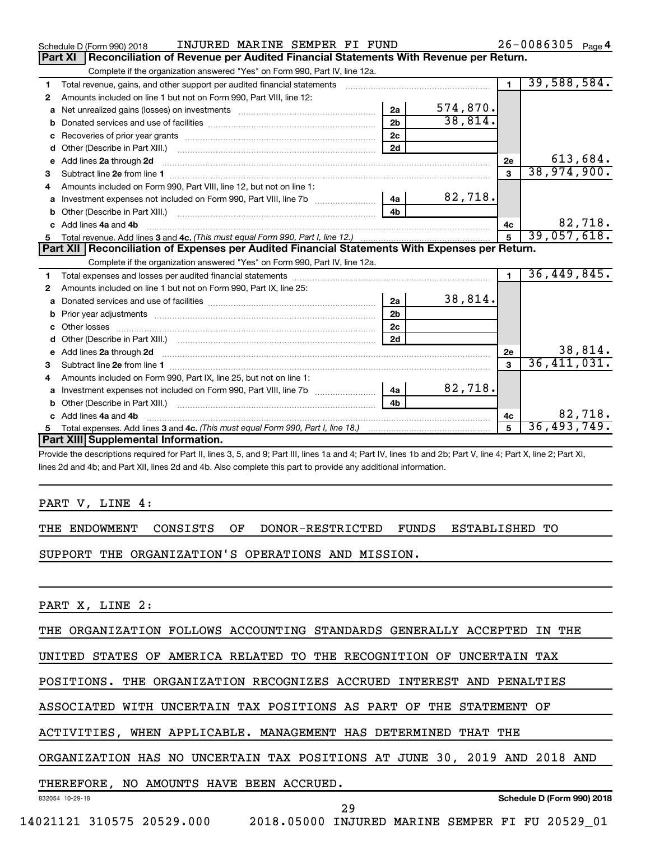|              | INJURED MARINE SEMPER FI FUND<br>Schedule D (Form 990) 2018                                                                                                                                                                         |                |          |                | 26-0086305 Page 4 |
|--------------|-------------------------------------------------------------------------------------------------------------------------------------------------------------------------------------------------------------------------------------|----------------|----------|----------------|-------------------|
|              | Reconciliation of Revenue per Audited Financial Statements With Revenue per Return.<br>Part XI                                                                                                                                      |                |          |                |                   |
|              | Complete if the organization answered "Yes" on Form 990, Part IV, line 12a.                                                                                                                                                         |                |          |                |                   |
| 1            | Total revenue, gains, and other support per audited financial statements [[[[[[[[[[[[[[[[[[[[[[[[]]]]]]]]]]]]                                                                                                                       |                |          | $\blacksquare$ | 39,588,584.       |
| $\mathbf{2}$ | Amounts included on line 1 but not on Form 990, Part VIII, line 12:                                                                                                                                                                 |                |          |                |                   |
| a            |                                                                                                                                                                                                                                     | 2a             | 574,870. |                |                   |
| b            |                                                                                                                                                                                                                                     | 2 <sub>b</sub> | 38,814.  |                |                   |
| c            |                                                                                                                                                                                                                                     | 2 <sub>c</sub> |          |                |                   |
| d            |                                                                                                                                                                                                                                     | 2d             |          |                |                   |
| е            | Add lines 2a through 2d                                                                                                                                                                                                             |                |          | 2e             | 613,684.          |
| 3            |                                                                                                                                                                                                                                     |                |          | $\mathbf{a}$   | 38,974,900.       |
|              | Amounts included on Form 990, Part VIII, line 12, but not on line 1:                                                                                                                                                                |                |          |                |                   |
|              |                                                                                                                                                                                                                                     | 4a             | 82,718.  |                |                   |
| b            | Other (Describe in Part XIII.) <b>Construction Contract Construction</b> Chemical Construction Chemical Chemical Chemical Chemical Chemical Chemical Chemical Chemical Chemical Chemical Chemical Chemical Chemical Chemical Chemic | 4 <sub>h</sub> |          |                |                   |
|              | Add lines 4a and 4b                                                                                                                                                                                                                 |                |          | 4c             | 82,718.           |
|              |                                                                                                                                                                                                                                     |                |          | $\overline{5}$ | 39,057,618.       |
|              |                                                                                                                                                                                                                                     |                |          |                |                   |
|              | Part XII   Reconciliation of Expenses per Audited Financial Statements With Expenses per Return.                                                                                                                                    |                |          |                |                   |
|              | Complete if the organization answered "Yes" on Form 990, Part IV, line 12a.                                                                                                                                                         |                |          |                |                   |
| 1            |                                                                                                                                                                                                                                     |                |          | $\blacksquare$ | 36,449,845.       |
| 2            | Amounts included on line 1 but not on Form 990, Part IX, line 25:                                                                                                                                                                   |                |          |                |                   |
| a            |                                                                                                                                                                                                                                     | 2a             | 38,814.  |                |                   |
|              |                                                                                                                                                                                                                                     | 2 <sub>b</sub> |          |                |                   |
|              |                                                                                                                                                                                                                                     | 2 <sub>c</sub> |          |                |                   |
| d            |                                                                                                                                                                                                                                     | 2d             |          |                |                   |
| e            | Add lines 2a through 2d <b>must be a constructed as the constant of the constant of the constant of the construction</b>                                                                                                            |                |          | <b>2e</b>      | 38,814.           |
| 3            |                                                                                                                                                                                                                                     |                |          | 3              | 36,411,031.       |
| 4            | Amounts included on Form 990, Part IX, line 25, but not on line 1:                                                                                                                                                                  |                |          |                |                   |
| a            |                                                                                                                                                                                                                                     | 4a             | 82,718.  |                |                   |
|              | Other (Describe in Part XIII.) <b>Construction Contract Construction</b> Chemical Construction Chemical Chemical Chemical Chemical Chemical Chemical Chemical Chemical Chemical Chemical Chemical Chemical Chemical Chemical Chemic | 4 <sub>h</sub> |          |                |                   |
|              | c Add lines 4a and 4b                                                                                                                                                                                                               |                |          | 4c             | 82,718.           |
|              | Part XIII Supplemental Information.                                                                                                                                                                                                 |                |          | 5              | 36,493,749.       |

Provide the descriptions required for Part II, lines 3, 5, and 9; Part III, lines 1a and 4; Part IV, lines 1b and 2b; Part V, line 4; Part X, line 2; Part XI, lines 2d and 4b; and Part XII, lines 2d and 4b. Also complete this part to provide any additional information.

PART V, LINE 4:

THE ENDOWMENT CONSISTS OF DONOR-RESTRICTED FUNDS ESTABLISHED TO

SUPPORT THE ORGANIZATION'S OPERATIONS AND MISSION.

PART X, LINE 2:

THE ORGANIZATION FOLLOWS ACCOUNTING STANDARDS GENERALLY ACCEPTED IN THE

UNITED STATES OF AMERICA RELATED TO THE RECOGNITION OF UNCERTAIN TAX

POSITIONS. THE ORGANIZATION RECOGNIZES ACCRUED INTEREST AND PENALTIES

ASSOCIATED WITH UNCERTAIN TAX POSITIONS AS PART OF THE STATEMENT OF

ACTIVITIES, WHEN APPLICABLE. MANAGEMENT HAS DETERMINED THAT THE

ORGANIZATION HAS NO UNCERTAIN TAX POSITIONS AT JUNE 30, 2019 AND 2018 AND

## THEREFORE, NO AMOUNTS HAVE BEEN ACCRUED.

832054 10-29-18

**Schedule D (Form 990) 2018**

29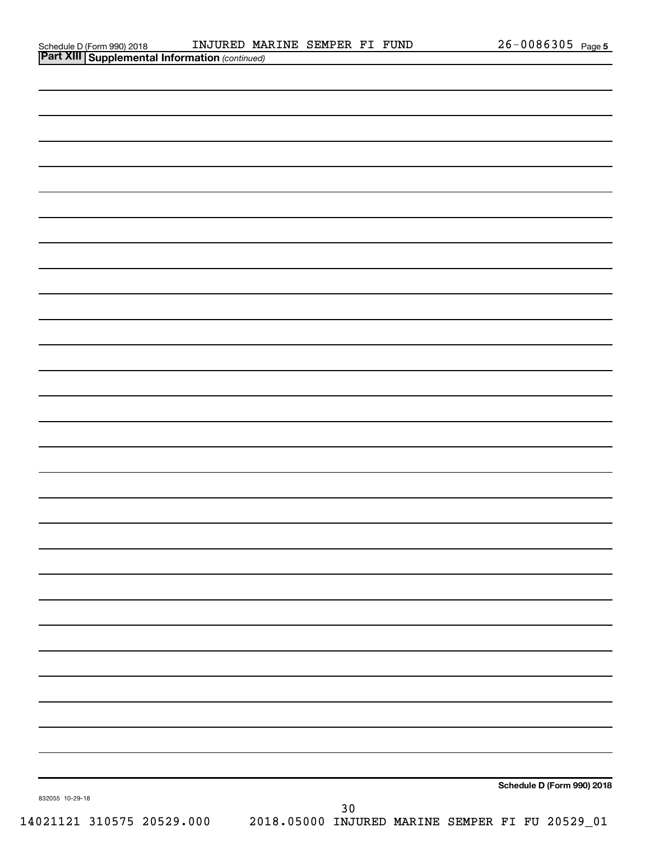| Schedule D (Form 990) 2018 |  |
|----------------------------|--|
|                            |  |

| <b>Part XIII Supplemental Information (continued)</b> |                                                                           |
|-------------------------------------------------------|---------------------------------------------------------------------------|
|                                                       |                                                                           |
|                                                       |                                                                           |
|                                                       |                                                                           |
|                                                       |                                                                           |
|                                                       |                                                                           |
|                                                       |                                                                           |
|                                                       |                                                                           |
|                                                       |                                                                           |
|                                                       |                                                                           |
|                                                       |                                                                           |
|                                                       |                                                                           |
|                                                       |                                                                           |
|                                                       |                                                                           |
|                                                       |                                                                           |
|                                                       |                                                                           |
|                                                       |                                                                           |
|                                                       |                                                                           |
|                                                       |                                                                           |
|                                                       |                                                                           |
|                                                       |                                                                           |
|                                                       |                                                                           |
|                                                       |                                                                           |
|                                                       |                                                                           |
|                                                       |                                                                           |
|                                                       |                                                                           |
|                                                       |                                                                           |
|                                                       |                                                                           |
|                                                       |                                                                           |
|                                                       |                                                                           |
|                                                       |                                                                           |
|                                                       |                                                                           |
|                                                       |                                                                           |
|                                                       |                                                                           |
|                                                       |                                                                           |
|                                                       |                                                                           |
|                                                       |                                                                           |
|                                                       |                                                                           |
|                                                       |                                                                           |
|                                                       |                                                                           |
|                                                       |                                                                           |
|                                                       |                                                                           |
|                                                       | Schedule D (Form 990) 2018                                                |
| 832055 10-29-18                                       | 30                                                                        |
|                                                       | 14021121 310575 20529.000 2018.05000 INJURED MARINE SEMPER FI FU 20529_01 |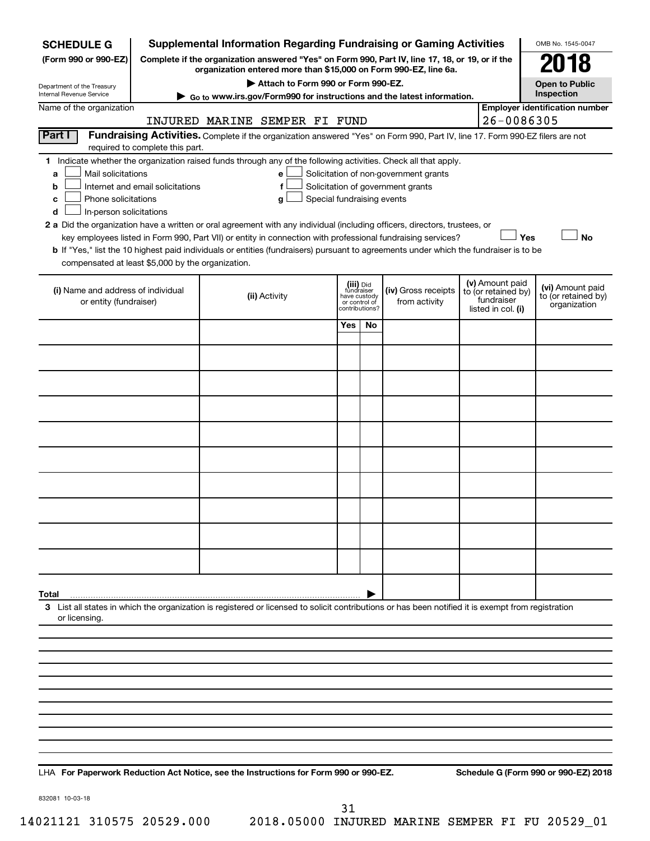| <b>SCHEDULE G</b>                                            |                                                                                                                                                                             | <b>Supplemental Information Regarding Fundraising or Gaming Activities</b>                                                                         |                                                          |                |                                                                            |  |                                                                            | OMB No. 1545-0047                                       |  |
|--------------------------------------------------------------|-----------------------------------------------------------------------------------------------------------------------------------------------------------------------------|----------------------------------------------------------------------------------------------------------------------------------------------------|----------------------------------------------------------|----------------|----------------------------------------------------------------------------|--|----------------------------------------------------------------------------|---------------------------------------------------------|--|
| (Form 990 or 990-EZ)                                         | Complete if the organization answered "Yes" on Form 990, Part IV, line 17, 18, or 19, or if the<br>2018<br>organization entered more than \$15,000 on Form 990-EZ, line 6a. |                                                                                                                                                    |                                                          |                |                                                                            |  |                                                                            |                                                         |  |
| Department of the Treasury                                   | Attach to Form 990 or Form 990-EZ.<br><b>Open to Public</b>                                                                                                                 |                                                                                                                                                    |                                                          |                |                                                                            |  |                                                                            |                                                         |  |
| Internal Revenue Service                                     | Inspection<br>Go to www.irs.gov/Form990 for instructions and the latest information.                                                                                        |                                                                                                                                                    |                                                          |                |                                                                            |  |                                                                            |                                                         |  |
| Name of the organization                                     |                                                                                                                                                                             | INJURED MARINE SEMPER FI FUND                                                                                                                      |                                                          |                |                                                                            |  | 26-0086305                                                                 | <b>Employer identification number</b>                   |  |
| Part I                                                       |                                                                                                                                                                             | Fundraising Activities. Complete if the organization answered "Yes" on Form 990, Part IV, line 17. Form 990-EZ filers are not                      |                                                          |                |                                                                            |  |                                                                            |                                                         |  |
|                                                              | required to complete this part.                                                                                                                                             |                                                                                                                                                    |                                                          |                |                                                                            |  |                                                                            |                                                         |  |
| Mail solicitations<br>a                                      | Internet and email solicitations                                                                                                                                            | 1 Indicate whether the organization raised funds through any of the following activities. Check all that apply.<br>е<br>f                          |                                                          |                | Solicitation of non-government grants<br>Solicitation of government grants |  |                                                                            |                                                         |  |
| b<br>Phone solicitations<br>с                                |                                                                                                                                                                             | Special fundraising events<br>g                                                                                                                    |                                                          |                |                                                                            |  |                                                                            |                                                         |  |
| In-person solicitations<br>d                                 |                                                                                                                                                                             | 2 a Did the organization have a written or oral agreement with any individual (including officers, directors, trustees, or                         |                                                          |                |                                                                            |  |                                                                            |                                                         |  |
|                                                              |                                                                                                                                                                             | key employees listed in Form 990, Part VII) or entity in connection with professional fundraising services?                                        |                                                          |                |                                                                            |  | Yes                                                                        | <b>No</b>                                               |  |
|                                                              |                                                                                                                                                                             | b If "Yes," list the 10 highest paid individuals or entities (fundraisers) pursuant to agreements under which the fundraiser is to be              |                                                          |                |                                                                            |  |                                                                            |                                                         |  |
| compensated at least \$5,000 by the organization.            |                                                                                                                                                                             |                                                                                                                                                    |                                                          |                |                                                                            |  |                                                                            |                                                         |  |
| (i) Name and address of individual<br>or entity (fundraiser) |                                                                                                                                                                             | (ii) Activity                                                                                                                                      | (iii) Did<br>fundraiser<br>have custody<br>or control of | contributions? | (iv) Gross receipts<br>from activity                                       |  | (v) Amount paid<br>to (or retained by)<br>fundraiser<br>listed in col. (i) | (vi) Amount paid<br>to (or retained by)<br>organization |  |
|                                                              |                                                                                                                                                                             |                                                                                                                                                    | Yes                                                      | No             |                                                                            |  |                                                                            |                                                         |  |
|                                                              |                                                                                                                                                                             |                                                                                                                                                    |                                                          |                |                                                                            |  |                                                                            |                                                         |  |
|                                                              |                                                                                                                                                                             |                                                                                                                                                    |                                                          |                |                                                                            |  |                                                                            |                                                         |  |
|                                                              |                                                                                                                                                                             |                                                                                                                                                    |                                                          |                |                                                                            |  |                                                                            |                                                         |  |
|                                                              |                                                                                                                                                                             |                                                                                                                                                    |                                                          |                |                                                                            |  |                                                                            |                                                         |  |
|                                                              |                                                                                                                                                                             |                                                                                                                                                    |                                                          |                |                                                                            |  |                                                                            |                                                         |  |
|                                                              |                                                                                                                                                                             |                                                                                                                                                    |                                                          |                |                                                                            |  |                                                                            |                                                         |  |
|                                                              |                                                                                                                                                                             |                                                                                                                                                    |                                                          |                |                                                                            |  |                                                                            |                                                         |  |
|                                                              |                                                                                                                                                                             |                                                                                                                                                    |                                                          |                |                                                                            |  |                                                                            |                                                         |  |
|                                                              |                                                                                                                                                                             |                                                                                                                                                    |                                                          |                |                                                                            |  |                                                                            |                                                         |  |
|                                                              |                                                                                                                                                                             |                                                                                                                                                    |                                                          |                |                                                                            |  |                                                                            |                                                         |  |
|                                                              |                                                                                                                                                                             |                                                                                                                                                    |                                                          |                |                                                                            |  |                                                                            |                                                         |  |
| Total                                                        |                                                                                                                                                                             |                                                                                                                                                    |                                                          |                |                                                                            |  |                                                                            |                                                         |  |
| or licensing.                                                |                                                                                                                                                                             | 3 List all states in which the organization is registered or licensed to solicit contributions or has been notified it is exempt from registration |                                                          |                |                                                                            |  |                                                                            |                                                         |  |
|                                                              |                                                                                                                                                                             |                                                                                                                                                    |                                                          |                |                                                                            |  |                                                                            |                                                         |  |
|                                                              |                                                                                                                                                                             |                                                                                                                                                    |                                                          |                |                                                                            |  |                                                                            |                                                         |  |
|                                                              |                                                                                                                                                                             |                                                                                                                                                    |                                                          |                |                                                                            |  |                                                                            |                                                         |  |
|                                                              |                                                                                                                                                                             |                                                                                                                                                    |                                                          |                |                                                                            |  |                                                                            |                                                         |  |
|                                                              |                                                                                                                                                                             |                                                                                                                                                    |                                                          |                |                                                                            |  |                                                                            |                                                         |  |
|                                                              |                                                                                                                                                                             |                                                                                                                                                    |                                                          |                |                                                                            |  |                                                                            |                                                         |  |
|                                                              |                                                                                                                                                                             |                                                                                                                                                    |                                                          |                |                                                                            |  |                                                                            |                                                         |  |
|                                                              |                                                                                                                                                                             |                                                                                                                                                    |                                                          |                |                                                                            |  |                                                                            |                                                         |  |

LHA For Paperwork Reduction Act Notice, see the Instructions for Form 990 or 990-EZ. Schedule G (Form 990 or 990-EZ) 2018

832081 10-03-18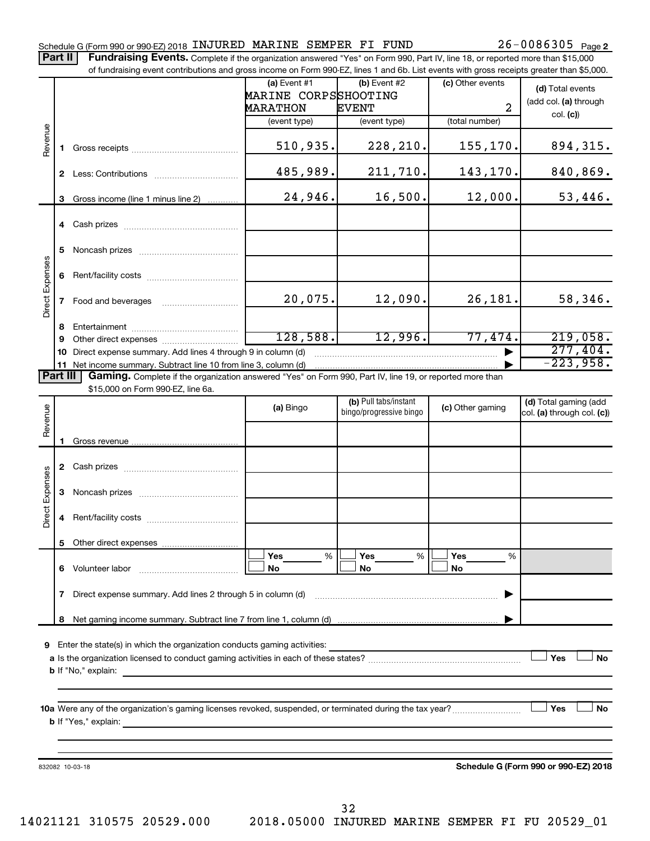#### Schedule G (Form 990 or 990-EZ) 2018 INJURED MARINE SEMPER FI FUND  $26-0086305$  Page

Part II | Fundraising Events. Complete if the organization answered "Yes" on Form 990, Part IV, line 18, or reported more than \$15,000 of fundraising event contributions and gross income on Form 990-EZ, lines 1 and 6b. List events with gross receipts greater than \$5,000.

|                        |    | OF RINGLASHIY CVENT CONTINUATIONS AND GIVES INCOME ON FOND 330°CZ, IINCS T AND OD. EIST CVCHTS WHIT GIVSS TECCIPTS GREET THAT \$0,000.                                                                                                    |                                                           |                                                                                                                                                                                                                                                                                                                                                                                  |                                    |                                           |
|------------------------|----|-------------------------------------------------------------------------------------------------------------------------------------------------------------------------------------------------------------------------------------------|-----------------------------------------------------------|----------------------------------------------------------------------------------------------------------------------------------------------------------------------------------------------------------------------------------------------------------------------------------------------------------------------------------------------------------------------------------|------------------------------------|-------------------------------------------|
|                        |    |                                                                                                                                                                                                                                           | $(a)$ Event #1<br>MARINE CORPSSHOOTING<br><b>MARATHON</b> | (b) Event $#2$<br><b>EVENT</b>                                                                                                                                                                                                                                                                                                                                                   | (c) Other events<br>$\overline{2}$ | (d) Total events<br>(add col. (a) through |
|                        |    |                                                                                                                                                                                                                                           | (event type)                                              | (event type)                                                                                                                                                                                                                                                                                                                                                                     | (total number)                     | col. (c)                                  |
| Revenue                | 1. |                                                                                                                                                                                                                                           | 510, 935.                                                 | 228,210.                                                                                                                                                                                                                                                                                                                                                                         | 155,170.                           | 894,315.                                  |
|                        |    |                                                                                                                                                                                                                                           | 485,989.                                                  | 211,710.                                                                                                                                                                                                                                                                                                                                                                         | 143,170.                           | 840,869.                                  |
|                        | 3  | Gross income (line 1 minus line 2)                                                                                                                                                                                                        | 24,946.                                                   | 16,500.                                                                                                                                                                                                                                                                                                                                                                          | 12,000.                            | 53,446.                                   |
|                        |    |                                                                                                                                                                                                                                           |                                                           |                                                                                                                                                                                                                                                                                                                                                                                  |                                    |                                           |
|                        | 5  |                                                                                                                                                                                                                                           |                                                           |                                                                                                                                                                                                                                                                                                                                                                                  |                                    |                                           |
|                        | 6  |                                                                                                                                                                                                                                           |                                                           |                                                                                                                                                                                                                                                                                                                                                                                  |                                    |                                           |
| <b>Direct Expenses</b> | 7  | Food and beverages                                                                                                                                                                                                                        | 20,075.                                                   | 12,090.                                                                                                                                                                                                                                                                                                                                                                          | 26,181.                            | 58,346.                                   |
|                        | 8  |                                                                                                                                                                                                                                           |                                                           |                                                                                                                                                                                                                                                                                                                                                                                  |                                    |                                           |
|                        | 9  |                                                                                                                                                                                                                                           | 128,588.                                                  | 12,996.                                                                                                                                                                                                                                                                                                                                                                          | 77,474.                            | 219,058.                                  |
|                        | 10 | Direct expense summary. Add lines 4 through 9 in column (d)                                                                                                                                                                               |                                                           | $\begin{picture}(20,10) \put(0,0){\vector(1,0){10}} \put(1,0){\vector(1,0){10}} \put(1,0){\vector(1,0){10}} \put(1,0){\vector(1,0){10}} \put(1,0){\vector(1,0){10}} \put(1,0){\vector(1,0){10}} \put(1,0){\vector(1,0){10}} \put(1,0){\vector(1,0){10}} \put(1,0){\vector(1,0){10}} \put(1,0){\vector(1,0){10}} \put(1,0){\vector(1,0){10}} \put(1,0){\vector(1,0){10}} \put(1,$ |                                    | 277,404.                                  |
|                        |    |                                                                                                                                                                                                                                           |                                                           |                                                                                                                                                                                                                                                                                                                                                                                  |                                    | $-223,958.$                               |
| Part III               |    | Gaming. Complete if the organization answered "Yes" on Form 990, Part IV, line 19, or reported more than                                                                                                                                  |                                                           |                                                                                                                                                                                                                                                                                                                                                                                  |                                    |                                           |
|                        |    | \$15,000 on Form 990-EZ, line 6a.                                                                                                                                                                                                         |                                                           | (b) Pull tabs/instant                                                                                                                                                                                                                                                                                                                                                            |                                    | (d) Total gaming (add                     |
| Revenue                |    |                                                                                                                                                                                                                                           | (a) Bingo                                                 | bingo/progressive bingo                                                                                                                                                                                                                                                                                                                                                          | (c) Other gaming                   | col. (a) through col. (c))                |
|                        |    |                                                                                                                                                                                                                                           |                                                           |                                                                                                                                                                                                                                                                                                                                                                                  |                                    |                                           |
|                        |    |                                                                                                                                                                                                                                           |                                                           |                                                                                                                                                                                                                                                                                                                                                                                  |                                    |                                           |
| <b>Direct Expenses</b> | 3  |                                                                                                                                                                                                                                           |                                                           |                                                                                                                                                                                                                                                                                                                                                                                  |                                    |                                           |
|                        | 4  |                                                                                                                                                                                                                                           |                                                           |                                                                                                                                                                                                                                                                                                                                                                                  |                                    |                                           |
|                        |    |                                                                                                                                                                                                                                           |                                                           |                                                                                                                                                                                                                                                                                                                                                                                  |                                    |                                           |
|                        | 6  | Volunteer labor                                                                                                                                                                                                                           | Yes<br>%<br>No                                            | Yes<br>%<br>No                                                                                                                                                                                                                                                                                                                                                                   | Yes<br>%<br>No                     |                                           |
|                        | 7  |                                                                                                                                                                                                                                           |                                                           |                                                                                                                                                                                                                                                                                                                                                                                  |                                    |                                           |
|                        | 8  |                                                                                                                                                                                                                                           |                                                           |                                                                                                                                                                                                                                                                                                                                                                                  |                                    |                                           |
| 9                      |    | Enter the state(s) in which the organization conducts gaming activities:                                                                                                                                                                  |                                                           |                                                                                                                                                                                                                                                                                                                                                                                  |                                    | Yes<br><b>No</b>                          |
|                        |    | <b>b</b> If "Yes," explain: <u>All and the set of the set of the set of the set of the set of the set of the set of the set of the set of the set of the set of the set of the set of the set of the set of the set of the set of the</u> |                                                           |                                                                                                                                                                                                                                                                                                                                                                                  |                                    | <b>」Yes</b><br><b>No</b>                  |
|                        |    | 832082 10-03-18                                                                                                                                                                                                                           |                                                           |                                                                                                                                                                                                                                                                                                                                                                                  |                                    | Schedule G (Form 990 or 990-EZ) 2018      |

14021121 310575 20529.000 2018.05000 INJURED MARINE SEMPER FI FU 20529\_01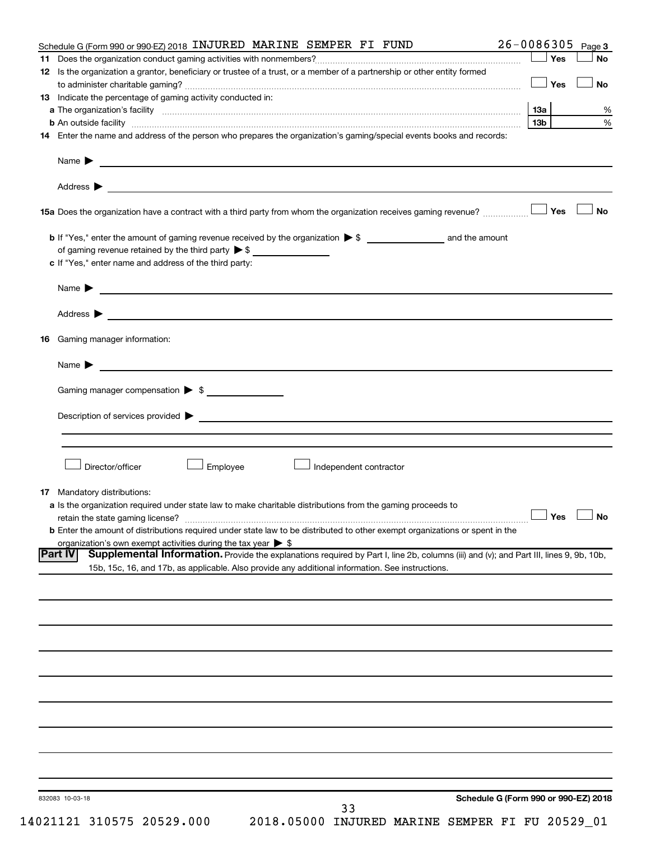|    | Schedule G (Form 990 or 990-EZ) 2018 INJURED MARINE SEMPER FI FUND                                                                                                                                                             | $26 - 0086305$  | Page 3    |
|----|--------------------------------------------------------------------------------------------------------------------------------------------------------------------------------------------------------------------------------|-----------------|-----------|
|    |                                                                                                                                                                                                                                | $\Box$ Yes      | No        |
|    | 12 Is the organization a grantor, beneficiary or trustee of a trust, or a member of a partnership or other entity formed                                                                                                       |                 |           |
|    |                                                                                                                                                                                                                                | <b>_</b> Yes    | No        |
|    | <b>13</b> Indicate the percentage of gaming activity conducted in:                                                                                                                                                             |                 |           |
|    |                                                                                                                                                                                                                                |                 |           |
|    |                                                                                                                                                                                                                                | 13 <sub>b</sub> |           |
|    | 14 Enter the name and address of the person who prepares the organization's gaming/special events books and records:                                                                                                           |                 |           |
|    |                                                                                                                                                                                                                                |                 |           |
|    |                                                                                                                                                                                                                                |                 |           |
|    |                                                                                                                                                                                                                                |                 | <b>No</b> |
|    |                                                                                                                                                                                                                                |                 |           |
|    | of gaming revenue retained by the third party $\triangleright$ \$                                                                                                                                                              |                 |           |
|    | c If "Yes," enter name and address of the third party:                                                                                                                                                                         |                 |           |
|    |                                                                                                                                                                                                                                |                 |           |
|    | Name $\blacktriangleright$ $\frac{1}{\sqrt{1-\frac{1}{2}}\left(1-\frac{1}{2}\right)}$                                                                                                                                          |                 |           |
|    | Address > Natural Management Communication of the Communication of the Communication of the Communication of the Communication of the Communication of the Communication of the Communication of the Communication of the Comm |                 |           |
| 16 | Gaming manager information:                                                                                                                                                                                                    |                 |           |
|    |                                                                                                                                                                                                                                |                 |           |
|    |                                                                                                                                                                                                                                |                 |           |
|    | Gaming manager compensation > \$                                                                                                                                                                                               |                 |           |
|    |                                                                                                                                                                                                                                |                 |           |
|    | Director/officer<br>Employee<br>Independent contractor                                                                                                                                                                         |                 |           |
|    | <b>17</b> Mandatory distributions:                                                                                                                                                                                             |                 |           |
|    | a Is the organization required under state law to make charitable distributions from the gaming proceeds to                                                                                                                    |                 |           |
|    | retain the state gaming license? $\Box$ No                                                                                                                                                                                     |                 |           |
|    | <b>b</b> Enter the amount of distributions required under state law to be distributed to other exempt organizations or spent in the                                                                                            |                 |           |
|    | organization's own exempt activities during the tax year $\triangleright$ \$                                                                                                                                                   |                 |           |
|    | Supplemental Information. Provide the explanations required by Part I, line 2b, columns (iii) and (v); and Part III, lines 9, 9b, 10b,<br><b>Part IV</b>                                                                       |                 |           |
|    | 15b, 15c, 16, and 17b, as applicable. Also provide any additional information. See instructions.                                                                                                                               |                 |           |
|    |                                                                                                                                                                                                                                |                 |           |
|    |                                                                                                                                                                                                                                |                 |           |
|    |                                                                                                                                                                                                                                |                 |           |
|    |                                                                                                                                                                                                                                |                 |           |
|    |                                                                                                                                                                                                                                |                 |           |
|    |                                                                                                                                                                                                                                |                 |           |
|    |                                                                                                                                                                                                                                |                 |           |
|    |                                                                                                                                                                                                                                |                 |           |
|    |                                                                                                                                                                                                                                |                 |           |
|    |                                                                                                                                                                                                                                |                 |           |
|    |                                                                                                                                                                                                                                |                 |           |
|    |                                                                                                                                                                                                                                |                 |           |
|    |                                                                                                                                                                                                                                |                 |           |
|    |                                                                                                                                                                                                                                |                 |           |
|    |                                                                                                                                                                                                                                |                 |           |
|    |                                                                                                                                                                                                                                |                 |           |
|    | Schedule G (Form 990 or 990-EZ) 2018<br>832083 10-03-18                                                                                                                                                                        |                 |           |
|    | 33<br>14021121 310575 20529.000<br>2018.05000 INJURED MARINE SEMPER FI FU 20529_01                                                                                                                                             |                 |           |
|    |                                                                                                                                                                                                                                |                 |           |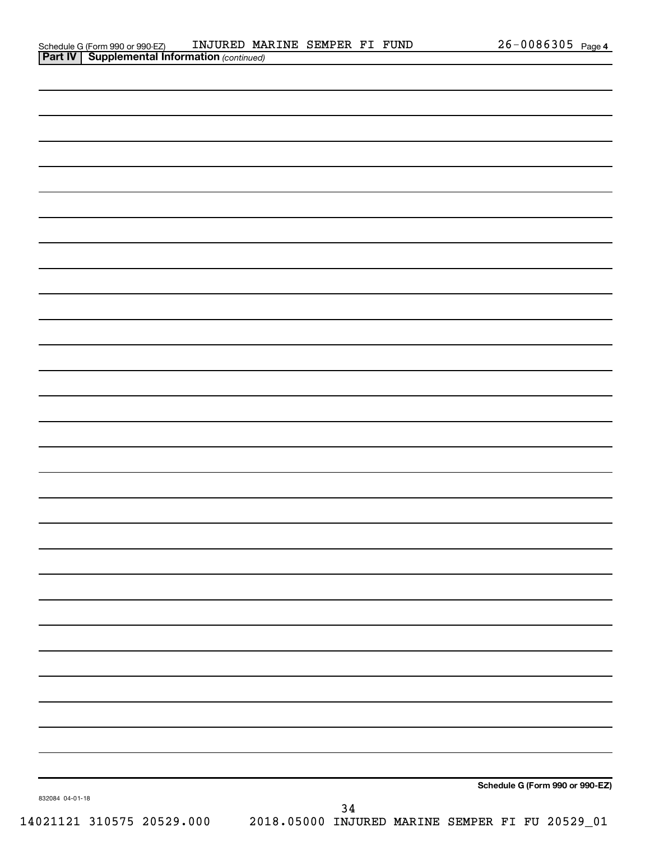| $\sim$ $\sim$ $\sim$ $\sim$ $\sim$ $\sim$ |    |                                                 |
|-------------------------------------------|----|-------------------------------------------------|
|                                           |    |                                                 |
|                                           |    |                                                 |
|                                           |    |                                                 |
|                                           |    |                                                 |
|                                           |    |                                                 |
|                                           |    |                                                 |
|                                           |    |                                                 |
|                                           |    |                                                 |
|                                           |    |                                                 |
|                                           |    |                                                 |
|                                           |    |                                                 |
|                                           |    |                                                 |
|                                           |    |                                                 |
|                                           |    |                                                 |
|                                           |    |                                                 |
|                                           |    |                                                 |
|                                           |    |                                                 |
|                                           |    |                                                 |
|                                           |    |                                                 |
|                                           |    |                                                 |
|                                           |    |                                                 |
|                                           |    |                                                 |
|                                           |    |                                                 |
|                                           |    |                                                 |
|                                           |    |                                                 |
|                                           |    |                                                 |
|                                           |    |                                                 |
|                                           |    |                                                 |
|                                           |    |                                                 |
|                                           |    |                                                 |
|                                           |    |                                                 |
|                                           |    |                                                 |
|                                           |    |                                                 |
|                                           |    |                                                 |
|                                           |    |                                                 |
|                                           |    |                                                 |
|                                           |    | Schedule G (Form 990 or 990-EZ)                 |
| 832084 04-01-18                           | 34 |                                                 |
| 14021121 310575 20529.000                 |    | 2018.05000 INJURED MARINE SEMPER FI FU 20529_01 |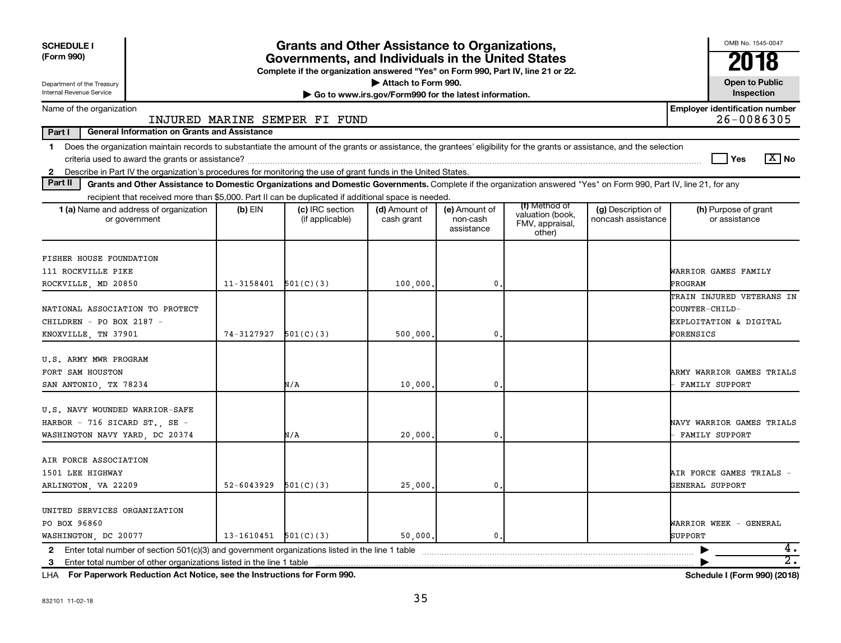| <b>SCHEDULE I</b><br>(Form 990)                                                                                                                                                                                                                                                                             | <b>Grants and Other Assistance to Organizations,</b><br>Governments, and Individuals in the United States<br>Complete if the organization answered "Yes" on Form 990, Part IV, line 21 or 22. |                                    |                             |                                         |                                                                |                                          |                                                                                    |  |  |
|-------------------------------------------------------------------------------------------------------------------------------------------------------------------------------------------------------------------------------------------------------------------------------------------------------------|-----------------------------------------------------------------------------------------------------------------------------------------------------------------------------------------------|------------------------------------|-----------------------------|-----------------------------------------|----------------------------------------------------------------|------------------------------------------|------------------------------------------------------------------------------------|--|--|
| Department of the Treasury<br>Internal Revenue Service                                                                                                                                                                                                                                                      | Attach to Form 990.<br><b>Open to Public</b><br>Inspection<br>Go to www.irs.gov/Form990 for the latest information.                                                                           |                                    |                             |                                         |                                                                |                                          |                                                                                    |  |  |
| Name of the organization                                                                                                                                                                                                                                                                                    |                                                                                                                                                                                               | INJURED MARINE SEMPER FI FUND      |                             |                                         |                                                                |                                          | <b>Employer identification number</b><br>26-0086305                                |  |  |
| Part I<br><b>General Information on Grants and Assistance</b>                                                                                                                                                                                                                                               |                                                                                                                                                                                               |                                    |                             |                                         |                                                                |                                          |                                                                                    |  |  |
| 1 Does the organization maintain records to substantiate the amount of the grants or assistance, the grantees' eligibility for the grants or assistance, and the selection<br>Describe in Part IV the organization's procedures for monitoring the use of grant funds in the United States.<br>$\mathbf{2}$ |                                                                                                                                                                                               |                                    |                             |                                         |                                                                |                                          | $\sqrt{X}$ No<br>Yes                                                               |  |  |
| Part II<br>Grants and Other Assistance to Domestic Organizations and Domestic Governments. Complete if the organization answered "Yes" on Form 990, Part IV, line 21, for any                                                                                                                               |                                                                                                                                                                                               |                                    |                             |                                         |                                                                |                                          |                                                                                    |  |  |
| recipient that received more than \$5,000. Part II can be duplicated if additional space is needed.                                                                                                                                                                                                         |                                                                                                                                                                                               |                                    |                             |                                         |                                                                |                                          |                                                                                    |  |  |
| 1 (a) Name and address of organization<br>or government                                                                                                                                                                                                                                                     | $(b)$ EIN                                                                                                                                                                                     | (c) IRC section<br>(if applicable) | (d) Amount of<br>cash grant | (e) Amount of<br>non-cash<br>assistance | (f) Method of<br>valuation (book,<br>FMV, appraisal,<br>other) | (g) Description of<br>noncash assistance | (h) Purpose of grant<br>or assistance                                              |  |  |
| <b>FISHER HOUSE FOUNDATION</b><br>111 ROCKVILLE PIKE<br>ROCKVILLE, MD 20850                                                                                                                                                                                                                                 | $11 - 3158401$                                                                                                                                                                                | 501(C)(3)                          | 100,000,                    | $\mathbf{0}$                            |                                                                |                                          | WARRIOR GAMES FAMILY<br>PROGRAM                                                    |  |  |
| NATIONAL ASSOCIATION TO PROTECT<br>CHILDREN - PO BOX 2187 -<br>KNOXVILLE, TN 37901                                                                                                                                                                                                                          | 74-3127927                                                                                                                                                                                    | 501(C)(3)                          | 500,000                     | $\mathbf{0}$                            |                                                                |                                          | TRAIN INJURED VETERANS IN<br>COUNTER-CHILD-<br>EXPLOITATION & DIGITAL<br>FORENSICS |  |  |
| U.S. ARMY MWR PROGRAM<br>FORT SAM HOUSTON<br>SAN ANTONIO, TX 78234                                                                                                                                                                                                                                          |                                                                                                                                                                                               | N/A                                | 10,000,                     | $\mathbf{0}$                            |                                                                |                                          | ARMY WARRIOR GAMES TRIALS<br><b>FAMILY SUPPORT</b>                                 |  |  |
| U.S. NAVY WOUNDED WARRIOR-SAFE<br>HARBOR - 716 SICARD ST., SE -<br>WASHINGTON NAVY YARD, DC 20374                                                                                                                                                                                                           |                                                                                                                                                                                               | N/A                                | 20,000                      | $\mathbf{0}$                            |                                                                |                                          | NAVY WARRIOR GAMES TRIALS<br>FAMILY SUPPORT                                        |  |  |
| AIR FORCE ASSOCIATION<br>1501 LEE HIGHWAY<br>ARLINGTON, VA 22209                                                                                                                                                                                                                                            | 52-6043929                                                                                                                                                                                    | 501(C)(3)                          | 25,000.                     | $\mathbf{0}$                            |                                                                |                                          | AIR FORCE GAMES TRIALS -<br>GENERAL SUPPORT                                        |  |  |
| UNITED SERVICES ORGANIZATION<br>PO BOX 96860<br>WASHINGTON, DC 20077                                                                                                                                                                                                                                        | $13-1610451$ $501(C)(3)$                                                                                                                                                                      |                                    | 50,000,                     | 0.                                      |                                                                |                                          | WARRIOR WEEK - GENERAL<br><b>SUPPORT</b>                                           |  |  |
|                                                                                                                                                                                                                                                                                                             |                                                                                                                                                                                               |                                    |                             |                                         |                                                                |                                          | 4.<br>▶                                                                            |  |  |
|                                                                                                                                                                                                                                                                                                             |                                                                                                                                                                                               |                                    |                             |                                         |                                                                |                                          | $\overline{2}$ .                                                                   |  |  |

**For Paperwork Reduction Act Notice, see the Instructions for Form 990. Schedule I (Form 990) (2018)** LHA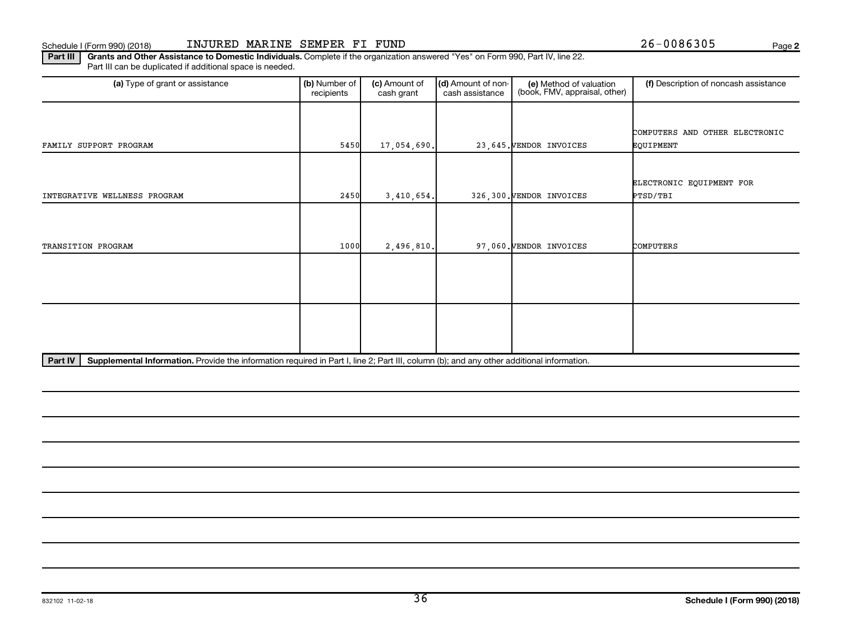**2**

Part III | Grants and Other Assistance to Domestic Individuals. Complete if the organization answered "Yes" on Form 990, Part IV, line 22. Part III can be duplicated if additional space is needed.

| (a) Type of grant or assistance | (b) Number of<br>recipients | (c) Amount of<br>cash grant               | (d) Amount of non-<br>cash assistance | (e) Method of valuation<br>(book, FMV, appraisal, other) | (f) Description of noncash assistance |
|---------------------------------|-----------------------------|-------------------------------------------|---------------------------------------|----------------------------------------------------------|---------------------------------------|
|                                 |                             |                                           |                                       |                                                          |                                       |
|                                 |                             |                                           |                                       |                                                          | COMPUTERS AND OTHER ELECTRONIC        |
| FAMILY SUPPORT PROGRAM          | 5450                        | 17,054,690.                               |                                       | 23,645. VENDOR INVOICES                                  | EQUIPMENT                             |
|                                 |                             |                                           |                                       |                                                          |                                       |
|                                 |                             |                                           |                                       |                                                          | ELECTRONIC EQUIPMENT FOR              |
| INTEGRATIVE WELLNESS PROGRAM    | 2450                        | 3,410,654.                                |                                       | 326,300. VENDOR INVOICES                                 | PTSD/TBI                              |
|                                 |                             |                                           |                                       |                                                          |                                       |
|                                 |                             |                                           |                                       |                                                          |                                       |
| TRANSITION PROGRAM              | 1000                        | 2,496,810.                                |                                       | 97,060. VENDOR INVOICES                                  | COMPUTERS                             |
|                                 |                             |                                           |                                       |                                                          |                                       |
|                                 |                             |                                           |                                       |                                                          |                                       |
|                                 |                             |                                           |                                       |                                                          |                                       |
|                                 |                             |                                           |                                       |                                                          |                                       |
|                                 |                             |                                           |                                       |                                                          |                                       |
|                                 |                             |                                           |                                       |                                                          |                                       |
| <u>mende i incommunica</u>      |                             | $\sim$ $\sim$ $\sim$ $\sim$ $\sim$ $\sim$ | $\mathbf{a}$                          | $\cdots$                                                 |                                       |

Part IV | Supplemental Information. Provide the information required in Part I, line 2; Part III, column (b); and any other additional information.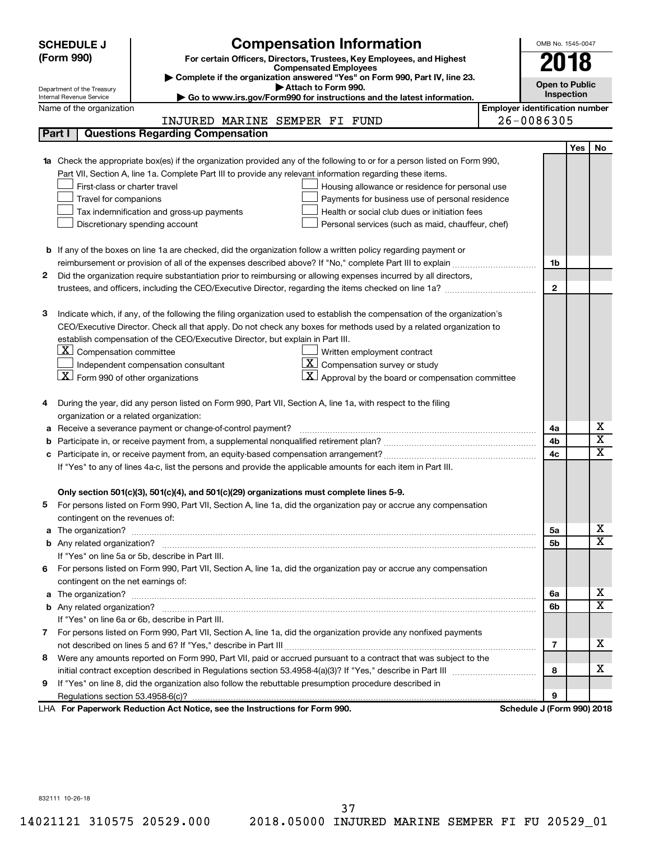| <b>Compensation Information</b><br><b>SCHEDULE J</b>                                                                             |                                       |              | OMB No. 1545-0047     |                         |  |
|----------------------------------------------------------------------------------------------------------------------------------|---------------------------------------|--------------|-----------------------|-------------------------|--|
| (Form 990)<br>For certain Officers, Directors, Trustees, Key Employees, and Highest                                              |                                       |              |                       |                         |  |
| <b>Compensated Employees</b>                                                                                                     |                                       |              | 2018                  |                         |  |
| Complete if the organization answered "Yes" on Form 990, Part IV, line 23.<br>Attach to Form 990.                                |                                       |              | <b>Open to Public</b> |                         |  |
| Department of the Treasury<br>Go to www.irs.gov/Form990 for instructions and the latest information.<br>Internal Revenue Service |                                       | Inspection   |                       |                         |  |
| Name of the organization                                                                                                         | <b>Employer identification number</b> |              |                       |                         |  |
| INJURED MARINE SEMPER FI FUND                                                                                                    | 26-0086305                            |              |                       |                         |  |
| <b>Questions Regarding Compensation</b><br>Part I                                                                                |                                       |              |                       |                         |  |
|                                                                                                                                  |                                       |              | <b>Yes</b>            | No                      |  |
| Check the appropriate box(es) if the organization provided any of the following to or for a person listed on Form 990,           |                                       |              |                       |                         |  |
| Part VII, Section A, line 1a. Complete Part III to provide any relevant information regarding these items.                       |                                       |              |                       |                         |  |
| First-class or charter travel<br>Housing allowance or residence for personal use                                                 |                                       |              |                       |                         |  |
| Travel for companions<br>Payments for business use of personal residence                                                         |                                       |              |                       |                         |  |
| Health or social club dues or initiation fees<br>Tax indemnification and gross-up payments                                       |                                       |              |                       |                         |  |
| Discretionary spending account<br>Personal services (such as maid, chauffeur, chef)                                              |                                       |              |                       |                         |  |
|                                                                                                                                  |                                       |              |                       |                         |  |
| <b>b</b> If any of the boxes on line 1a are checked, did the organization follow a written policy regarding payment or           |                                       |              |                       |                         |  |
|                                                                                                                                  |                                       | 1b           |                       |                         |  |
| Did the organization require substantiation prior to reimbursing or allowing expenses incurred by all directors,<br>2            |                                       | $\mathbf{2}$ |                       |                         |  |
|                                                                                                                                  |                                       |              |                       |                         |  |
| Indicate which, if any, of the following the filing organization used to establish the compensation of the organization's<br>з   |                                       |              |                       |                         |  |
| CEO/Executive Director. Check all that apply. Do not check any boxes for methods used by a related organization to               |                                       |              |                       |                         |  |
| establish compensation of the CEO/Executive Director, but explain in Part III.                                                   |                                       |              |                       |                         |  |
| $\lfloor \underline{\textbf{X}} \rfloor$ Compensation committee<br>Written employment contract                                   |                                       |              |                       |                         |  |
| $ \mathbf{X} $ Compensation survey or study<br>Independent compensation consultant                                               |                                       |              |                       |                         |  |
| $ \mathbf{X} $ Form 990 of other organizations<br>$ \mathbf{X} $ Approval by the board or compensation committee                 |                                       |              |                       |                         |  |
|                                                                                                                                  |                                       |              |                       |                         |  |
| During the year, did any person listed on Form 990, Part VII, Section A, line 1a, with respect to the filing                     |                                       |              |                       |                         |  |
| organization or a related organization:                                                                                          |                                       |              |                       |                         |  |
| Receive a severance payment or change-of-control payment?<br>а                                                                   |                                       | 4a           |                       | х                       |  |
| b                                                                                                                                |                                       | 4b           |                       | $\overline{\mathbf{x}}$ |  |
|                                                                                                                                  |                                       | 4c           |                       | $\mathbf x$             |  |
| If "Yes" to any of lines 4a-c, list the persons and provide the applicable amounts for each item in Part III.                    |                                       |              |                       |                         |  |
|                                                                                                                                  |                                       |              |                       |                         |  |
| Only section 501(c)(3), 501(c)(4), and 501(c)(29) organizations must complete lines 5-9.                                         |                                       |              |                       |                         |  |
| For persons listed on Form 990, Part VII, Section A, line 1a, did the organization pay or accrue any compensation<br>5           |                                       |              |                       |                         |  |
| contingent on the revenues of:                                                                                                   |                                       |              |                       |                         |  |
| a                                                                                                                                |                                       | 5a           |                       | х                       |  |
|                                                                                                                                  |                                       | 5b           |                       | X                       |  |
| If "Yes" on line 5a or 5b, describe in Part III.                                                                                 |                                       |              |                       |                         |  |
| 6 For persons listed on Form 990, Part VII, Section A, line 1a, did the organization pay or accrue any compensation              |                                       |              |                       |                         |  |
| contingent on the net earnings of:                                                                                               |                                       |              |                       |                         |  |
| а                                                                                                                                |                                       | 6а           |                       | х<br>X                  |  |
|                                                                                                                                  |                                       | 6b           |                       |                         |  |
| If "Yes" on line 6a or 6b, describe in Part III.                                                                                 |                                       |              |                       |                         |  |
| 7 For persons listed on Form 990, Part VII, Section A, line 1a, did the organization provide any nonfixed payments               |                                       |              |                       | x                       |  |
|                                                                                                                                  |                                       | 7            |                       |                         |  |
| Were any amounts reported on Form 990, Part VII, paid or accrued pursuant to a contract that was subject to the<br>8             |                                       |              |                       | x                       |  |
|                                                                                                                                  |                                       | 8            |                       |                         |  |
| If "Yes" on line 8, did the organization also follow the rebuttable presumption procedure described in<br>9                      |                                       | 9            |                       |                         |  |
| LHA For Paperwork Reduction Act Notice, see the Instructions for Form 990.                                                       | Schedule J (Form 990) 2018            |              |                       |                         |  |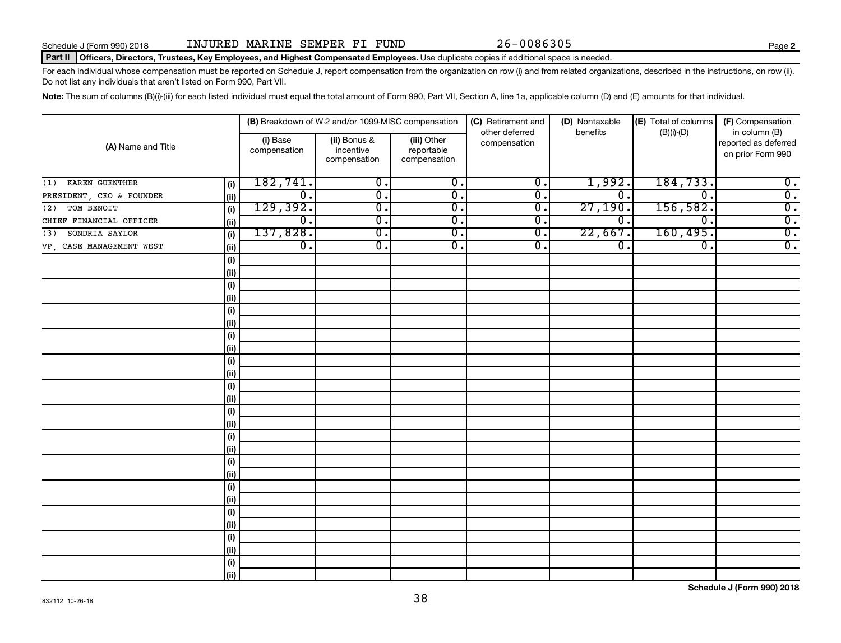**2**

#### Part II | Officers, Directors, Trustees, Key Employees, and Highest Compensated Employees. Use duplicate copies if additional space is needed.

For each individual whose compensation must be reported on Schedule J, report compensation from the organization on row (i) and from related organizations, described in the instructions, on row (ii). Do not list any individuals that aren't listed on Form 990, Part VII.

Note: The sum of columns (B)(i)-(iii) for each listed individual must equal the total amount of Form 990, Part VII, Section A, line 1a, applicable column (D) and (E) amounts for that individual.

|                          |      |                          | (B) Breakdown of W-2 and/or 1099-MISC compensation |                                           | (C) Retirement and             | (D) Nontaxable   | (E) Total of columns        | (F) Compensation                                           |
|--------------------------|------|--------------------------|----------------------------------------------------|-------------------------------------------|--------------------------------|------------------|-----------------------------|------------------------------------------------------------|
| (A) Name and Title       |      | (i) Base<br>compensation | (ii) Bonus &<br>incentive<br>compensation          | (iii) Other<br>reportable<br>compensation | other deferred<br>compensation | benefits         | $(B)(i)$ - $(D)$            | in column (B)<br>reported as deferred<br>on prior Form 990 |
| KAREN GUENTHER<br>(1)    | (i)  | 182, 741.                | $\overline{0}$ .                                   | $\overline{0}$ .                          | $\overline{0}$ .               | 1,992.           | 184,733.                    | $\overline{0}$ .                                           |
| PRESIDENT, CEO & FOUNDER | (ii) | $\overline{0}$ .         | $\overline{0}$ .                                   | $\overline{0}$ .                          | $\overline{0}$ .               | $\overline{0}$ . | $\overline{\mathfrak{o}}$ . | $\overline{0}$ .                                           |
| TOM BENOIT<br>(2)        | (i)  | 129,392.                 | $\overline{0}$ .                                   | $\overline{0}$ .                          | $\overline{0}$ .               | 27,190.          | 156,582.                    | $\overline{\mathbf{0}}$ .                                  |
| CHIEF FINANCIAL OFFICER  | (ii) | $\overline{0}$ .         | $\overline{0}$ .                                   | $\overline{0}$ .                          | $\overline{0}$ .               | $\overline{0}$ . | $\overline{0}$ .            | $\overline{\mathbf{0}}$ .                                  |
| SONDRIA SAYLOR<br>(3)    | (i)  | 137,828.                 | $\overline{0}$ .                                   | $\overline{0}$ .                          | $\overline{0}$ .               | 22,667.          | 160,495.                    | $\overline{\mathbf{0}}$ .                                  |
| VP, CASE MANAGEMENT WEST | (ii) | $\overline{0}$ .         | $\overline{0}$ .                                   | $\overline{0}$ .                          | $\overline{0}$ .               | $\overline{0}$ . | $\overline{0}$ .            | $\overline{0}$ .                                           |
|                          | (i)  |                          |                                                    |                                           |                                |                  |                             |                                                            |
|                          | (ii) |                          |                                                    |                                           |                                |                  |                             |                                                            |
|                          | (i)  |                          |                                                    |                                           |                                |                  |                             |                                                            |
|                          | (ii) |                          |                                                    |                                           |                                |                  |                             |                                                            |
|                          | (i)  |                          |                                                    |                                           |                                |                  |                             |                                                            |
|                          | (ii) |                          |                                                    |                                           |                                |                  |                             |                                                            |
|                          | (i)  |                          |                                                    |                                           |                                |                  |                             |                                                            |
|                          | (i)  |                          |                                                    |                                           |                                |                  |                             |                                                            |
|                          | (i)  |                          |                                                    |                                           |                                |                  |                             |                                                            |
|                          | (ii) |                          |                                                    |                                           |                                |                  |                             |                                                            |
|                          | (i)  |                          |                                                    |                                           |                                |                  |                             |                                                            |
|                          | (ii) |                          |                                                    |                                           |                                |                  |                             |                                                            |
|                          | (i)  |                          |                                                    |                                           |                                |                  |                             |                                                            |
|                          | (i)  |                          |                                                    |                                           |                                |                  |                             |                                                            |
|                          | (i)  |                          |                                                    |                                           |                                |                  |                             |                                                            |
|                          | (ii) |                          |                                                    |                                           |                                |                  |                             |                                                            |
|                          | (i)  |                          |                                                    |                                           |                                |                  |                             |                                                            |
|                          | (ii) |                          |                                                    |                                           |                                |                  |                             |                                                            |
|                          | (i)  |                          |                                                    |                                           |                                |                  |                             |                                                            |
|                          | (i)  |                          |                                                    |                                           |                                |                  |                             |                                                            |
|                          | (i)  |                          |                                                    |                                           |                                |                  |                             |                                                            |
|                          | (ii) |                          |                                                    |                                           |                                |                  |                             |                                                            |
|                          | (i)  |                          |                                                    |                                           |                                |                  |                             |                                                            |
|                          | (ii) |                          |                                                    |                                           |                                |                  |                             |                                                            |
|                          | (i)  |                          |                                                    |                                           |                                |                  |                             |                                                            |
|                          | (ii) |                          |                                                    |                                           |                                |                  |                             |                                                            |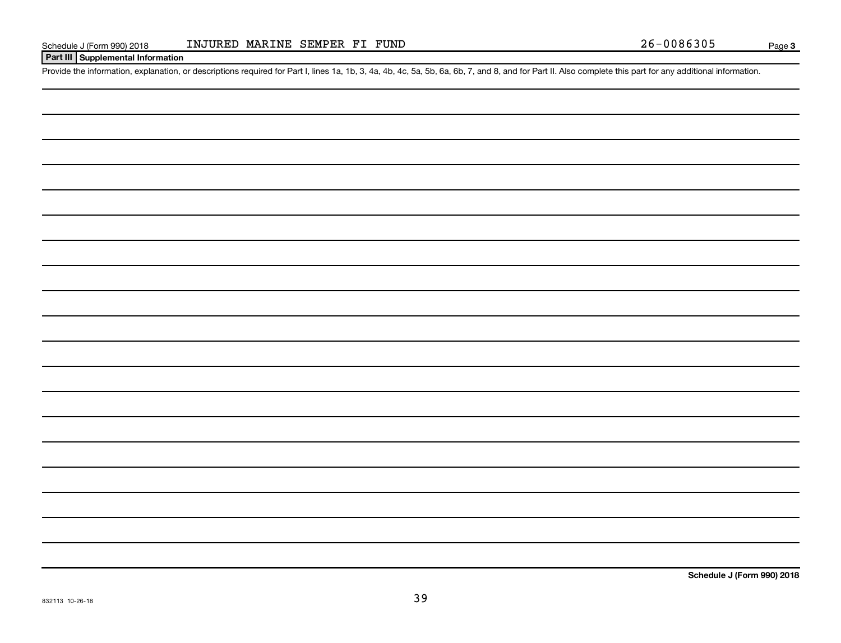#### **Part III Supplemental Information**

Provide the information, explanation, or descriptions required for Part I, lines 1a, 1b, 3, 4a, 4b, 4c, 5a, 5b, 6a, 6b, 7, and 8, and for Part II. Also complete this part for any additional information.

**Schedule J (Form 990) 2018**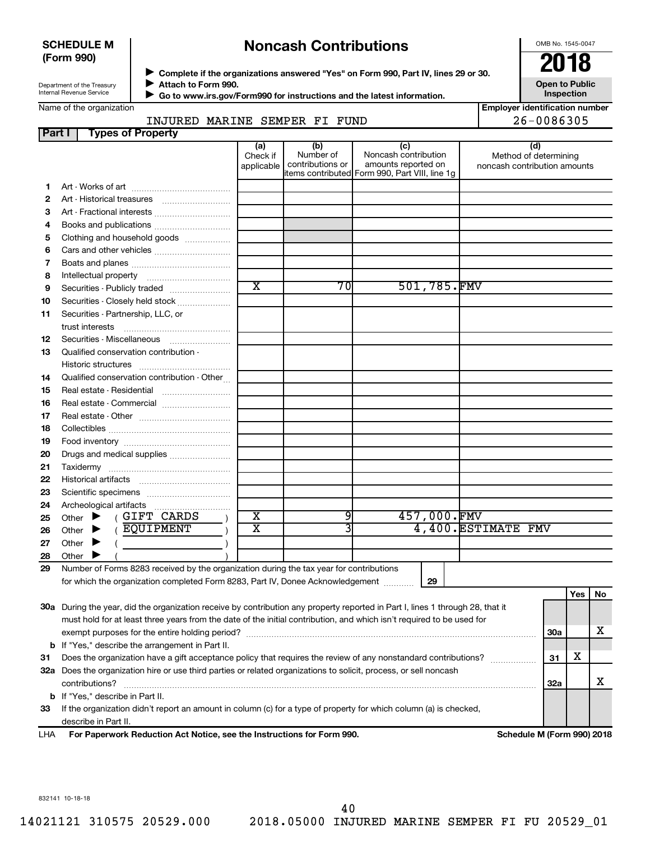#### **SCHEDULE M (Form 990)**

## **Noncash Contributions**

OMB No. 1545-0047

**Employer identification number**

Department of the Treasury Internal Revenue Service

**Complete if the organizations answered "Yes" on Form 990, Part IV, lines 29 or 30.**<br>Complete if the organizations answered "Yes" on Form 990, Part IV, lines 29 or 30. **Attach to Form 990.**  $\blacktriangleright$ 

**Open to Public Inspection**

|  | Name of the organization |
|--|--------------------------|

 $\blacktriangleright$ 

 **Go to www.irs.gov/Form990 for instructions and the latest information.**

### INJURED MARINE SEMPER FI FUND 26-0086305

| Part I | <b>Types of Property</b>                                                                                                       |                               |                                      |                                                                                                      |                                                              |            |     |    |
|--------|--------------------------------------------------------------------------------------------------------------------------------|-------------------------------|--------------------------------------|------------------------------------------------------------------------------------------------------|--------------------------------------------------------------|------------|-----|----|
|        |                                                                                                                                | (a)<br>Check if<br>applicable | (b)<br>Number of<br>contributions or | (c)<br>Noncash contribution<br>amounts reported on<br>items contributed Form 990, Part VIII, line 1g | (d)<br>Method of determining<br>noncash contribution amounts |            |     |    |
| 1      |                                                                                                                                |                               |                                      |                                                                                                      |                                                              |            |     |    |
| 2      |                                                                                                                                |                               |                                      |                                                                                                      |                                                              |            |     |    |
| З      | Art - Fractional interests                                                                                                     |                               |                                      |                                                                                                      |                                                              |            |     |    |
| 4      | Books and publications                                                                                                         |                               |                                      |                                                                                                      |                                                              |            |     |    |
| 5      | Clothing and household goods                                                                                                   |                               |                                      |                                                                                                      |                                                              |            |     |    |
| 6      |                                                                                                                                |                               |                                      |                                                                                                      |                                                              |            |     |    |
| 7      |                                                                                                                                |                               |                                      |                                                                                                      |                                                              |            |     |    |
| 8      |                                                                                                                                |                               |                                      |                                                                                                      |                                                              |            |     |    |
| 9      | Securities - Publicly traded                                                                                                   | $\overline{\textbf{x}}$       | 70                                   | 501,785.FMV                                                                                          |                                                              |            |     |    |
| 10     | Securities - Closely held stock                                                                                                |                               |                                      |                                                                                                      |                                                              |            |     |    |
| 11     | Securities - Partnership, LLC, or                                                                                              |                               |                                      |                                                                                                      |                                                              |            |     |    |
|        | trust interests                                                                                                                |                               |                                      |                                                                                                      |                                                              |            |     |    |
| 12     | Securities - Miscellaneous                                                                                                     |                               |                                      |                                                                                                      |                                                              |            |     |    |
| 13     | Qualified conservation contribution -                                                                                          |                               |                                      |                                                                                                      |                                                              |            |     |    |
|        |                                                                                                                                |                               |                                      |                                                                                                      |                                                              |            |     |    |
| 14     | Qualified conservation contribution - Other                                                                                    |                               |                                      |                                                                                                      |                                                              |            |     |    |
| 15     |                                                                                                                                |                               |                                      |                                                                                                      |                                                              |            |     |    |
| 16     | Real estate - Commercial                                                                                                       |                               |                                      |                                                                                                      |                                                              |            |     |    |
| 17     |                                                                                                                                |                               |                                      |                                                                                                      |                                                              |            |     |    |
| 18     |                                                                                                                                |                               |                                      |                                                                                                      |                                                              |            |     |    |
| 19     |                                                                                                                                |                               |                                      |                                                                                                      |                                                              |            |     |    |
| 20     | Drugs and medical supplies                                                                                                     |                               |                                      |                                                                                                      |                                                              |            |     |    |
| 21     |                                                                                                                                |                               |                                      |                                                                                                      |                                                              |            |     |    |
| 22     |                                                                                                                                |                               |                                      |                                                                                                      |                                                              |            |     |    |
| 23     |                                                                                                                                |                               |                                      |                                                                                                      |                                                              |            |     |    |
| 24     |                                                                                                                                |                               |                                      |                                                                                                      |                                                              |            |     |    |
| 25     | (GIFT CARDS<br>Other $\blacktriangleright$                                                                                     | х                             | 9                                    | 457,000.FMV                                                                                          |                                                              |            |     |    |
| 26     | ( EQUIPMENT<br>Other $\blacktriangleright$                                                                                     | $\overline{\textbf{x}}$       |                                      |                                                                                                      | 4,400. ESTIMATE FMV                                          |            |     |    |
| 27     | Other $\blacktriangleright$                                                                                                    |                               |                                      |                                                                                                      |                                                              |            |     |    |
| 28     | Other $\blacktriangleright$                                                                                                    |                               |                                      |                                                                                                      |                                                              |            |     |    |
| 29     | Number of Forms 8283 received by the organization during the tax year for contributions                                        |                               |                                      |                                                                                                      |                                                              |            |     |    |
|        | for which the organization completed Form 8283, Part IV, Donee Acknowledgement                                                 |                               |                                      | 29                                                                                                   |                                                              |            |     |    |
|        |                                                                                                                                |                               |                                      |                                                                                                      |                                                              |            | Yes | No |
|        | 30a During the year, did the organization receive by contribution any property reported in Part I, lines 1 through 28, that it |                               |                                      |                                                                                                      |                                                              |            |     |    |
|        | must hold for at least three years from the date of the initial contribution, and which isn't required to be used for          |                               |                                      |                                                                                                      |                                                              |            |     |    |
|        |                                                                                                                                |                               |                                      |                                                                                                      |                                                              | <b>30a</b> |     | х  |
|        | <b>b</b> If "Yes," describe the arrangement in Part II.                                                                        |                               |                                      |                                                                                                      |                                                              |            |     |    |
| 31     | Does the organization have a gift acceptance policy that requires the review of any nonstandard contributions?                 |                               |                                      |                                                                                                      |                                                              | 31         | х   |    |
|        | 32a Does the organization hire or use third parties or related organizations to solicit, process, or sell noncash              |                               |                                      |                                                                                                      |                                                              |            |     |    |
|        | contributions?                                                                                                                 |                               |                                      |                                                                                                      |                                                              | <b>32a</b> |     | x  |

**33** If the organization didn't report an amount in column (c) for a type of property for which column (a) is checked, describe in Part II.

**b** If "Yes," describe in Part II.

**For Paperwork Reduction Act Notice, see the Instructions for Form 990. Schedule M (Form 990) 2018** LHA

832141 10-18-18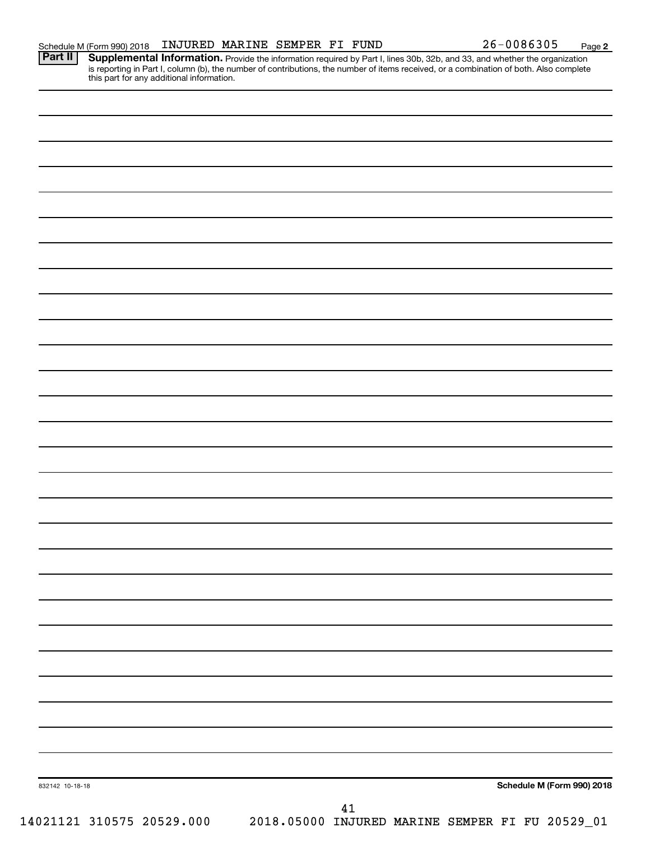Provide the information required by Part I, lines 30b, 32b, and 33, and whether the organization is reporting in Part I, column (b), the number of contributions, the number of items received, or a combination of both. Also complete this part for any additional information. **Part II Supplemental Information.** 

| 832142 10-18-18 |                           |  |    |  |  | Schedule M (Form 990) 2018                      |
|-----------------|---------------------------|--|----|--|--|-------------------------------------------------|
|                 |                           |  | 41 |  |  |                                                 |
|                 | 14021121 310575 20529.000 |  |    |  |  | 2018.05000 INJURED MARINE SEMPER FI FU 20529_01 |